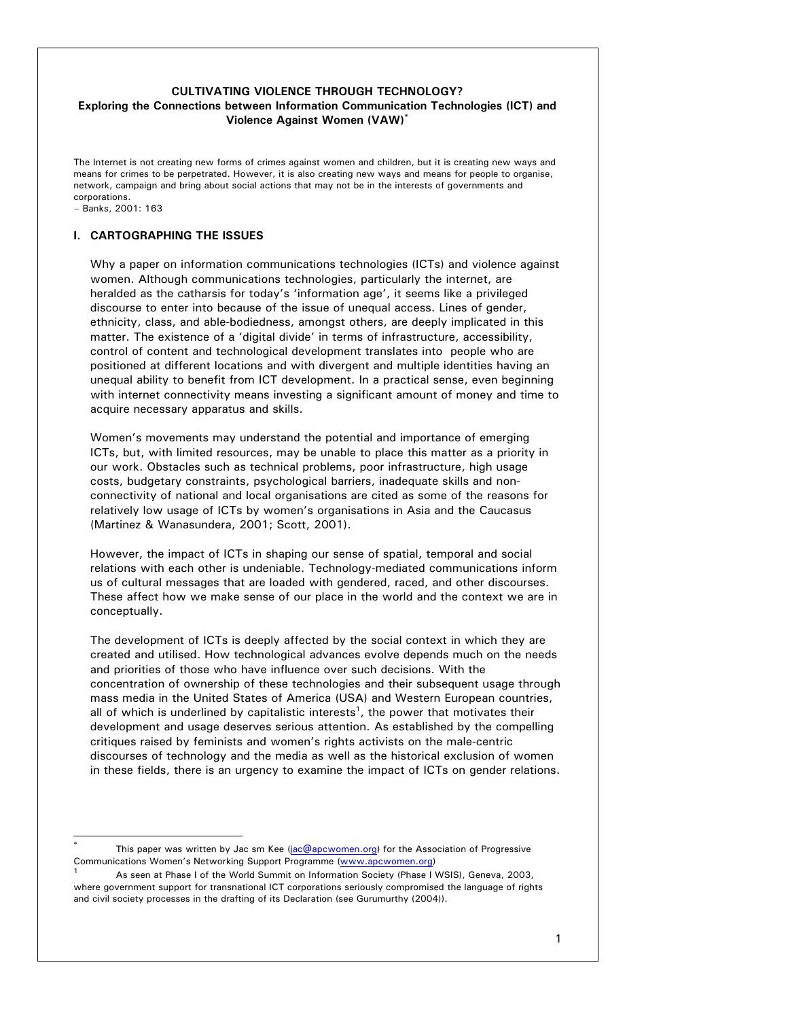# **CULTIVATING VIOLENCE THROUGH TECHNOLOGY? Exploring the Connections between Information Communication Technologies (ICT) and Violence Against Women (VAW)\***

The Internet is not creating new forms of crimes against women and children, but it is creating new ways and means for crimes to be perpetrated. However, it is also creating new ways and means for people to organise, network, campaign and bring about social actions that may not be in the interests of governments and corporations.

#### – Banks, 2001: 163

l

### **I. CARTOGRAPHING THE ISSUES**

Why a paper on information communications technologies (ICTs) and violence against women. Although communications technologies, particularly the internet, are heralded as the catharsis for today's 'information age', it seems like a privileged discourse to enter into because of the issue of unequal access. Lines of gender, ethnicity, class, and able-bodiedness, amongst others, are deeply implicated in this matter. The existence of a 'digital divide' in terms of infrastructure, accessibility, control of content and technological development translates into people who are positioned at different locations and with divergent and multiple identities having an unequal ability to benefit from ICT development. In a practical sense, even beginning with internet connectivity means investing a significant amount of money and time to acquire necessary apparatus and skills.

Women's movements may understand the potential and importance of emerging ICTs, but, with limited resources, may be unable to place this matter as a priority in our work. Obstacles such as technical problems, poor infrastructure, high usage costs, budgetary constraints, psychological barriers, inadequate skills and nonconnectivity of national and local organisations are cited as some of the reasons for relatively low usage of ICTs by women's organisations in Asia and the Caucasus (Martinez & Wanasundera, 2001; Scott, 2001).

However, the impact of ICTs in shaping our sense of spatial, temporal and social relations with each other is undeniable. Technology-mediated communications inform us of cultural messages that are loaded with gendered, raced, and other discourses. These affect how we make sense of our place in the world and the context we are in conceptually.

The development of ICTs is deeply affected by the social context in which they are created and utilised. How technological advances evolve depends much on the needs and priorities of those who have influence over such decisions. With the concentration of ownership of these technologies and their subsequent usage through mass media in the United States of America (USA) and Western European countries, all of which is underlined by capitalistic interests<sup>1</sup>, the power that motivates their development and usage deserves serious attention. As established by the compelling critiques raised by feminists and women's rights activists on the male-centric discourses of technology and the media as well as the historical exclusion of women in these fields, there is an urgency to examine the impact of ICTs on gender relations.

This paper was written by Jac sm Kee (jac@apcwomen.org) for the Association of Progressive Communications Women's Networking Support Programme (www.apcwomen.org)

<sup>1</sup> As seen at Phase I of the World Summit on Information Society (Phase I WSIS), Geneva, 2003, where government support for transnational ICT corporations seriously compromised the language of rights and civil society processes in the drafting of its Declaration (see Gurumurthy (2004)).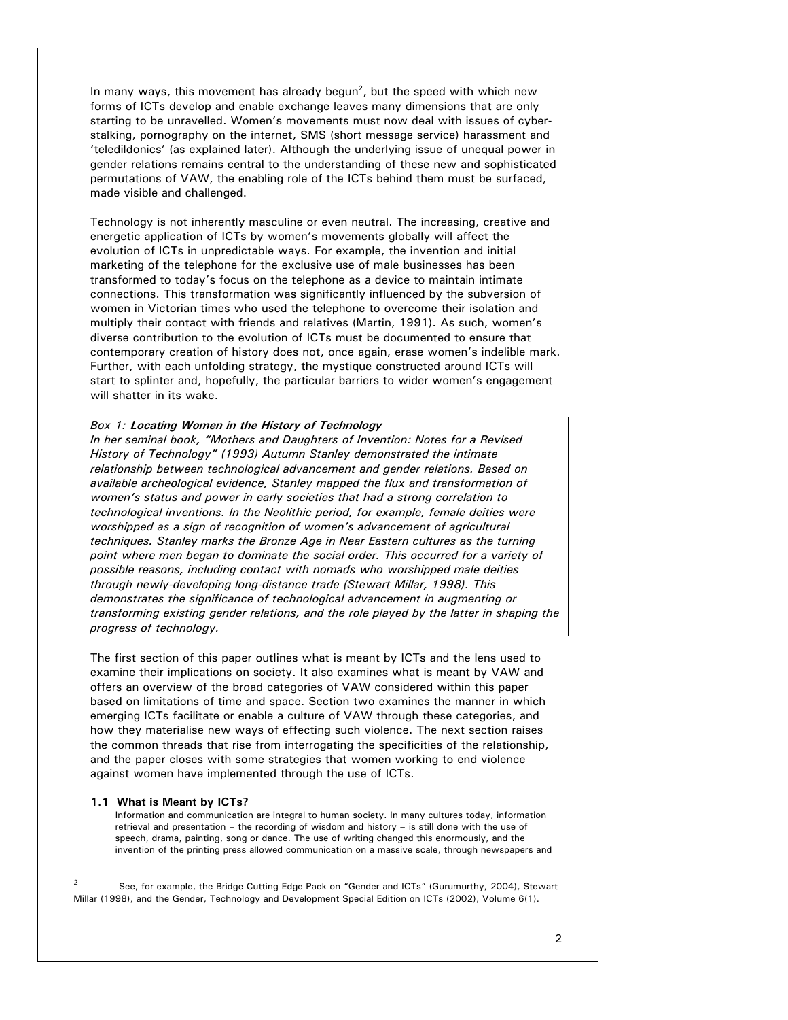In many ways, this movement has already begun<sup>2</sup>, but the speed with which new forms of ICTs develop and enable exchange leaves many dimensions that are only starting to be unravelled. Women's movements must now deal with issues of cyberstalking, pornography on the internet, SMS (short message service) harassment and 'teledildonics' (as explained later). Although the underlying issue of unequal power in gender relations remains central to the understanding of these new and sophisticated permutations of VAW, the enabling role of the ICTs behind them must be surfaced, made visible and challenged.

Technology is not inherently masculine or even neutral. The increasing, creative and energetic application of ICTs by women's movements globally will affect the evolution of ICTs in unpredictable ways. For example, the invention and initial marketing of the telephone for the exclusive use of male businesses has been transformed to today's focus on the telephone as a device to maintain intimate connections. This transformation was significantly influenced by the subversion of women in Victorian times who used the telephone to overcome their isolation and multiply their contact with friends and relatives (Martin, 1991). As such, women's diverse contribution to the evolution of ICTs must be documented to ensure that contemporary creation of history does not, once again, erase women's indelible mark. Further, with each unfolding strategy, the mystique constructed around ICTs will start to splinter and, hopefully, the particular barriers to wider women's engagement will shatter in its wake.

### *Box 1:* **Locating Women in the History of Technology**

*In her seminal book, "Mothers and Daughters of Invention: Notes for a Revised History of Technology" (1993) Autumn Stanley demonstrated the intimate relationship between technological advancement and gender relations. Based on available archeological evidence, Stanley mapped the flux and transformation of women's status and power in early societies that had a strong correlation to technological inventions. In the Neolithic period, for example, female deities were worshipped as a sign of recognition of women's advancement of agricultural techniques. Stanley marks the Bronze Age in Near Eastern cultures as the turning point where men began to dominate the social order. This occurred for a variety of possible reasons, including contact with nomads who worshipped male deities through newly-developing long-distance trade (Stewart Millar, 1998). This demonstrates the significance of technological advancement in augmenting or transforming existing gender relations, and the role played by the latter in shaping the progress of technology.* 

The first section of this paper outlines what is meant by ICTs and the lens used to examine their implications on society. It also examines what is meant by VAW and offers an overview of the broad categories of VAW considered within this paper based on limitations of time and space. Section two examines the manner in which emerging ICTs facilitate or enable a culture of VAW through these categories, and how they materialise new ways of effecting such violence. The next section raises the common threads that rise from interrogating the specificities of the relationship, and the paper closes with some strategies that women working to end violence against women have implemented through the use of ICTs.

#### **1.1 What is Meant by ICTs?**

l

Information and communication are integral to human society. In many cultures today, information retrieval and presentation – the recording of wisdom and history – is still done with the use of speech, drama, painting, song or dance. The use of writing changed this enormously, and the invention of the printing press allowed communication on a massive scale, through newspapers and

<sup>2</sup> See, for example, the Bridge Cutting Edge Pack on "Gender and ICTs" (Gurumurthy, 2004), Stewart Millar (1998), and the Gender, Technology and Development Special Edition on ICTs (2002), Volume 6(1).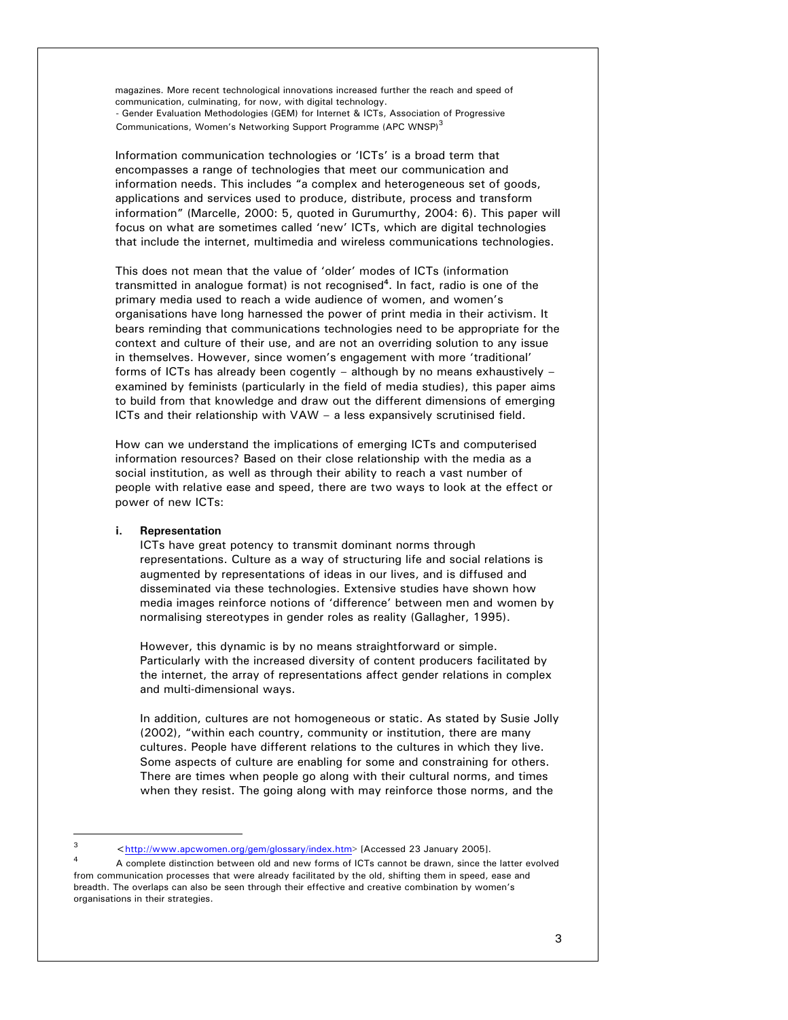magazines. More recent technological innovations increased further the reach and speed of communication, culminating, for now, with digital technology. - Gender Evaluation Methodologies (GEM) for Internet & ICTs, Association of Progressive Communications, Women's Networking Support Programme (APC WNSP)<sup>3</sup>

Information communication technologies or 'ICTs' is a broad term that encompasses a range of technologies that meet our communication and information needs. This includes "a complex and heterogeneous set of goods, applications and services used to produce, distribute, process and transform information" (Marcelle, 2000: 5, quoted in Gurumurthy, 2004: 6). This paper will focus on what are sometimes called 'new' ICTs, which are digital technologies that include the internet, multimedia and wireless communications technologies.

This does not mean that the value of 'older' modes of ICTs (information transmitted in analogue format) is not recognised**<sup>4</sup>** . In fact, radio is one of the primary media used to reach a wide audience of women, and women's organisations have long harnessed the power of print media in their activism. It bears reminding that communications technologies need to be appropriate for the context and culture of their use, and are not an overriding solution to any issue in themselves. However, since women's engagement with more 'traditional' forms of ICTs has already been cogently – although by no means exhaustively – examined by feminists (particularly in the field of media studies), this paper aims to build from that knowledge and draw out the different dimensions of emerging ICTs and their relationship with VAW – a less expansively scrutinised field.

How can we understand the implications of emerging ICTs and computerised information resources? Based on their close relationship with the media as a social institution, as well as through their ability to reach a vast number of people with relative ease and speed, there are two ways to look at the effect or power of new ICTs:

## **i. Representation**

l

ICTs have great potency to transmit dominant norms through representations. Culture as a way of structuring life and social relations is augmented by representations of ideas in our lives, and is diffused and disseminated via these technologies. Extensive studies have shown how media images reinforce notions of 'difference' between men and women by normalising stereotypes in gender roles as reality (Gallagher, 1995).

However, this dynamic is by no means straightforward or simple. Particularly with the increased diversity of content producers facilitated by the internet, the array of representations affect gender relations in complex and multi-dimensional ways.

In addition, cultures are not homogeneous or static. As stated by Susie Jolly (2002), "within each country, community or institution, there are many cultures. People have different relations to the cultures in which they live. Some aspects of culture are enabling for some and constraining for others. There are times when people go along with their cultural norms, and times when they resist. The going along with may reinforce those norms, and the

<sup>3</sup> <http://www.apcwomen.org/gem/glossary/index.htm> [Accessed 23 January 2005].

<sup>4</sup> A complete distinction between old and new forms of ICTs cannot be drawn, since the latter evolved from communication processes that were already facilitated by the old, shifting them in speed, ease and breadth. The overlaps can also be seen through their effective and creative combination by women's organisations in their strategies.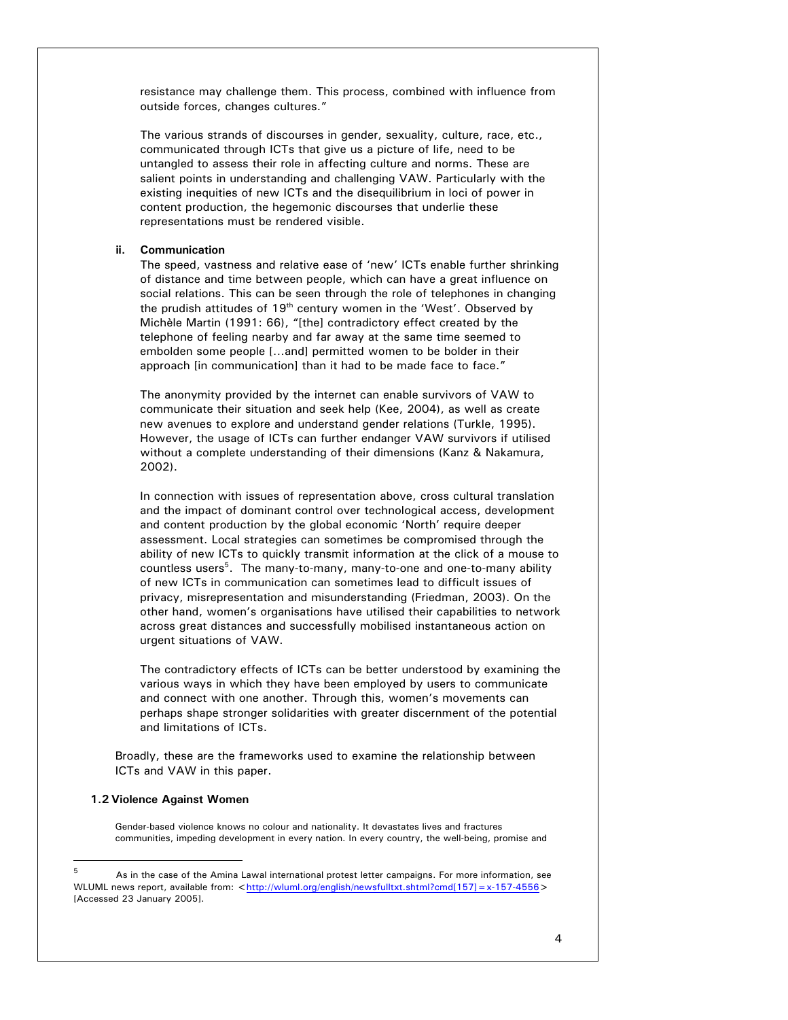resistance may challenge them. This process, combined with influence from outside forces, changes cultures."

The various strands of discourses in gender, sexuality, culture, race, etc., communicated through ICTs that give us a picture of life, need to be untangled to assess their role in affecting culture and norms. These are salient points in understanding and challenging VAW. Particularly with the existing inequities of new ICTs and the disequilibrium in loci of power in content production, the hegemonic discourses that underlie these representations must be rendered visible.

### **ii. Communication**

The speed, vastness and relative ease of 'new' ICTs enable further shrinking of distance and time between people, which can have a great influence on social relations. This can be seen through the role of telephones in changing the prudish attitudes of  $19<sup>th</sup>$  century women in the 'West'. Observed by Michèle Martin (1991: 66), "[the] contradictory effect created by the telephone of feeling nearby and far away at the same time seemed to embolden some people […and] permitted women to be bolder in their approach [in communication] than it had to be made face to face."

The anonymity provided by the internet can enable survivors of VAW to communicate their situation and seek help (Kee, 2004), as well as create new avenues to explore and understand gender relations (Turkle, 1995). However, the usage of ICTs can further endanger VAW survivors if utilised without a complete understanding of their dimensions (Kanz & Nakamura, 2002).

In connection with issues of representation above, cross cultural translation and the impact of dominant control over technological access, development and content production by the global economic 'North' require deeper assessment. Local strategies can sometimes be compromised through the ability of new ICTs to quickly transmit information at the click of a mouse to countless users<sup>5</sup>. The many-to-many, many-to-one and one-to-many ability of new ICTs in communication can sometimes lead to difficult issues of privacy, misrepresentation and misunderstanding (Friedman, 2003). On the other hand, women's organisations have utilised their capabilities to network across great distances and successfully mobilised instantaneous action on urgent situations of VAW.

The contradictory effects of ICTs can be better understood by examining the various ways in which they have been employed by users to communicate and connect with one another. Through this, women's movements can perhaps shape stronger solidarities with greater discernment of the potential and limitations of ICTs.

Broadly, these are the frameworks used to examine the relationship between ICTs and VAW in this paper.

## **1.2 Violence Against Women**

l

Gender-based violence knows no colour and nationality. It devastates lives and fractures communities, impeding development in every nation. In every country, the well-being, promise and

<sup>5</sup> As in the case of the Amina Lawal international protest letter campaigns. For more information, see WLUML news report, available from: <http://wluml.org/english/newsfulltxt.shtml?cmd[157]=x-157-4556> [Accessed 23 January 2005].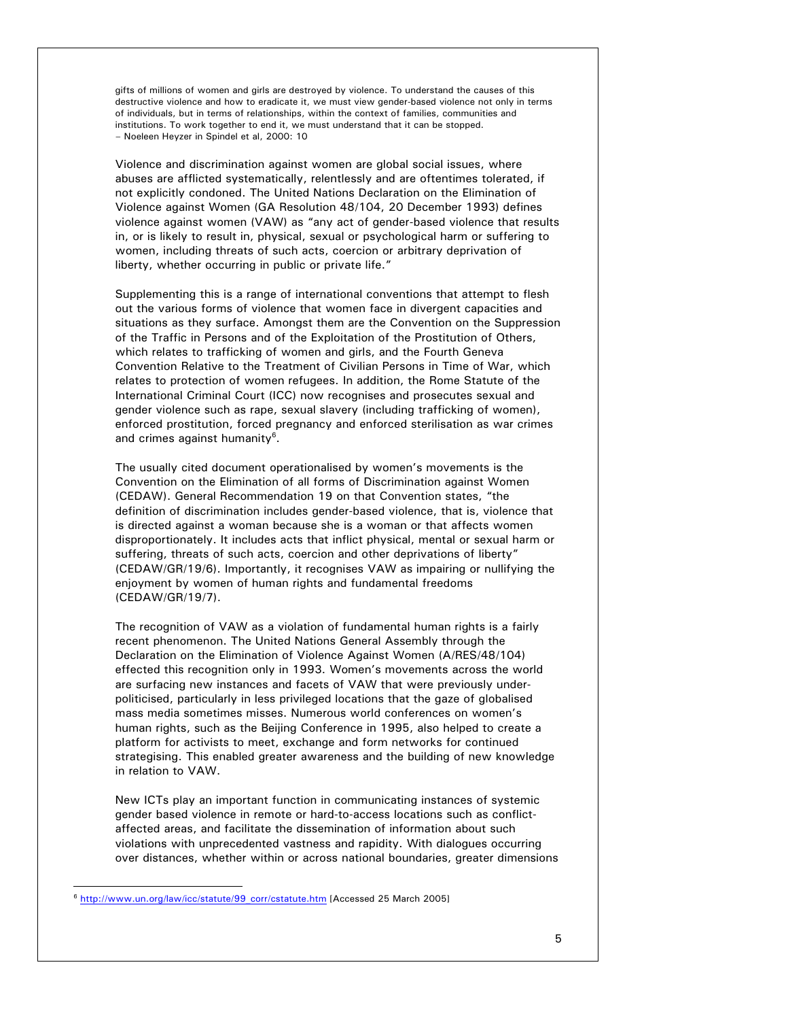gifts of millions of women and girls are destroyed by violence. To understand the causes of this destructive violence and how to eradicate it, we must view gender-based violence not only in terms of individuals, but in terms of relationships, within the context of families, communities and institutions. To work together to end it, we must understand that it can be stopped. – Noeleen Heyzer in Spindel et al, 2000: 10

Violence and discrimination against women are global social issues, where abuses are afflicted systematically, relentlessly and are oftentimes tolerated, if not explicitly condoned. The United Nations Declaration on the Elimination of Violence against Women (GA Resolution 48/104, 20 December 1993) defines violence against women (VAW) as "any act of gender-based violence that results in, or is likely to result in, physical, sexual or psychological harm or suffering to women, including threats of such acts, coercion or arbitrary deprivation of liberty, whether occurring in public or private life."

Supplementing this is a range of international conventions that attempt to flesh out the various forms of violence that women face in divergent capacities and situations as they surface. Amongst them are the Convention on the Suppression of the Traffic in Persons and of the Exploitation of the Prostitution of Others, which relates to trafficking of women and girls, and the Fourth Geneva Convention Relative to the Treatment of Civilian Persons in Time of War, which relates to protection of women refugees. In addition, the Rome Statute of the International Criminal Court (ICC) now recognises and prosecutes sexual and gender violence such as rape, sexual slavery (including trafficking of women), enforced prostitution, forced pregnancy and enforced sterilisation as war crimes and crimes against humanity<sup>6</sup>.

The usually cited document operationalised by women's movements is the Convention on the Elimination of all forms of Discrimination against Women (CEDAW). General Recommendation 19 on that Convention states, "the definition of discrimination includes gender-based violence, that is, violence that is directed against a woman because she is a woman or that affects women disproportionately. It includes acts that inflict physical, mental or sexual harm or suffering, threats of such acts, coercion and other deprivations of liberty" (CEDAW/GR/19/6). Importantly, it recognises VAW as impairing or nullifying the enjoyment by women of human rights and fundamental freedoms (CEDAW/GR/19/7).

The recognition of VAW as a violation of fundamental human rights is a fairly recent phenomenon. The United Nations General Assembly through the Declaration on the Elimination of Violence Against Women (A/RES/48/104) effected this recognition only in 1993. Women's movements across the world are surfacing new instances and facets of VAW that were previously underpoliticised, particularly in less privileged locations that the gaze of globalised mass media sometimes misses. Numerous world conferences on women's human rights, such as the Beijing Conference in 1995, also helped to create a platform for activists to meet, exchange and form networks for continued strategising. This enabled greater awareness and the building of new knowledge in relation to VAW.

New ICTs play an important function in communicating instances of systemic gender based violence in remote or hard-to-access locations such as conflictaffected areas, and facilitate the dissemination of information about such violations with unprecedented vastness and rapidity. With dialogues occurring over distances, whether within or across national boundaries, greater dimensions

l

<sup>&</sup>lt;sup>6</sup> http://www.un.org/law/icc/statute/99\_corr/cstatute.htm [Accessed 25 March 2005]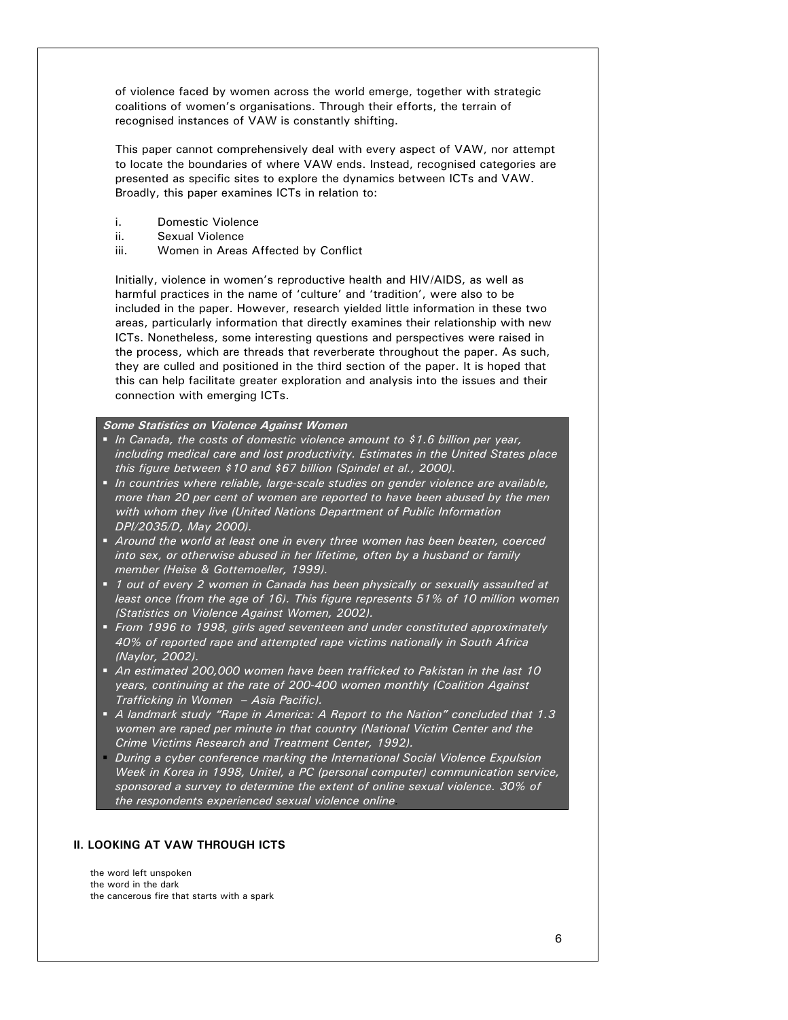of violence faced by women across the world emerge, together with strategic coalitions of women's organisations. Through their efforts, the terrain of recognised instances of VAW is constantly shifting.

This paper cannot comprehensively deal with every aspect of VAW, nor attempt to locate the boundaries of where VAW ends. Instead, recognised categories are presented as specific sites to explore the dynamics between ICTs and VAW. Broadly, this paper examines ICTs in relation to:

- i. Domestic Violence
- ii. Sexual Violence
- iii. Women in Areas Affected by Conflict

Initially, violence in women's reproductive health and HIV/AIDS, as well as harmful practices in the name of 'culture' and 'tradition', were also to be included in the paper. However, research yielded little information in these two areas, particularly information that directly examines their relationship with new ICTs. Nonetheless, some interesting questions and perspectives were raised in the process, which are threads that reverberate throughout the paper. As such, they are culled and positioned in the third section of the paper. It is hoped that this can help facilitate greater exploration and analysis into the issues and their connection with emerging ICTs.

## **Some Statistics on Violence Against Women**

- *In Canada, the costs of domestic violence amount to \$1.6 billion per year, including medical care and lost productivity. Estimates in the United States place this figure between \$10 and \$67 billion (Spindel et al., 2000).*
- *In countries where reliable, large-scale studies on gender violence are available, more than 20 per cent of women are reported to have been abused by the men with whom they live (United Nations Department of Public Information DPI/2035/D, May 2000).*
- *Around the world at least one in every three women has been beaten, coerced into sex, or otherwise abused in her lifetime, often by a husband or family member (Heise & Gottemoeller, 1999).*
- *1 out of every 2 women in Canada has been physically or sexually assaulted at least once (from the age of 16). This figure represents 51% of 10 million women (Statistics on Violence Against Women, 2002).*
- *From 1996 to 1998, girls aged seventeen and under constituted approximately 40% of reported rape and attempted rape victims nationally in South Africa (Naylor, 2002).*
- *An estimated 200,000 women have been trafficked to Pakistan in the last 10 years, continuing at the rate of 200-400 women monthly (Coalition Against Trafficking in Women – Asia Pacific).*
- *A landmark study "Rape in America: A Report to the Nation" concluded that 1.3 women are raped per minute in that country (National Victim Center and the Crime Victims Research and Treatment Center, 1992).*
- *During a cyber conference marking the International Social Violence Expulsion Week in Korea in 1998, Unitel, a PC (personal computer) communication service, sponsored a survey to determine the extent of online sexual violence. 30% of the respondents experienced sexual violence online.*

# **II. LOOKING AT VAW THROUGH ICTS**

the word left unspoken the word in the dark the cancerous fire that starts with a spark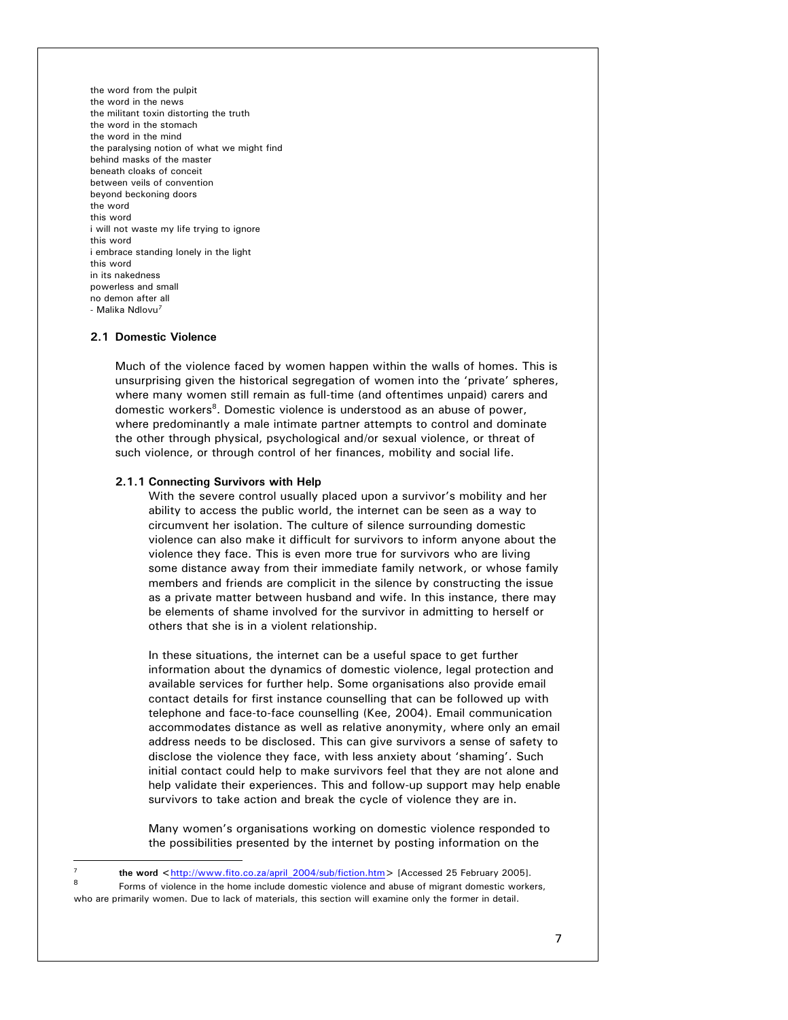the word from the pulpit the word in the news the militant toxin distorting the truth the word in the stomach the word in the mind the paralysing notion of what we might find behind masks of the master beneath cloaks of conceit between veils of convention beyond beckoning doors the word this word i will not waste my life trying to ignore this word i embrace standing lonely in the light this word in its nakedness powerless and small no demon after all - Malika Ndlovu*<sup>7</sup>*

## **2.1 Domestic Violence**

l

Much of the violence faced by women happen within the walls of homes. This is unsurprising given the historical segregation of women into the 'private' spheres, where many women still remain as full-time (and oftentimes unpaid) carers and domestic workers<sup>8</sup>. Domestic violence is understood as an abuse of power, where predominantly a male intimate partner attempts to control and dominate the other through physical, psychological and/or sexual violence, or threat of such violence, or through control of her finances, mobility and social life.

### **2.1.1 Connecting Survivors with Help**

With the severe control usually placed upon a survivor's mobility and her ability to access the public world, the internet can be seen as a way to circumvent her isolation. The culture of silence surrounding domestic violence can also make it difficult for survivors to inform anyone about the violence they face. This is even more true for survivors who are living some distance away from their immediate family network, or whose family members and friends are complicit in the silence by constructing the issue as a private matter between husband and wife. In this instance, there may be elements of shame involved for the survivor in admitting to herself or others that she is in a violent relationship.

In these situations, the internet can be a useful space to get further information about the dynamics of domestic violence, legal protection and available services for further help. Some organisations also provide email contact details for first instance counselling that can be followed up with telephone and face-to-face counselling (Kee, 2004). Email communication accommodates distance as well as relative anonymity, where only an email address needs to be disclosed. This can give survivors a sense of safety to disclose the violence they face, with less anxiety about 'shaming'. Such initial contact could help to make survivors feel that they are not alone and help validate their experiences. This and follow-up support may help enable survivors to take action and break the cycle of violence they are in.

Many women's organisations working on domestic violence responded to the possibilities presented by the internet by posting information on the

<sup>&</sup>lt;sup>7</sup> the word <<u>http://www.fito.co.za/april\_2004/sub/fiction.htm</u>> [Accessed 25 February 2005].

Forms of violence in the home include domestic violence and abuse of migrant domestic workers, who are primarily women. Due to lack of materials, this section will examine only the former in detail.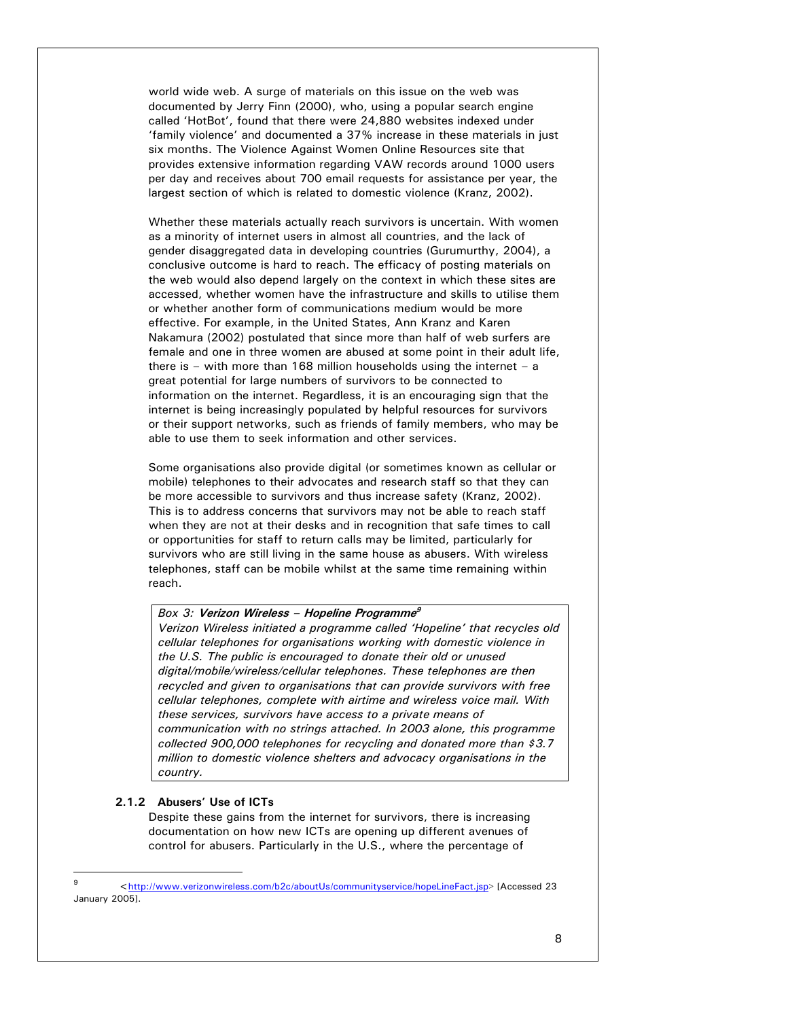world wide web. A surge of materials on this issue on the web was documented by Jerry Finn (2000), who, using a popular search engine called 'HotBot', found that there were 24,880 websites indexed under 'family violence' and documented a 37% increase in these materials in just six months. The Violence Against Women Online Resources site that provides extensive information regarding VAW records around 1000 users per day and receives about 700 email requests for assistance per year, the largest section of which is related to domestic violence (Kranz, 2002).

Whether these materials actually reach survivors is uncertain. With women as a minority of internet users in almost all countries, and the lack of gender disaggregated data in developing countries (Gurumurthy, 2004), a conclusive outcome is hard to reach. The efficacy of posting materials on the web would also depend largely on the context in which these sites are accessed, whether women have the infrastructure and skills to utilise them or whether another form of communications medium would be more effective. For example, in the United States, Ann Kranz and Karen Nakamura (2002) postulated that since more than half of web surfers are female and one in three women are abused at some point in their adult life, there is – with more than 168 million households using the internet – a great potential for large numbers of survivors to be connected to information on the internet. Regardless, it is an encouraging sign that the internet is being increasingly populated by helpful resources for survivors or their support networks, such as friends of family members, who may be able to use them to seek information and other services.

Some organisations also provide digital (or sometimes known as cellular or mobile) telephones to their advocates and research staff so that they can be more accessible to survivors and thus increase safety (Kranz, 2002). This is to address concerns that survivors may not be able to reach staff when they are not at their desks and in recognition that safe times to call or opportunities for staff to return calls may be limited, particularly for survivors who are still living in the same house as abusers. With wireless telephones, staff can be mobile whilst at the same time remaining within reach.

## *Box 3:* **Verizon Wireless – Hopeline Programme<sup>9</sup>**

*Verizon Wireless initiated a programme called 'Hopeline' that recycles old cellular telephones for organisations working with domestic violence in the U.S. The public is encouraged to donate their old or unused digital/mobile/wireless/cellular telephones. These telephones are then recycled and given to organisations that can provide survivors with free cellular telephones, complete with airtime and wireless voice mail. With these services, survivors have access to a private means of communication with no strings attached. In 2003 alone, this programme collected 900,000 telephones for recycling and donated more than \$3.7 million to domestic violence shelters and advocacy organisations in the country.* 

## **2.1.2 Abusers' Use of ICTs**

l

Despite these gains from the internet for survivors, there is increasing documentation on how new ICTs are opening up different avenues of control for abusers. Particularly in the U.S., where the percentage of

<sup>9</sup> <http://www.verizonwireless.com/b2c/aboutUs/communityservice/hopeLineFact.jsp> [Accessed 23 January 2005].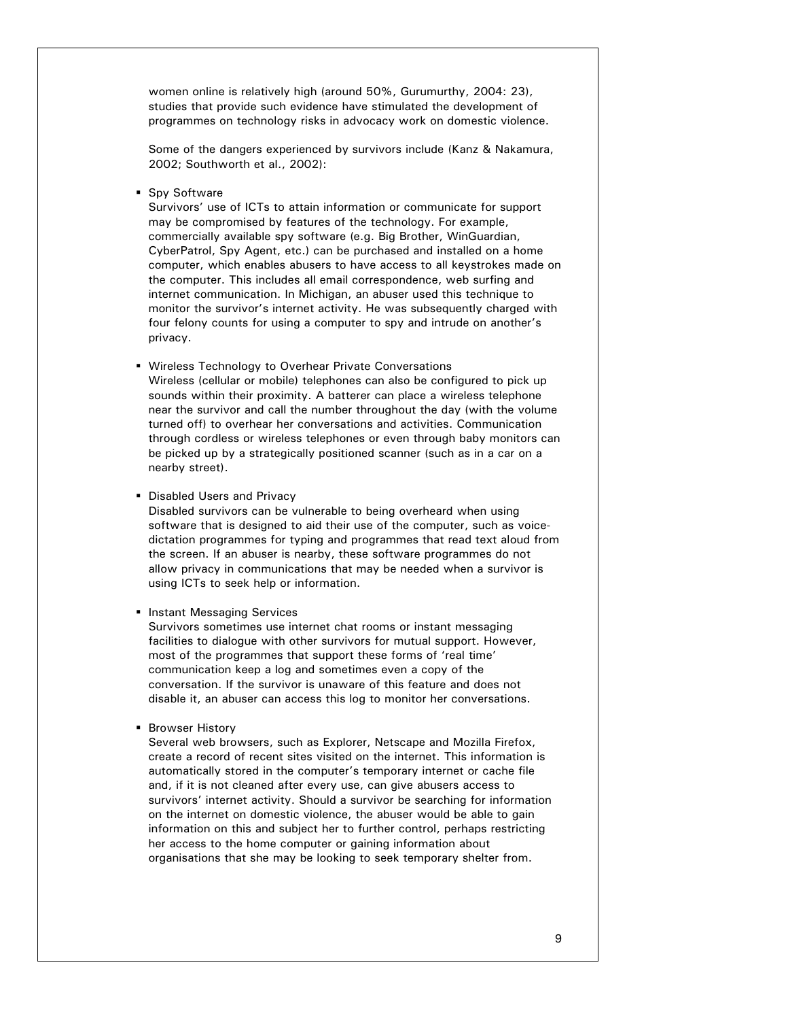women online is relatively high (around 50%, Gurumurthy, 2004: 23), studies that provide such evidence have stimulated the development of programmes on technology risks in advocacy work on domestic violence.

Some of the dangers experienced by survivors include (Kanz & Nakamura, 2002; Southworth et al., 2002):

**Spy Software** 

Survivors' use of ICTs to attain information or communicate for support may be compromised by features of the technology. For example, commercially available spy software (e.g. Big Brother, WinGuardian, CyberPatrol, Spy Agent, etc.) can be purchased and installed on a home computer, which enables abusers to have access to all keystrokes made on the computer. This includes all email correspondence, web surfing and internet communication. In Michigan, an abuser used this technique to monitor the survivor's internet activity. He was subsequently charged with four felony counts for using a computer to spy and intrude on another's privacy.

- Wireless Technology to Overhear Private Conversations Wireless (cellular or mobile) telephones can also be configured to pick up sounds within their proximity. A batterer can place a wireless telephone near the survivor and call the number throughout the day (with the volume turned off) to overhear her conversations and activities. Communication through cordless or wireless telephones or even through baby monitors can be picked up by a strategically positioned scanner (such as in a car on a nearby street).
- **Disabled Users and Privacy**

Disabled survivors can be vulnerable to being overheard when using software that is designed to aid their use of the computer, such as voicedictation programmes for typing and programmes that read text aloud from the screen. If an abuser is nearby, these software programmes do not allow privacy in communications that may be needed when a survivor is using ICTs to seek help or information.

**Instant Messaging Services** 

Survivors sometimes use internet chat rooms or instant messaging facilities to dialogue with other survivors for mutual support. However, most of the programmes that support these forms of 'real time' communication keep a log and sometimes even a copy of the conversation. If the survivor is unaware of this feature and does not disable it, an abuser can access this log to monitor her conversations.

**Browser History** 

Several web browsers, such as Explorer, Netscape and Mozilla Firefox, create a record of recent sites visited on the internet. This information is automatically stored in the computer's temporary internet or cache file and, if it is not cleaned after every use, can give abusers access to survivors' internet activity. Should a survivor be searching for information on the internet on domestic violence, the abuser would be able to gain information on this and subject her to further control, perhaps restricting her access to the home computer or gaining information about organisations that she may be looking to seek temporary shelter from.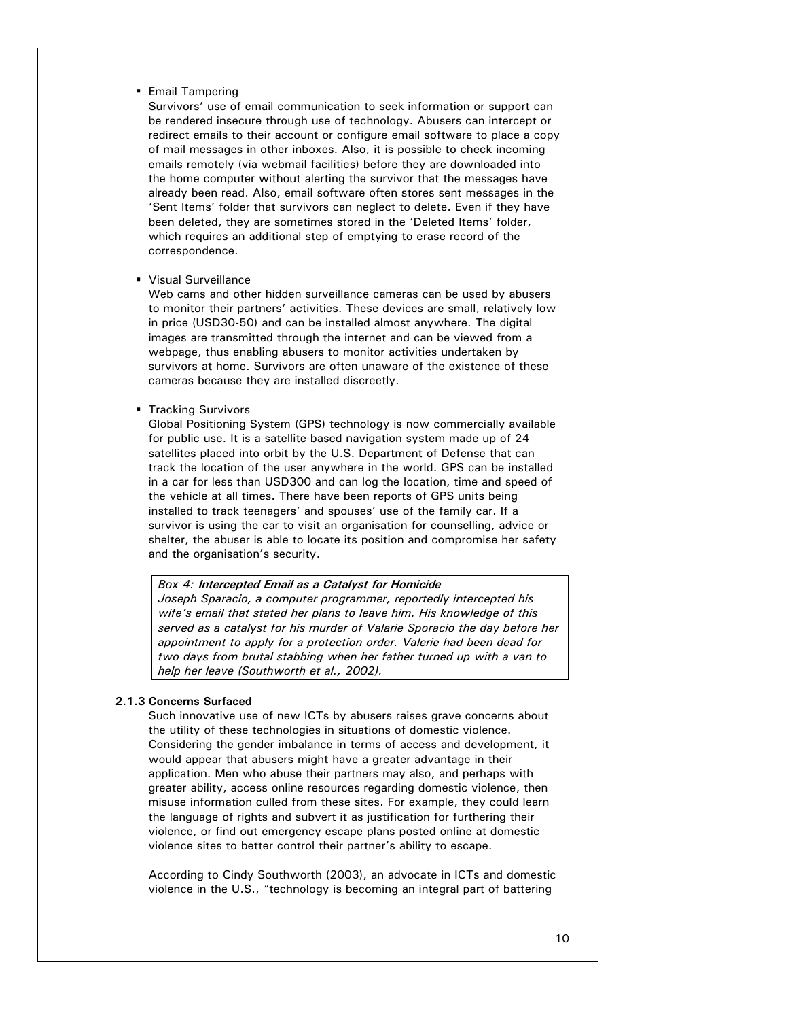# **Email Tampering**

Survivors' use of email communication to seek information or support can be rendered insecure through use of technology. Abusers can intercept or redirect emails to their account or configure email software to place a copy of mail messages in other inboxes. Also, it is possible to check incoming emails remotely (via webmail facilities) before they are downloaded into the home computer without alerting the survivor that the messages have already been read. Also, email software often stores sent messages in the 'Sent Items' folder that survivors can neglect to delete. Even if they have been deleted, they are sometimes stored in the 'Deleted Items' folder, which requires an additional step of emptying to erase record of the correspondence.

Visual Surveillance

Web cams and other hidden surveillance cameras can be used by abusers to monitor their partners' activities. These devices are small, relatively low in price (USD30-50) and can be installed almost anywhere. The digital images are transmitted through the internet and can be viewed from a webpage, thus enabling abusers to monitor activities undertaken by survivors at home. Survivors are often unaware of the existence of these cameras because they are installed discreetly.

**Tracking Survivors** 

Global Positioning System (GPS) technology is now commercially available for public use. It is a satellite-based navigation system made up of 24 satellites placed into orbit by the U.S. Department of Defense that can track the location of the user anywhere in the world. GPS can be installed in a car for less than USD300 and can log the location, time and speed of the vehicle at all times. There have been reports of GPS units being installed to track teenagers' and spouses' use of the family car. If a survivor is using the car to visit an organisation for counselling, advice or shelter, the abuser is able to locate its position and compromise her safety and the organisation's security.

#### *Box 4:* **Intercepted Email as a Catalyst for Homicide**

*Joseph Sparacio, a computer programmer, reportedly intercepted his wife's email that stated her plans to leave him. His knowledge of this served as a catalyst for his murder of Valarie Sporacio the day before her appointment to apply for a protection order. Valerie had been dead for two days from brutal stabbing when her father turned up with a van to help her leave (Southworth et al., 2002).* 

# **2.1.3 Concerns Surfaced**

Such innovative use of new ICTs by abusers raises grave concerns about the utility of these technologies in situations of domestic violence. Considering the gender imbalance in terms of access and development, it would appear that abusers might have a greater advantage in their application. Men who abuse their partners may also, and perhaps with greater ability, access online resources regarding domestic violence, then misuse information culled from these sites. For example, they could learn the language of rights and subvert it as justification for furthering their violence, or find out emergency escape plans posted online at domestic violence sites to better control their partner's ability to escape.

According to Cindy Southworth (2003), an advocate in ICTs and domestic violence in the U.S., "technology is becoming an integral part of battering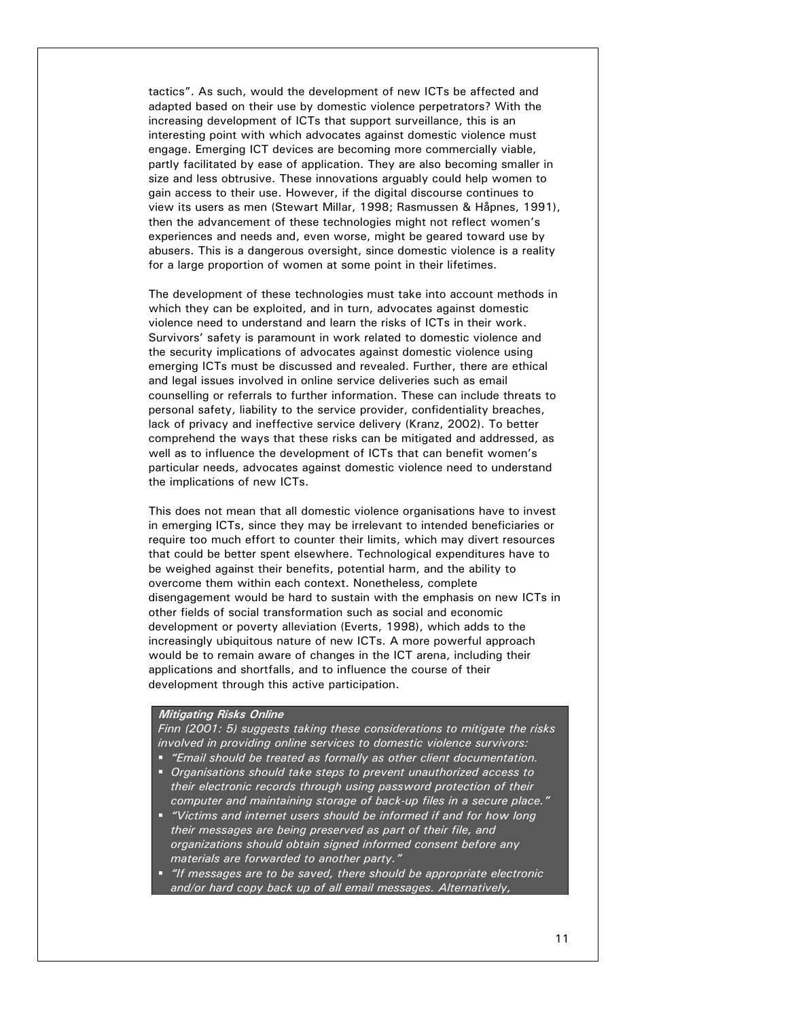tactics". As such, would the development of new ICTs be affected and adapted based on their use by domestic violence perpetrators? With the increasing development of ICTs that support surveillance, this is an interesting point with which advocates against domestic violence must engage. Emerging ICT devices are becoming more commercially viable, partly facilitated by ease of application. They are also becoming smaller in size and less obtrusive. These innovations arguably could help women to gain access to their use. However, if the digital discourse continues to view its users as men (Stewart Millar, 1998; Rasmussen & Håpnes, 1991), then the advancement of these technologies might not reflect women's experiences and needs and, even worse, might be geared toward use by abusers. This is a dangerous oversight, since domestic violence is a reality for a large proportion of women at some point in their lifetimes.

The development of these technologies must take into account methods in which they can be exploited, and in turn, advocates against domestic violence need to understand and learn the risks of ICTs in their work. Survivors' safety is paramount in work related to domestic violence and the security implications of advocates against domestic violence using emerging ICTs must be discussed and revealed. Further, there are ethical and legal issues involved in online service deliveries such as email counselling or referrals to further information. These can include threats to personal safety, liability to the service provider, confidentiality breaches, lack of privacy and ineffective service delivery (Kranz, 2002). To better comprehend the ways that these risks can be mitigated and addressed, as well as to influence the development of ICTs that can benefit women's particular needs, advocates against domestic violence need to understand the implications of new ICTs.

This does not mean that all domestic violence organisations have to invest in emerging ICTs, since they may be irrelevant to intended beneficiaries or require too much effort to counter their limits, which may divert resources that could be better spent elsewhere. Technological expenditures have to be weighed against their benefits, potential harm, and the ability to overcome them within each context. Nonetheless, complete disengagement would be hard to sustain with the emphasis on new ICTs in other fields of social transformation such as social and economic development or poverty alleviation (Everts, 1998), which adds to the increasingly ubiquitous nature of new ICTs. A more powerful approach would be to remain aware of changes in the ICT arena, including their applications and shortfalls, and to influence the course of their development through this active participation.

# **Mitigating Risks Online**

*Finn (2001: 5) suggests taking these considerations to mitigate the risks involved in providing online services to domestic violence survivors:* 

- *"Email should be treated as formally as other client documentation.*
- *Organisations should take steps to prevent unauthorized access to their electronic records through using password protection of their computer and maintaining storage of back-up files in a secure place."*
- *"Victims and internet users should be informed if and for how long their messages are being preserved as part of their file, and organizations should obtain signed informed consent before any materials are forwarded to another party."*
- *"If messages are to be saved, there should be appropriate electronic and/or hard copy back up of all email messages. Alternatively,*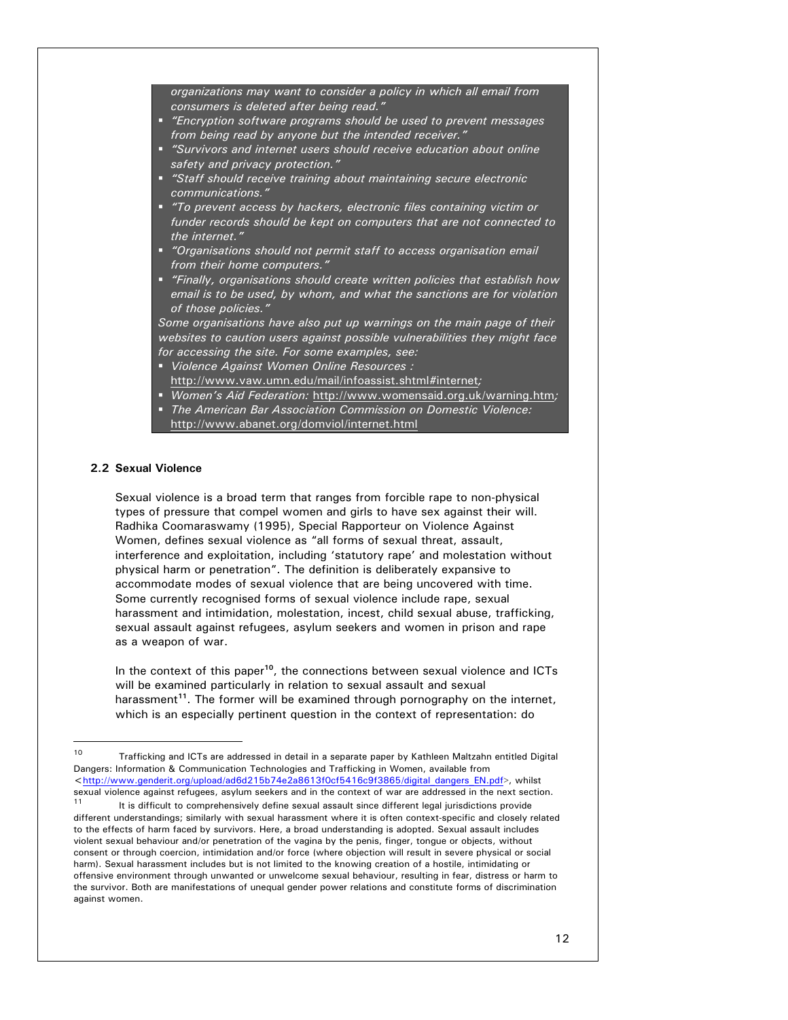*organizations may want to consider a policy in which all email from consumers is deleted after being read."* 

- *"Encryption software programs should be used to prevent messages from being read by anyone but the intended receiver."*
- *"Survivors and internet users should receive education about online safety and privacy protection."*
- *"Staff should receive training about maintaining secure electronic communications."*
- *"To prevent access by hackers, electronic files containing victim or funder records should be kept on computers that are not connected to the internet."*
- *"Organisations should not permit staff to access organisation email from their home computers."*
- *"Finally, organisations should create written policies that establish how email is to be used, by whom, and what the sanctions are for violation of those policies."*

*Some organisations have also put up warnings on the main page of their websites to caution users against possible vulnerabilities they might face for accessing the site. For some examples, see:* 

- *Violence Against Women Online Resources :*
- http://www.vaw.umn.edu/mail/infoassist.shtml#internet*;*
- *Women's Aid Federation:* http://www.womensaid.org.uk/warning.htm*;*
- *The American Bar Association Commission on Domestic Violence:*  http://www.abanet.org/domviol/internet.html

# **2.2 Sexual Violence**

l

Sexual violence is a broad term that ranges from forcible rape to non-physical types of pressure that compel women and girls to have sex against their will. Radhika Coomaraswamy (1995), Special Rapporteur on Violence Against Women, defines sexual violence as "all forms of sexual threat, assault, interference and exploitation, including 'statutory rape' and molestation without physical harm or penetration". The definition is deliberately expansive to accommodate modes of sexual violence that are being uncovered with time. Some currently recognised forms of sexual violence include rape, sexual harassment and intimidation, molestation, incest, child sexual abuse, trafficking, sexual assault against refugees, asylum seekers and women in prison and rape as a weapon of war.

In the context of this paper**<sup>10</sup>**, the connections between sexual violence and ICTs will be examined particularly in relation to sexual assault and sexual harassment**<sup>11</sup>**. The former will be examined through pornography on the internet, which is an especially pertinent question in the context of representation: do

sexual violence against refugees, asylum seekers and in the context of war are addressed in the next section.<br><sup>11</sup> It is difficult to comprehensively define sexual assault since different legal jurisdictions provide different understandings; similarly with sexual harassment where it is often context-specific and closely related to the effects of harm faced by survivors. Here, a broad understanding is adopted. Sexual assault includes violent sexual behaviour and/or penetration of the vagina by the penis, finger, tongue or objects, without consent or through coercion, intimidation and/or force (where objection will result in severe physical or social harm). Sexual harassment includes but is not limited to the knowing creation of a hostile, intimidating or offensive environment through unwanted or unwelcome sexual behaviour, resulting in fear, distress or harm to the survivor. Both are manifestations of unequal gender power relations and constitute forms of discrimination against women.

<sup>&</sup>lt;sup>10</sup> Trafficking and ICTs are addressed in detail in a separate paper by Kathleen Maltzahn entitled Digital Dangers: Information & Communication Technologies and Trafficking in Women, available from <http://www.genderit.org/upload/ad6d215b74e2a8613f0cf5416c9f3865/digital\_dangers\_EN.pdf>, whilst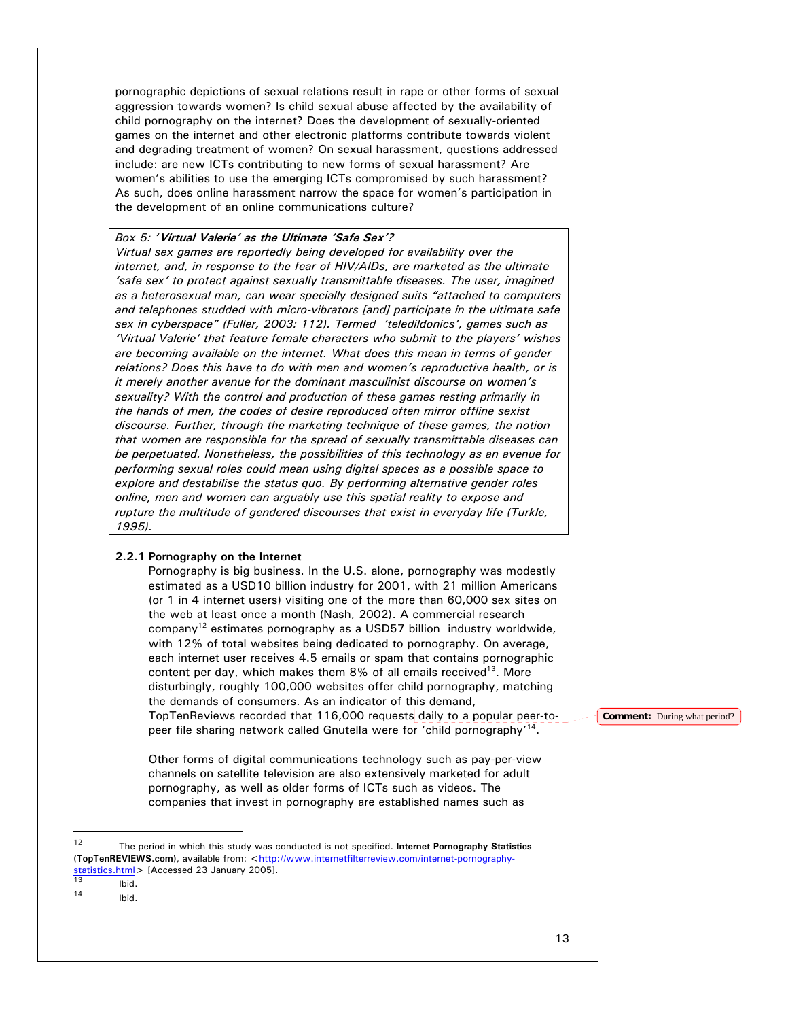pornographic depictions of sexual relations result in rape or other forms of sexual aggression towards women? Is child sexual abuse affected by the availability of child pornography on the internet? Does the development of sexually-oriented games on the internet and other electronic platforms contribute towards violent and degrading treatment of women? On sexual harassment, questions addressed include: are new ICTs contributing to new forms of sexual harassment? Are women's abilities to use the emerging ICTs compromised by such harassment? As such, does online harassment narrow the space for women's participation in the development of an online communications culture?

## *Box 5: '***Virtual Valerie' as the Ultimate 'Safe Sex'?**

*Virtual sex games are reportedly being developed for availability over the internet, and, in response to the fear of HIV/AIDs, are marketed as the ultimate 'safe sex' to protect against sexually transmittable diseases. The user, imagined as a heterosexual man, can wear specially designed suits "attached to computers and telephones studded with micro-vibrators [and] participate in the ultimate safe sex in cyberspace" (Fuller, 2003: 112). Termed 'teledildonics', games such as 'Virtual Valerie' that feature female characters who submit to the players' wishes are becoming available on the internet. What does this mean in terms of gender relations? Does this have to do with men and women's reproductive health, or is it merely another avenue for the dominant masculinist discourse on women's sexuality? With the control and production of these games resting primarily in the hands of men, the codes of desire reproduced often mirror offline sexist discourse. Further, through the marketing technique of these games, the notion that women are responsible for the spread of sexually transmittable diseases can be perpetuated. Nonetheless, the possibilities of this technology as an avenue for performing sexual roles could mean using digital spaces as a possible space to explore and destabilise the status quo. By performing alternative gender roles online, men and women can arguably use this spatial reality to expose and rupture the multitude of gendered discourses that exist in everyday life (Turkle, 1995).* 

## **2.2.1 Pornography on the Internet**

Pornography is big business. In the U.S. alone, pornography was modestly estimated as a USD10 billion industry for 2001, with 21 million Americans (or 1 in 4 internet users) visiting one of the more than 60,000 sex sites on the web at least once a month (Nash, 2002). A commercial research company<sup>12</sup> estimates pornography as a USD57 billion industry worldwide, with 12% of total websites being dedicated to pornography. On average, each internet user receives 4.5 emails or spam that contains pornographic content per day, which makes them  $8\%$  of all emails received<sup>13</sup>. More disturbingly, roughly 100,000 websites offer child pornography, matching the demands of consumers. As an indicator of this demand, TopTenReviews recorded that 116,000 requests daily to a popular peer-topeer file sharing network called Gnutella were for 'child pornography'<sup>14</sup>.

Other forms of digital communications technology such as pay-per-view channels on satellite television are also extensively marketed for adult pornography, as well as older forms of ICTs such as videos. The companies that invest in pornography are established names such as

l

**Comment:** During what period?

<sup>12</sup> The period in which this study was conducted is not specified. **Internet Pornography Statistics**  (TopTenREVIEWS.com), available from: <http://www.internetfilterreview.com/internet-pornographystatistics.html> [Accessed 23 January 2005].<br>  $\frac{13}{13}$  Ibid.

Ibid.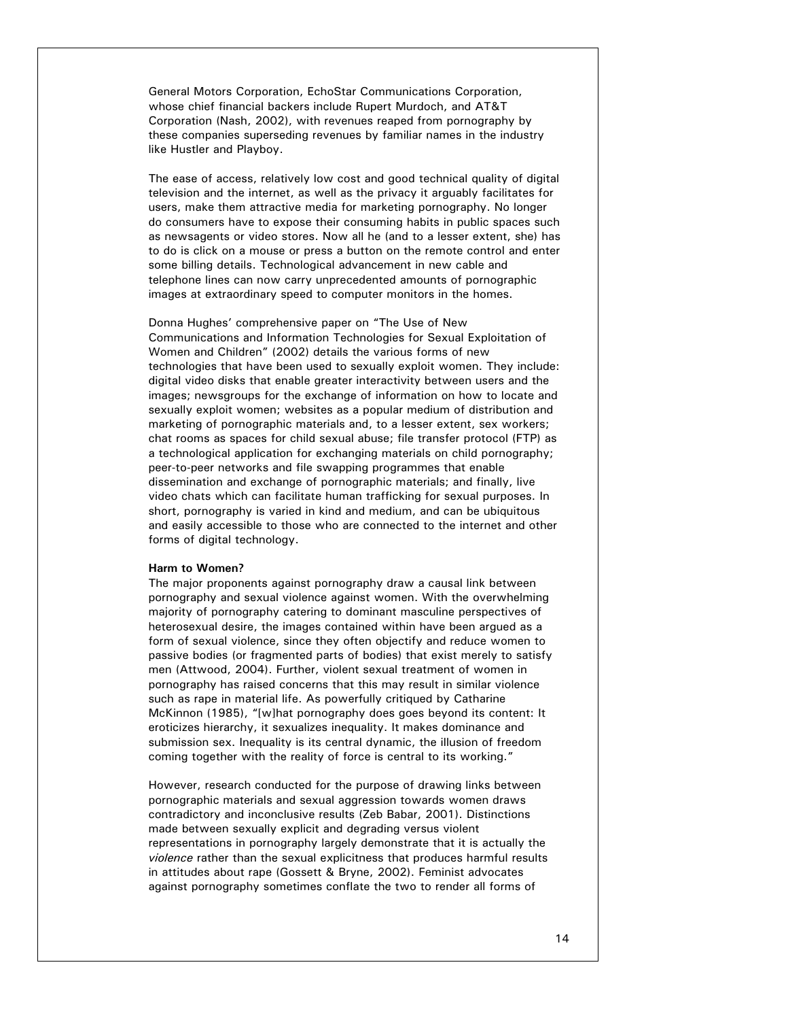General Motors Corporation, EchoStar Communications Corporation, whose chief financial backers include Rupert Murdoch, and AT&T Corporation (Nash, 2002), with revenues reaped from pornography by these companies superseding revenues by familiar names in the industry like Hustler and Playboy.

The ease of access, relatively low cost and good technical quality of digital television and the internet, as well as the privacy it arguably facilitates for users, make them attractive media for marketing pornography. No longer do consumers have to expose their consuming habits in public spaces such as newsagents or video stores. Now all he (and to a lesser extent, she) has to do is click on a mouse or press a button on the remote control and enter some billing details. Technological advancement in new cable and telephone lines can now carry unprecedented amounts of pornographic images at extraordinary speed to computer monitors in the homes.

Donna Hughes' comprehensive paper on "The Use of New Communications and Information Technologies for Sexual Exploitation of Women and Children" (2002) details the various forms of new technologies that have been used to sexually exploit women. They include: digital video disks that enable greater interactivity between users and the images; newsgroups for the exchange of information on how to locate and sexually exploit women; websites as a popular medium of distribution and marketing of pornographic materials and, to a lesser extent, sex workers; chat rooms as spaces for child sexual abuse; file transfer protocol (FTP) as a technological application for exchanging materials on child pornography; peer-to-peer networks and file swapping programmes that enable dissemination and exchange of pornographic materials; and finally, live video chats which can facilitate human trafficking for sexual purposes. In short, pornography is varied in kind and medium, and can be ubiquitous and easily accessible to those who are connected to the internet and other forms of digital technology.

#### **Harm to Women?**

The major proponents against pornography draw a causal link between pornography and sexual violence against women. With the overwhelming majority of pornography catering to dominant masculine perspectives of heterosexual desire, the images contained within have been argued as a form of sexual violence, since they often objectify and reduce women to passive bodies (or fragmented parts of bodies) that exist merely to satisfy men (Attwood, 2004). Further, violent sexual treatment of women in pornography has raised concerns that this may result in similar violence such as rape in material life. As powerfully critiqued by Catharine McKinnon (1985), "[w]hat pornography does goes beyond its content: It eroticizes hierarchy, it sexualizes inequality. It makes dominance and submission sex. Inequality is its central dynamic, the illusion of freedom coming together with the reality of force is central to its working."

However, research conducted for the purpose of drawing links between pornographic materials and sexual aggression towards women draws contradictory and inconclusive results (Zeb Babar, 2001). Distinctions made between sexually explicit and degrading versus violent representations in pornography largely demonstrate that it is actually the *violence* rather than the sexual explicitness that produces harmful results in attitudes about rape (Gossett & Bryne, 2002). Feminist advocates against pornography sometimes conflate the two to render all forms of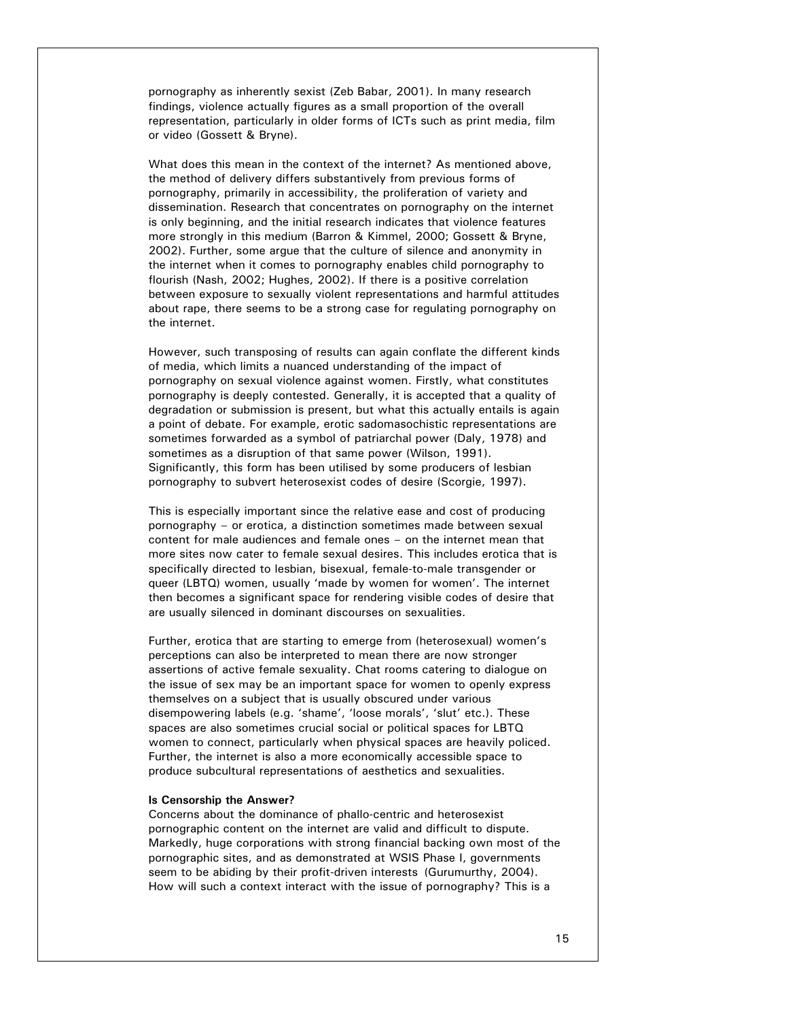pornography as inherently sexist (Zeb Babar, 2001). In many research findings, violence actually figures as a small proportion of the overall representation, particularly in older forms of ICTs such as print media, film or video (Gossett & Bryne).

What does this mean in the context of the internet? As mentioned above, the method of delivery differs substantively from previous forms of pornography, primarily in accessibility, the proliferation of variety and dissemination. Research that concentrates on pornography on the internet is only beginning, and the initial research indicates that violence features more strongly in this medium (Barron & Kimmel, 2000; Gossett & Bryne, 2002). Further, some argue that the culture of silence and anonymity in the internet when it comes to pornography enables child pornography to flourish (Nash, 2002; Hughes, 2002). If there is a positive correlation between exposure to sexually violent representations and harmful attitudes about rape, there seems to be a strong case for regulating pornography on the internet.

However, such transposing of results can again conflate the different kinds of media, which limits a nuanced understanding of the impact of pornography on sexual violence against women. Firstly, what constitutes pornography is deeply contested. Generally, it is accepted that a quality of degradation or submission is present, but what this actually entails is again a point of debate. For example, erotic sadomasochistic representations are sometimes forwarded as a symbol of patriarchal power (Daly, 1978) and sometimes as a disruption of that same power (Wilson, 1991). Significantly, this form has been utilised by some producers of lesbian pornography to subvert heterosexist codes of desire (Scorgie, 1997).

This is especially important since the relative ease and cost of producing pornography – or erotica, a distinction sometimes made between sexual content for male audiences and female ones – on the internet mean that more sites now cater to female sexual desires. This includes erotica that is specifically directed to lesbian, bisexual, female-to-male transgender or queer (LBTQ) women, usually 'made by women for women'. The internet then becomes a significant space for rendering visible codes of desire that are usually silenced in dominant discourses on sexualities.

Further, erotica that are starting to emerge from (heterosexual) women's perceptions can also be interpreted to mean there are now stronger assertions of active female sexuality. Chat rooms catering to dialogue on the issue of sex may be an important space for women to openly express themselves on a subject that is usually obscured under various disempowering labels (e.g. 'shame', 'loose morals', 'slut' etc.). These spaces are also sometimes crucial social or political spaces for LBTQ women to connect, particularly when physical spaces are heavily policed. Further, the internet is also a more economically accessible space to produce subcultural representations of aesthetics and sexualities.

### **Is Censorship the Answer?**

Concerns about the dominance of phallo-centric and heterosexist pornographic content on the internet are valid and difficult to dispute. Markedly, huge corporations with strong financial backing own most of the pornographic sites, and as demonstrated at WSIS Phase I, governments seem to be abiding by their profit-driven interests (Gurumurthy, 2004). How will such a context interact with the issue of pornography? This is a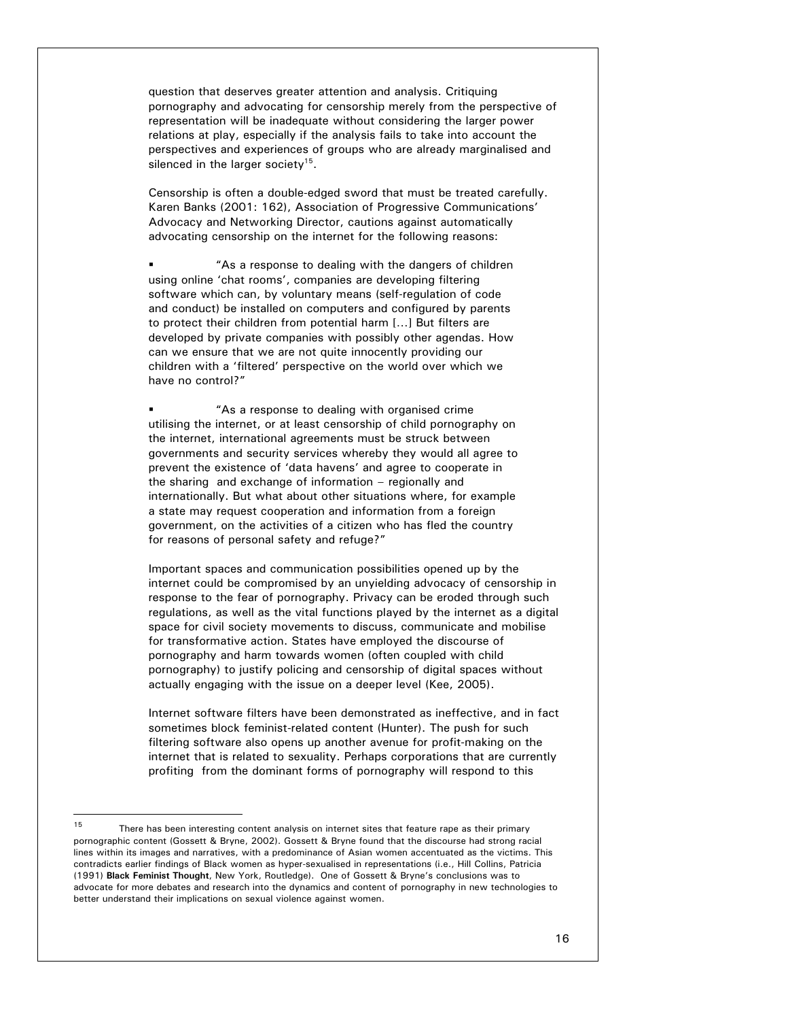question that deserves greater attention and analysis. Critiquing pornography and advocating for censorship merely from the perspective of representation will be inadequate without considering the larger power relations at play, especially if the analysis fails to take into account the perspectives and experiences of groups who are already marginalised and silenced in the larger society<sup>15</sup>.

Censorship is often a double-edged sword that must be treated carefully. Karen Banks (2001: 162), Association of Progressive Communications' Advocacy and Networking Director, cautions against automatically advocating censorship on the internet for the following reasons:

 "As a response to dealing with the dangers of children using online 'chat rooms', companies are developing filtering software which can, by voluntary means (self-regulation of code and conduct) be installed on computers and configured by parents to protect their children from potential harm […] But filters are developed by private companies with possibly other agendas. How can we ensure that we are not quite innocently providing our children with a 'filtered' perspective on the world over which we have no control?"

 "As a response to dealing with organised crime utilising the internet, or at least censorship of child pornography on the internet, international agreements must be struck between governments and security services whereby they would all agree to prevent the existence of 'data havens' and agree to cooperate in the sharing and exchange of information – regionally and internationally. But what about other situations where, for example a state may request cooperation and information from a foreign government, on the activities of a citizen who has fled the country for reasons of personal safety and refuge?"

Important spaces and communication possibilities opened up by the internet could be compromised by an unyielding advocacy of censorship in response to the fear of pornography. Privacy can be eroded through such regulations, as well as the vital functions played by the internet as a digital space for civil society movements to discuss, communicate and mobilise for transformative action. States have employed the discourse of pornography and harm towards women (often coupled with child pornography) to justify policing and censorship of digital spaces without actually engaging with the issue on a deeper level (Kee, 2005).

Internet software filters have been demonstrated as ineffective, and in fact sometimes block feminist-related content (Hunter). The push for such filtering software also opens up another avenue for profit-making on the internet that is related to sexuality. Perhaps corporations that are currently profiting from the dominant forms of pornography will respond to this

 $\overline{a}$ 

<sup>&</sup>lt;sup>15</sup> There has been interesting content analysis on internet sites that feature rape as their primary pornographic content (Gossett & Bryne, 2002). Gossett & Bryne found that the discourse had strong racial lines within its images and narratives, with a predominance of Asian women accentuated as the victims. This contradicts earlier findings of Black women as hyper-sexualised in representations (i.e., Hill Collins, Patricia (1991) **Black Feminist Thought**, New York, Routledge). One of Gossett & Bryne's conclusions was to advocate for more debates and research into the dynamics and content of pornography in new technologies to better understand their implications on sexual violence against women.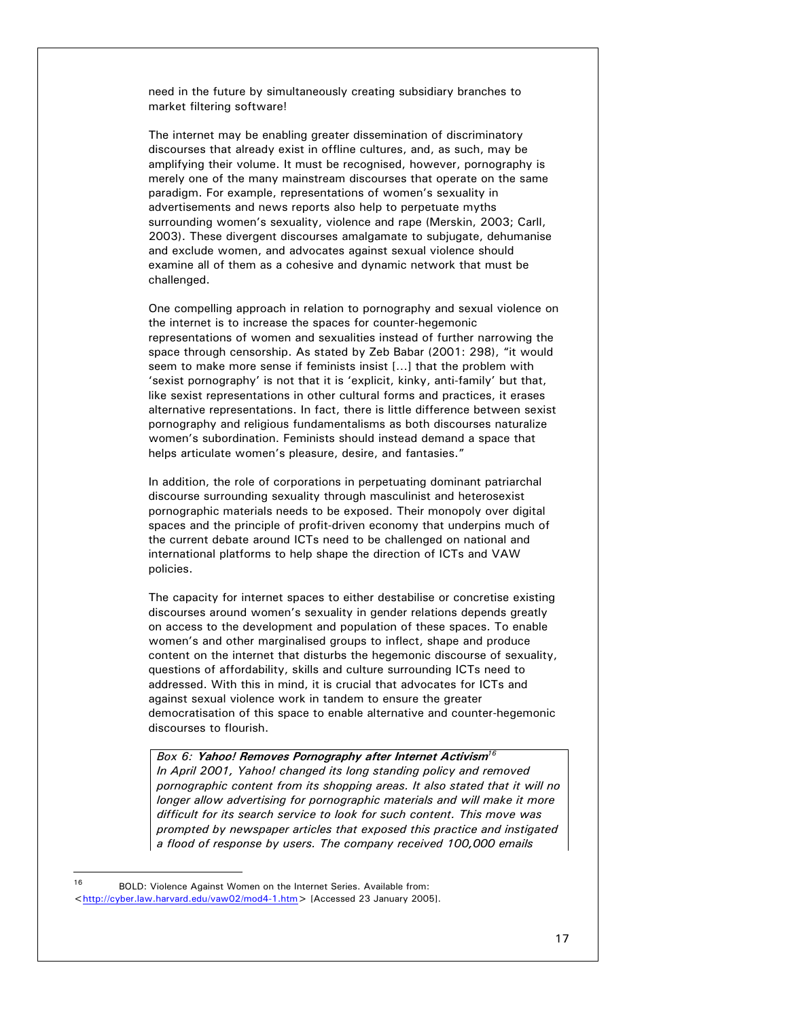need in the future by simultaneously creating subsidiary branches to market filtering software!

The internet may be enabling greater dissemination of discriminatory discourses that already exist in offline cultures, and, as such, may be amplifying their volume. It must be recognised, however, pornography is merely one of the many mainstream discourses that operate on the same paradigm. For example, representations of women's sexuality in advertisements and news reports also help to perpetuate myths surrounding women's sexuality, violence and rape (Merskin, 2003; Carll, 2003). These divergent discourses amalgamate to subjugate, dehumanise and exclude women, and advocates against sexual violence should examine all of them as a cohesive and dynamic network that must be challenged.

One compelling approach in relation to pornography and sexual violence on the internet is to increase the spaces for counter-hegemonic representations of women and sexualities instead of further narrowing the space through censorship. As stated by Zeb Babar (2001: 298), "it would seem to make more sense if feminists insist […] that the problem with 'sexist pornography' is not that it is 'explicit, kinky, anti-family' but that, like sexist representations in other cultural forms and practices, it erases alternative representations. In fact, there is little difference between sexist pornography and religious fundamentalisms as both discourses naturalize women's subordination. Feminists should instead demand a space that helps articulate women's pleasure, desire, and fantasies."

In addition, the role of corporations in perpetuating dominant patriarchal discourse surrounding sexuality through masculinist and heterosexist pornographic materials needs to be exposed. Their monopoly over digital spaces and the principle of profit-driven economy that underpins much of the current debate around ICTs need to be challenged on national and international platforms to help shape the direction of ICTs and VAW policies.

The capacity for internet spaces to either destabilise or concretise existing discourses around women's sexuality in gender relations depends greatly on access to the development and population of these spaces. To enable women's and other marginalised groups to inflect, shape and produce content on the internet that disturbs the hegemonic discourse of sexuality, questions of affordability, skills and culture surrounding ICTs need to addressed. With this in mind, it is crucial that advocates for ICTs and against sexual violence work in tandem to ensure the greater democratisation of this space to enable alternative and counter-hegemonic discourses to flourish.

*Box 6:* **Yahoo! Removes Pornography after Internet Activism***<sup>16</sup> In April 2001, Yahoo! changed its long standing policy and removed pornographic content from its shopping areas. It also stated that it will no longer allow advertising for pornographic materials and will make it more difficult for its search service to look for such content. This move was prompted by newspaper articles that exposed this practice and instigated a flood of response by users. The company received 100,000 emails* 

l

<sup>16</sup> BOLD: Violence Against Women on the Internet Series. Available from: <http://cyber.law.harvard.edu/vaw02/mod4-1.htm> [Accessed 23 January 2005].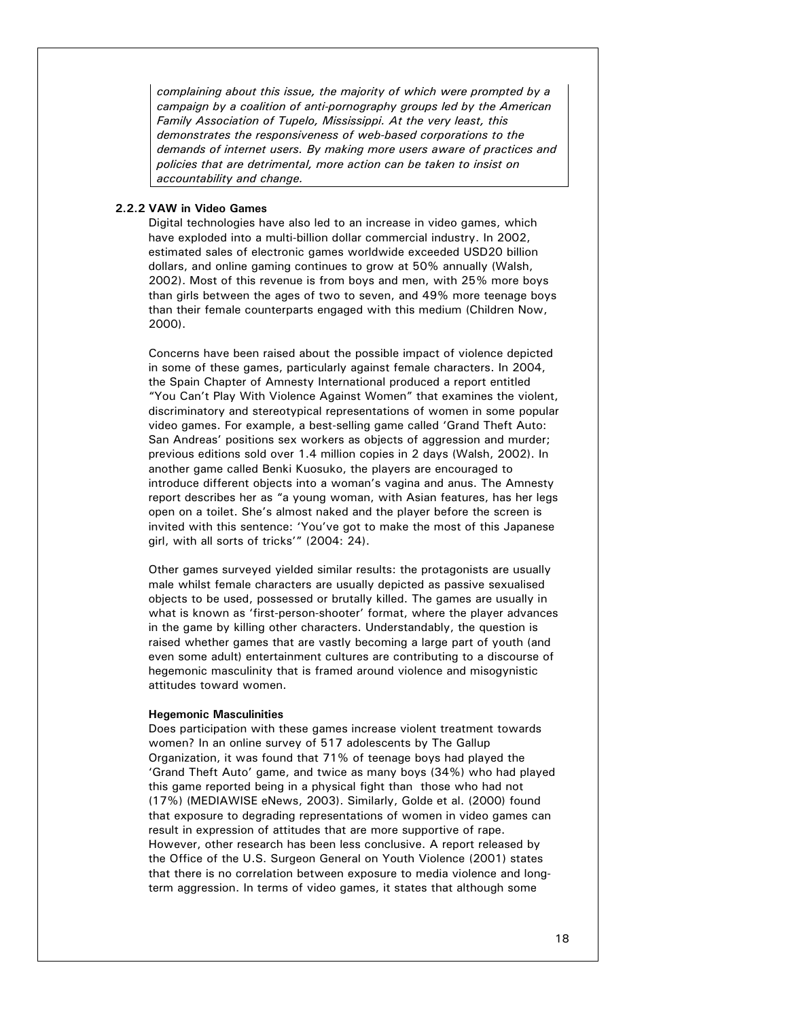*complaining about this issue, the majority of which were prompted by a campaign by a coalition of anti-pornography groups led by the American Family Association of Tupelo, Mississippi. At the very least, this demonstrates the responsiveness of web-based corporations to the demands of internet users. By making more users aware of practices and policies that are detrimental, more action can be taken to insist on accountability and change.* 

# **2.2.2 VAW in Video Games**

Digital technologies have also led to an increase in video games, which have exploded into a multi-billion dollar commercial industry. In 2002, estimated sales of electronic games worldwide exceeded USD20 billion dollars, and online gaming continues to grow at 50% annually (Walsh, 2002). Most of this revenue is from boys and men, with 25% more boys than girls between the ages of two to seven, and 49% more teenage boys than their female counterparts engaged with this medium (Children Now, 2000).

Concerns have been raised about the possible impact of violence depicted in some of these games, particularly against female characters. In 2004, the Spain Chapter of Amnesty International produced a report entitled "You Can't Play With Violence Against Women" that examines the violent, discriminatory and stereotypical representations of women in some popular video games. For example, a best-selling game called 'Grand Theft Auto: San Andreas' positions sex workers as objects of aggression and murder; previous editions sold over 1.4 million copies in 2 days (Walsh, 2002). In another game called Benki Kuosuko, the players are encouraged to introduce different objects into a woman's vagina and anus. The Amnesty report describes her as "a young woman, with Asian features, has her legs open on a toilet. She's almost naked and the player before the screen is invited with this sentence: 'You've got to make the most of this Japanese girl, with all sorts of tricks'" (2004: 24).

Other games surveyed yielded similar results: the protagonists are usually male whilst female characters are usually depicted as passive sexualised objects to be used, possessed or brutally killed. The games are usually in what is known as 'first-person-shooter' format, where the player advances in the game by killing other characters. Understandably, the question is raised whether games that are vastly becoming a large part of youth (and even some adult) entertainment cultures are contributing to a discourse of hegemonic masculinity that is framed around violence and misogynistic attitudes toward women.

### **Hegemonic Masculinities**

Does participation with these games increase violent treatment towards women? In an online survey of 517 adolescents by The Gallup Organization, it was found that 71% of teenage boys had played the 'Grand Theft Auto' game, and twice as many boys (34%) who had played this game reported being in a physical fight than those who had not (17%) (MEDIAWISE eNews, 2003). Similarly, Golde et al. (2000) found that exposure to degrading representations of women in video games can result in expression of attitudes that are more supportive of rape. However, other research has been less conclusive. A report released by the Office of the U.S. Surgeon General on Youth Violence (2001) states that there is no correlation between exposure to media violence and longterm aggression. In terms of video games, it states that although some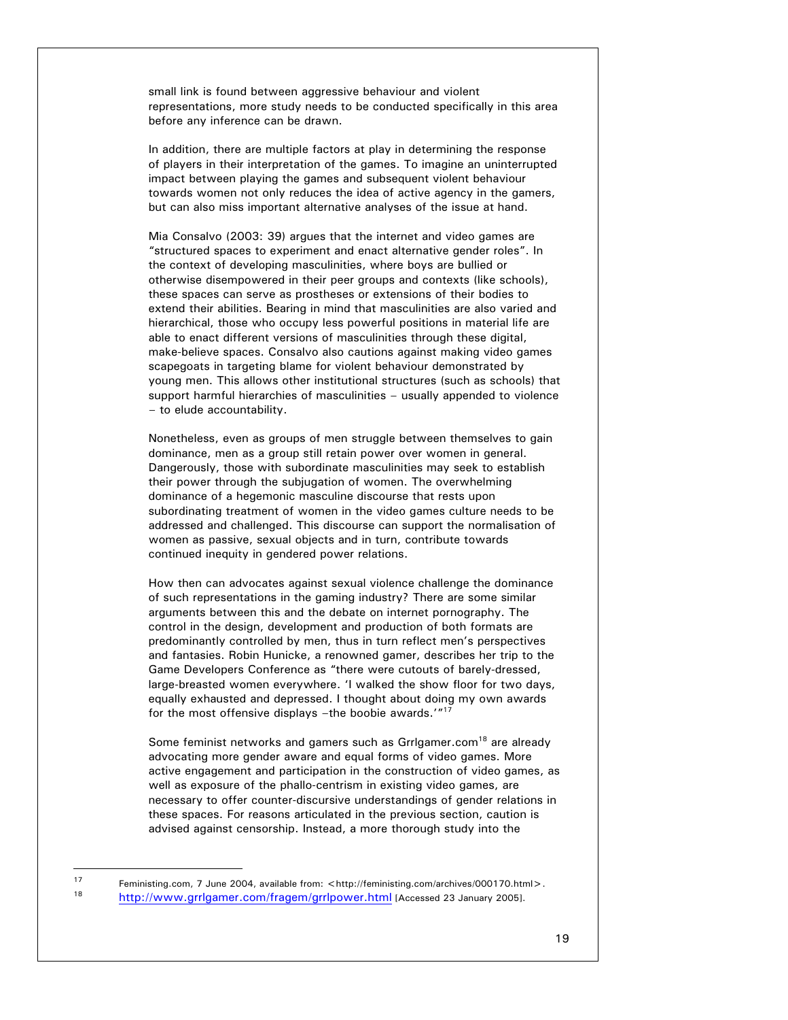small link is found between aggressive behaviour and violent representations, more study needs to be conducted specifically in this area before any inference can be drawn.

In addition, there are multiple factors at play in determining the response of players in their interpretation of the games. To imagine an uninterrupted impact between playing the games and subsequent violent behaviour towards women not only reduces the idea of active agency in the gamers, but can also miss important alternative analyses of the issue at hand.

Mia Consalvo (2003: 39) argues that the internet and video games are "structured spaces to experiment and enact alternative gender roles". In the context of developing masculinities, where boys are bullied or otherwise disempowered in their peer groups and contexts (like schools), these spaces can serve as prostheses or extensions of their bodies to extend their abilities. Bearing in mind that masculinities are also varied and hierarchical, those who occupy less powerful positions in material life are able to enact different versions of masculinities through these digital, make-believe spaces. Consalvo also cautions against making video games scapegoats in targeting blame for violent behaviour demonstrated by young men. This allows other institutional structures (such as schools) that support harmful hierarchies of masculinities – usually appended to violence – to elude accountability.

Nonetheless, even as groups of men struggle between themselves to gain dominance, men as a group still retain power over women in general. Dangerously, those with subordinate masculinities may seek to establish their power through the subjugation of women. The overwhelming dominance of a hegemonic masculine discourse that rests upon subordinating treatment of women in the video games culture needs to be addressed and challenged. This discourse can support the normalisation of women as passive, sexual objects and in turn, contribute towards continued inequity in gendered power relations.

How then can advocates against sexual violence challenge the dominance of such representations in the gaming industry? There are some similar arguments between this and the debate on internet pornography. The control in the design, development and production of both formats are predominantly controlled by men, thus in turn reflect men's perspectives and fantasies. Robin Hunicke, a renowned gamer, describes her trip to the Game Developers Conference as "there were cutouts of barely-dressed, large-breasted women everywhere. 'I walked the show floor for two days, equally exhausted and depressed. I thought about doing my own awards for the most offensive displays –the boobie awards.'"<sup>17</sup>

Some feminist networks and gamers such as Grrigamer.com<sup>18</sup> are already advocating more gender aware and equal forms of video games. More active engagement and participation in the construction of video games, as well as exposure of the phallo-centrism in existing video games, are necessary to offer counter-discursive understandings of gender relations in these spaces. For reasons articulated in the previous section, caution is advised against censorship. Instead, a more thorough study into the

l

<sup>17</sup> Feministing.com, 7 June 2004, available from: <http://feministing.com/archives/000170.html>.<br>18 http://www.arrigomer.com/frequent/arrigomer.html 10.com/archives/000170.html>. 18 http://www.grrlgamer.com/fragem/grrlpower.html [Accessed 23 January 2005].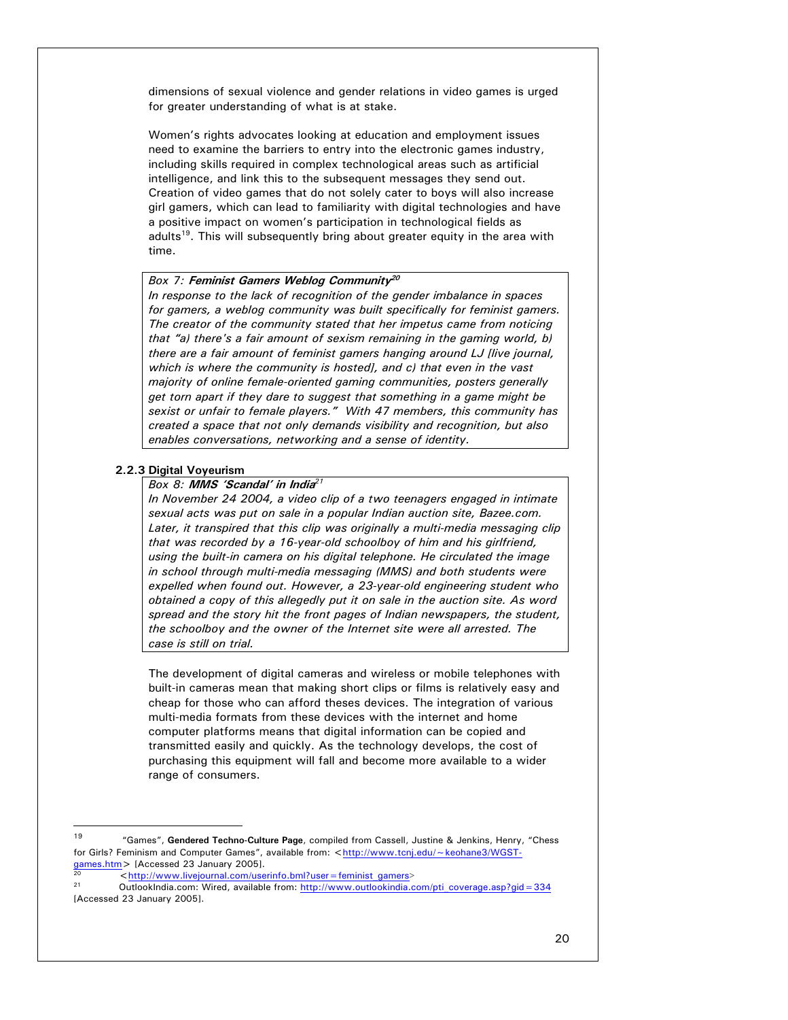dimensions of sexual violence and gender relations in video games is urged for greater understanding of what is at stake.

Women's rights advocates looking at education and employment issues need to examine the barriers to entry into the electronic games industry, including skills required in complex technological areas such as artificial intelligence, and link this to the subsequent messages they send out. Creation of video games that do not solely cater to boys will also increase girl gamers, which can lead to familiarity with digital technologies and have a positive impact on women's participation in technological fields as adults<sup>19</sup>. This will subsequently bring about greater equity in the area with time.

# *Box 7:* **Feminist Gamers Weblog Community<sup>20</sup>**

*In response to the lack of recognition of the gender imbalance in spaces for gamers, a weblog community was built specifically for feminist gamers. The creator of the community stated that her impetus came from noticing that "a) there's a fair amount of sexism remaining in the gaming world, b) there are a fair amount of feminist gamers hanging around LJ [live journal, which is where the community is hosted], and c) that even in the vast majority of online female-oriented gaming communities, posters generally get torn apart if they dare to suggest that something in a game might be sexist or unfair to female players." With 47 members, this community has created a space that not only demands visibility and recognition, but also enables conversations, networking and a sense of identity.* 

# **2.2.3 Digital Voyeurism**

 $\overline{a}$ 

# *Box 8:* **MMS 'Scandal' in India***<sup>21</sup>*

*In November 24 2004, a video clip of a two teenagers engaged in intimate sexual acts was put on sale in a popular Indian auction site, Bazee.com. Later, it transpired that this clip was originally a multi-media messaging clip that was recorded by a 16-year-old schoolboy of him and his girlfriend, using the built-in camera on his digital telephone. He circulated the image in school through multi-media messaging (MMS) and both students were expelled when found out. However, a 23-year-old engineering student who obtained a copy of this allegedly put it on sale in the auction site. As word spread and the story hit the front pages of Indian newspapers, the student, the schoolboy and the owner of the Internet site were all arrested. The case is still on trial.* 

The development of digital cameras and wireless or mobile telephones with built-in cameras mean that making short clips or films is relatively easy and cheap for those who can afford theses devices. The integration of various multi-media formats from these devices with the internet and home computer platforms means that digital information can be copied and transmitted easily and quickly. As the technology develops, the cost of purchasing this equipment will fall and become more available to a wider range of consumers.

 $\frac{20}{\text{http://www.livejournal.com/userinfo.bm?user=feminist\ gamers}}$ 

<sup>19 &</sup>quot;Games", **Gendered Techno-Culture Page**, compiled from Cassell, Justine & Jenkins, Henry, "Chess for Girls? Feminism and Computer Games", available from: <http://www.tcnj.edu/~keohane3/WGST-<br>games.htm > [Accessed 23 January 2005].

<sup>21</sup> OutlookIndia.com: Wired, available from: http://www.outlookindia.com/pti\_coverage.asp?gid=334 [Accessed 23 January 2005].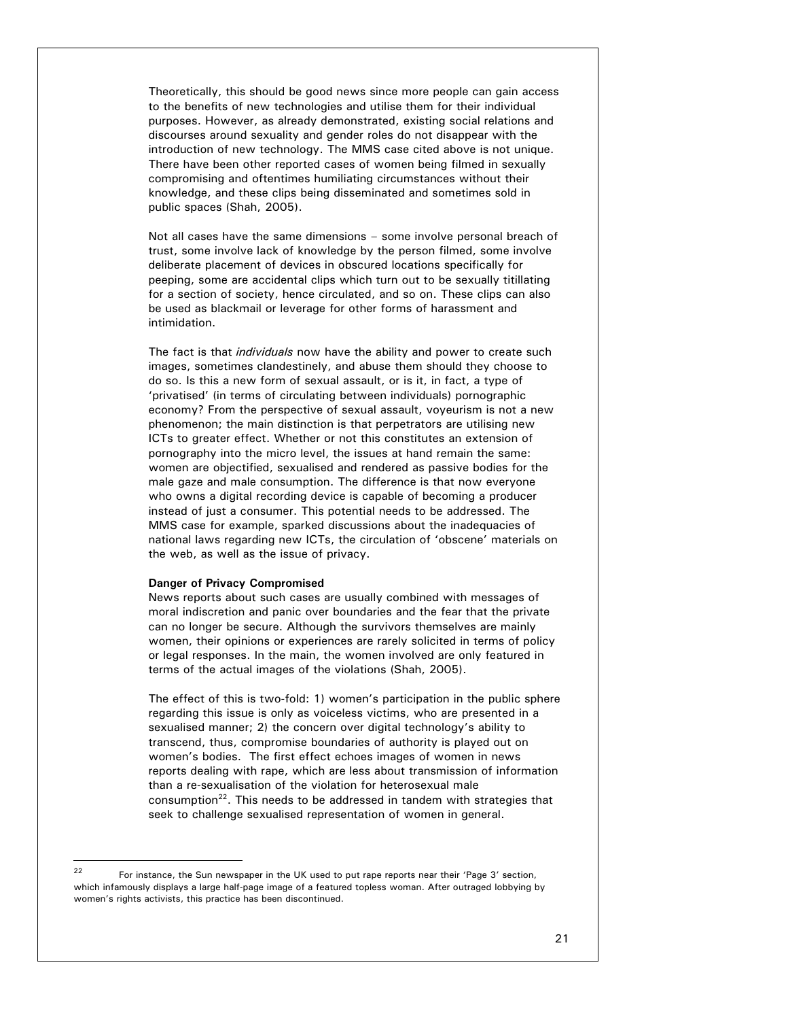Theoretically, this should be good news since more people can gain access to the benefits of new technologies and utilise them for their individual purposes. However, as already demonstrated, existing social relations and discourses around sexuality and gender roles do not disappear with the introduction of new technology. The MMS case cited above is not unique. There have been other reported cases of women being filmed in sexually compromising and oftentimes humiliating circumstances without their knowledge, and these clips being disseminated and sometimes sold in public spaces (Shah, 2005).

Not all cases have the same dimensions – some involve personal breach of trust, some involve lack of knowledge by the person filmed, some involve deliberate placement of devices in obscured locations specifically for peeping, some are accidental clips which turn out to be sexually titillating for a section of society, hence circulated, and so on. These clips can also be used as blackmail or leverage for other forms of harassment and intimidation.

The fact is that *individuals* now have the ability and power to create such images, sometimes clandestinely, and abuse them should they choose to do so. Is this a new form of sexual assault, or is it, in fact, a type of 'privatised' (in terms of circulating between individuals) pornographic economy? From the perspective of sexual assault, voyeurism is not a new phenomenon; the main distinction is that perpetrators are utilising new ICTs to greater effect. Whether or not this constitutes an extension of pornography into the micro level, the issues at hand remain the same: women are objectified, sexualised and rendered as passive bodies for the male gaze and male consumption. The difference is that now everyone who owns a digital recording device is capable of becoming a producer instead of just a consumer. This potential needs to be addressed. The MMS case for example, sparked discussions about the inadequacies of national laws regarding new ICTs, the circulation of 'obscene' materials on the web, as well as the issue of privacy.

#### **Danger of Privacy Compromised**

News reports about such cases are usually combined with messages of moral indiscretion and panic over boundaries and the fear that the private can no longer be secure. Although the survivors themselves are mainly women, their opinions or experiences are rarely solicited in terms of policy or legal responses. In the main, the women involved are only featured in terms of the actual images of the violations (Shah, 2005).

The effect of this is two-fold: 1) women's participation in the public sphere regarding this issue is only as voiceless victims, who are presented in a sexualised manner; 2) the concern over digital technology's ability to transcend, thus, compromise boundaries of authority is played out on women's bodies. The first effect echoes images of women in news reports dealing with rape, which are less about transmission of information than a re-sexualisation of the violation for heterosexual male consumption<sup>22</sup>. This needs to be addressed in tandem with strategies that seek to challenge sexualised representation of women in general.

 $22$ 22 For instance, the Sun newspaper in the UK used to put rape reports near their 'Page 3' section, which infamously displays a large half-page image of a featured topless woman. After outraged lobbying by women's rights activists, this practice has been discontinued.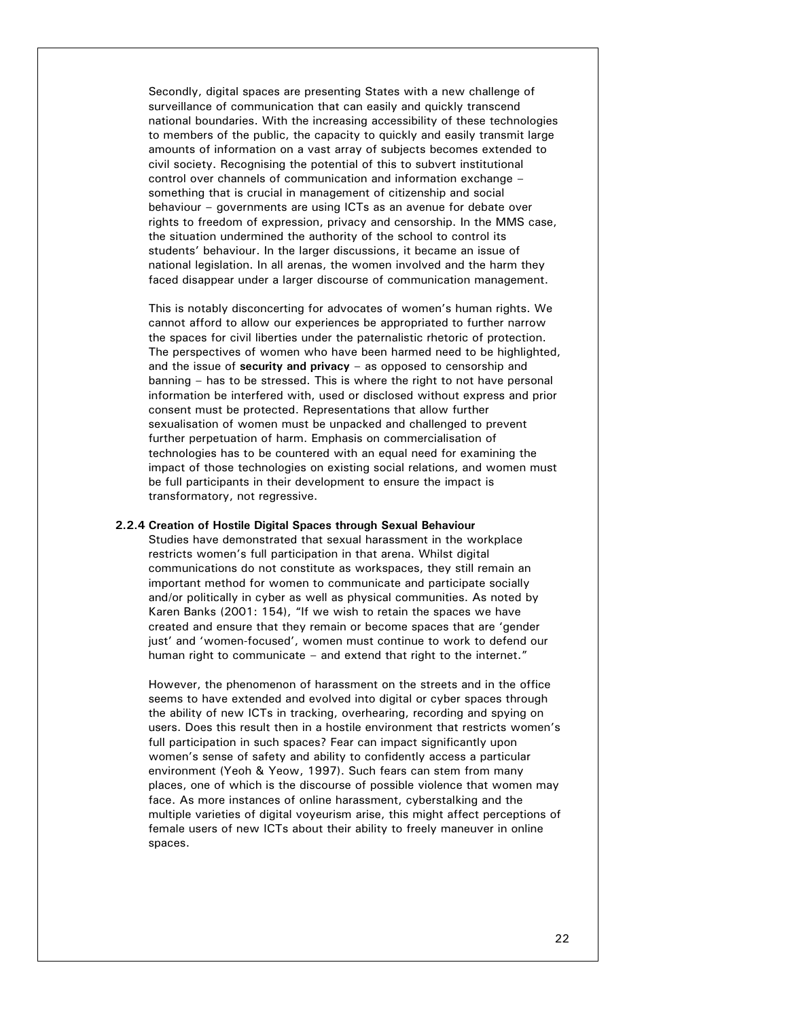Secondly, digital spaces are presenting States with a new challenge of surveillance of communication that can easily and quickly transcend national boundaries. With the increasing accessibility of these technologies to members of the public, the capacity to quickly and easily transmit large amounts of information on a vast array of subjects becomes extended to civil society. Recognising the potential of this to subvert institutional control over channels of communication and information exchange – something that is crucial in management of citizenship and social behaviour – governments are using ICTs as an avenue for debate over rights to freedom of expression, privacy and censorship. In the MMS case, the situation undermined the authority of the school to control its students' behaviour. In the larger discussions, it became an issue of national legislation. In all arenas, the women involved and the harm they faced disappear under a larger discourse of communication management.

This is notably disconcerting for advocates of women's human rights. We cannot afford to allow our experiences be appropriated to further narrow the spaces for civil liberties under the paternalistic rhetoric of protection. The perspectives of women who have been harmed need to be highlighted, and the issue of **security and privacy** – as opposed to censorship and banning – has to be stressed. This is where the right to not have personal information be interfered with, used or disclosed without express and prior consent must be protected. Representations that allow further sexualisation of women must be unpacked and challenged to prevent further perpetuation of harm. Emphasis on commercialisation of technologies has to be countered with an equal need for examining the impact of those technologies on existing social relations, and women must be full participants in their development to ensure the impact is transformatory, not regressive.

#### **2.2.4 Creation of Hostile Digital Spaces through Sexual Behaviour**

Studies have demonstrated that sexual harassment in the workplace restricts women's full participation in that arena. Whilst digital communications do not constitute as workspaces, they still remain an important method for women to communicate and participate socially and/or politically in cyber as well as physical communities. As noted by Karen Banks (2001: 154), "If we wish to retain the spaces we have created and ensure that they remain or become spaces that are 'gender just' and 'women-focused', women must continue to work to defend our human right to communicate – and extend that right to the internet."

However, the phenomenon of harassment on the streets and in the office seems to have extended and evolved into digital or cyber spaces through the ability of new ICTs in tracking, overhearing, recording and spying on users. Does this result then in a hostile environment that restricts women's full participation in such spaces? Fear can impact significantly upon women's sense of safety and ability to confidently access a particular environment (Yeoh & Yeow, 1997). Such fears can stem from many places, one of which is the discourse of possible violence that women may face. As more instances of online harassment, cyberstalking and the multiple varieties of digital voyeurism arise, this might affect perceptions of female users of new ICTs about their ability to freely maneuver in online spaces.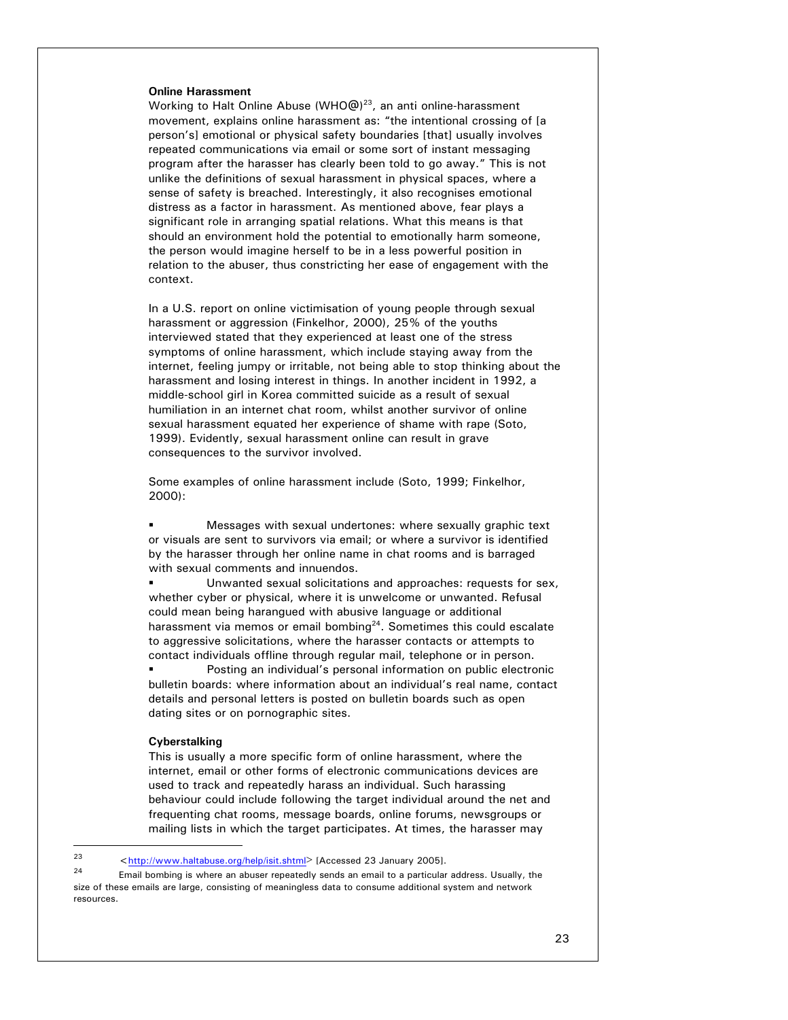## **Online Harassment**

Working to Halt Online Abuse (WHO@)<sup>23</sup>, an anti online-harassment movement, explains online harassment as: "the intentional crossing of [a person's] emotional or physical safety boundaries [that] usually involves repeated communications via email or some sort of instant messaging program after the harasser has clearly been told to go away." This is not unlike the definitions of sexual harassment in physical spaces, where a sense of safety is breached. Interestingly, it also recognises emotional distress as a factor in harassment. As mentioned above, fear plays a significant role in arranging spatial relations. What this means is that should an environment hold the potential to emotionally harm someone, the person would imagine herself to be in a less powerful position in relation to the abuser, thus constricting her ease of engagement with the context.

In a U.S. report on online victimisation of young people through sexual harassment or aggression (Finkelhor, 2000), 25% of the youths interviewed stated that they experienced at least one of the stress symptoms of online harassment, which include staying away from the internet, feeling jumpy or irritable, not being able to stop thinking about the harassment and losing interest in things. In another incident in 1992, a middle-school girl in Korea committed suicide as a result of sexual humiliation in an internet chat room, whilst another survivor of online sexual harassment equated her experience of shame with rape (Soto, 1999). Evidently, sexual harassment online can result in grave consequences to the survivor involved.

Some examples of online harassment include (Soto, 1999; Finkelhor, 2000):

 Messages with sexual undertones: where sexually graphic text or visuals are sent to survivors via email; or where a survivor is identified by the harasser through her online name in chat rooms and is barraged with sexual comments and innuendos.

 Unwanted sexual solicitations and approaches: requests for sex, whether cyber or physical, where it is unwelcome or unwanted. Refusal could mean being harangued with abusive language or additional harassment via memos or email bombing $24$ . Sometimes this could escalate to aggressive solicitations, where the harasser contacts or attempts to contact individuals offline through regular mail, telephone or in person.

 Posting an individual's personal information on public electronic bulletin boards: where information about an individual's real name, contact details and personal letters is posted on bulletin boards such as open dating sites or on pornographic sites.

## **Cyberstalking**

This is usually a more specific form of online harassment, where the internet, email or other forms of electronic communications devices are used to track and repeatedly harass an individual. Such harassing behaviour could include following the target individual around the net and frequenting chat rooms, message boards, online forums, newsgroups or mailing lists in which the target participates. At times, the harasser may

<sup>23</sup>  $\frac{23}{\text{http://www.haltabuse.org/help/isit.shtml>}}$  [Accessed 23 January 2005].

Email bombing is where an abuser repeatedly sends an email to a particular address. Usually, the size of these emails are large, consisting of meaningless data to consume additional system and network resources.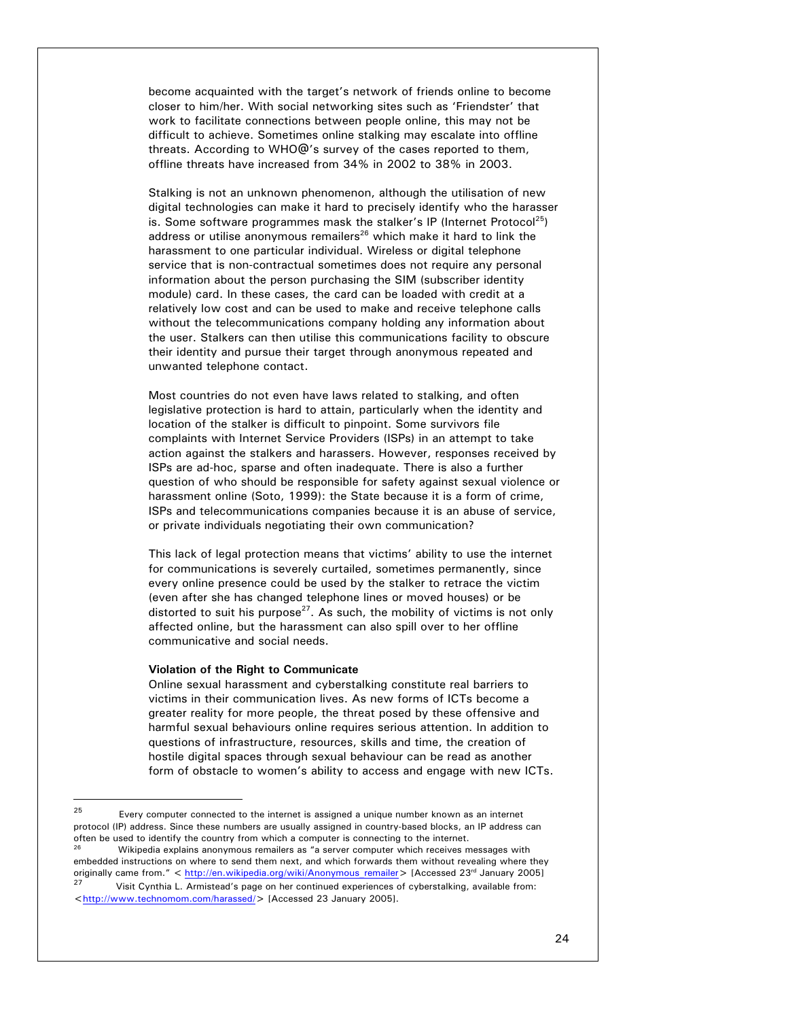become acquainted with the target's network of friends online to become closer to him/her. With social networking sites such as 'Friendster' that work to facilitate connections between people online, this may not be difficult to achieve. Sometimes online stalking may escalate into offline threats. According to WHO@'s survey of the cases reported to them, offline threats have increased from 34% in 2002 to 38% in 2003.

Stalking is not an unknown phenomenon, although the utilisation of new digital technologies can make it hard to precisely identify who the harasser is. Some software programmes mask the stalker's IP (Internet Protocol<sup>25</sup>) address or utilise anonymous remailers<sup>26</sup> which make it hard to link the harassment to one particular individual. Wireless or digital telephone service that is non-contractual sometimes does not require any personal information about the person purchasing the SIM (subscriber identity module) card. In these cases, the card can be loaded with credit at a relatively low cost and can be used to make and receive telephone calls without the telecommunications company holding any information about the user. Stalkers can then utilise this communications facility to obscure their identity and pursue their target through anonymous repeated and unwanted telephone contact.

Most countries do not even have laws related to stalking, and often legislative protection is hard to attain, particularly when the identity and location of the stalker is difficult to pinpoint. Some survivors file complaints with Internet Service Providers (ISPs) in an attempt to take action against the stalkers and harassers. However, responses received by ISPs are ad-hoc, sparse and often inadequate. There is also a further question of who should be responsible for safety against sexual violence or harassment online (Soto, 1999): the State because it is a form of crime, ISPs and telecommunications companies because it is an abuse of service, or private individuals negotiating their own communication?

This lack of legal protection means that victims' ability to use the internet for communications is severely curtailed, sometimes permanently, since every online presence could be used by the stalker to retrace the victim (even after she has changed telephone lines or moved houses) or be distorted to suit his purpose<sup>27</sup>. As such, the mobility of victims is not only affected online, but the harassment can also spill over to her offline communicative and social needs.

#### **Violation of the Right to Communicate**

 $\overline{a}$ 

Online sexual harassment and cyberstalking constitute real barriers to victims in their communication lives. As new forms of ICTs become a greater reality for more people, the threat posed by these offensive and harmful sexual behaviours online requires serious attention. In addition to questions of infrastructure, resources, skills and time, the creation of hostile digital spaces through sexual behaviour can be read as another form of obstacle to women's ability to access and engage with new ICTs.

 $25$  Every computer connected to the internet is assigned a unique number known as an internet protocol (IP) address. Since these numbers are usually assigned in country-based blocks, an IP address can often be used to identify the country from which a computer is connecting to the internet. Wikipedia explains anonymous remailers as "a server computer which receives messages with embedded instructions on where to send them next, and which forwards them without revealing where they originally came from." < http://en.wikipedia.org/wiki/Anonymous remailer> [Accessed 23<sup>rd</sup> January 2005] Visit Cynthia L. Armistead's page on her continued experiences of cyberstalking, available from: <http://www.technomom.com/harassed/> [Accessed 23 January 2005].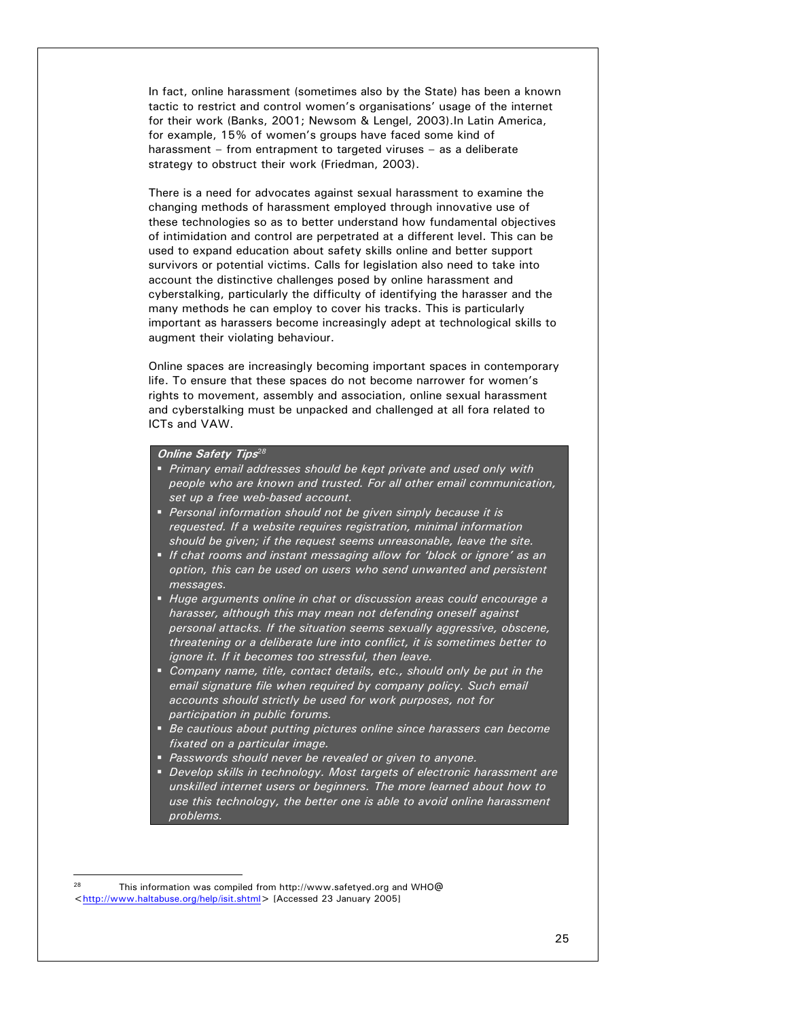In fact, online harassment (sometimes also by the State) has been a known tactic to restrict and control women's organisations' usage of the internet for their work (Banks, 2001; Newsom & Lengel, 2003).In Latin America, for example, 15% of women's groups have faced some kind of harassment – from entrapment to targeted viruses – as a deliberate strategy to obstruct their work (Friedman, 2003).

There is a need for advocates against sexual harassment to examine the changing methods of harassment employed through innovative use of these technologies so as to better understand how fundamental objectives of intimidation and control are perpetrated at a different level. This can be used to expand education about safety skills online and better support survivors or potential victims. Calls for legislation also need to take into account the distinctive challenges posed by online harassment and cyberstalking, particularly the difficulty of identifying the harasser and the many methods he can employ to cover his tracks. This is particularly important as harassers become increasingly adept at technological skills to augment their violating behaviour.

Online spaces are increasingly becoming important spaces in contemporary life. To ensure that these spaces do not become narrower for women's rights to movement, assembly and association, online sexual harassment and cyberstalking must be unpacked and challenged at all fora related to ICTs and VAW.

## **Online Safety Tips***<sup>28</sup>*

- *Primary email addresses should be kept private and used only with people who are known and trusted. For all other email communication, set up a free web-based account.*
- *Personal information should not be given simply because it is requested. If a website requires registration, minimal information should be given; if the request seems unreasonable, leave the site.*
- *If chat rooms and instant messaging allow for 'block or ignore' as an option, this can be used on users who send unwanted and persistent messages.*
- *Huge arguments online in chat or discussion areas could encourage a harasser, although this may mean not defending oneself against personal attacks. If the situation seems sexually aggressive, obscene, threatening or a deliberate lure into conflict, it is sometimes better to ignore it. If it becomes too stressful, then leave.*
- *Company name, title, contact details, etc., should only be put in the email signature file when required by company policy. Such email accounts should strictly be used for work purposes, not for participation in public forums.*
- *Be cautious about putting pictures online since harassers can become fixated on a particular image.*
- *Passwords should never be revealed or given to anyone.*
- *Develop skills in technology. Most targets of electronic harassment are unskilled internet users or beginners. The more learned about how to use this technology, the better one is able to avoid online harassment problems.*

l

<sup>28</sup> This information was compiled from http://www.safetyed.org and WHO@ <http://www.haltabuse.org/help/isit.shtml> [Accessed 23 January 2005]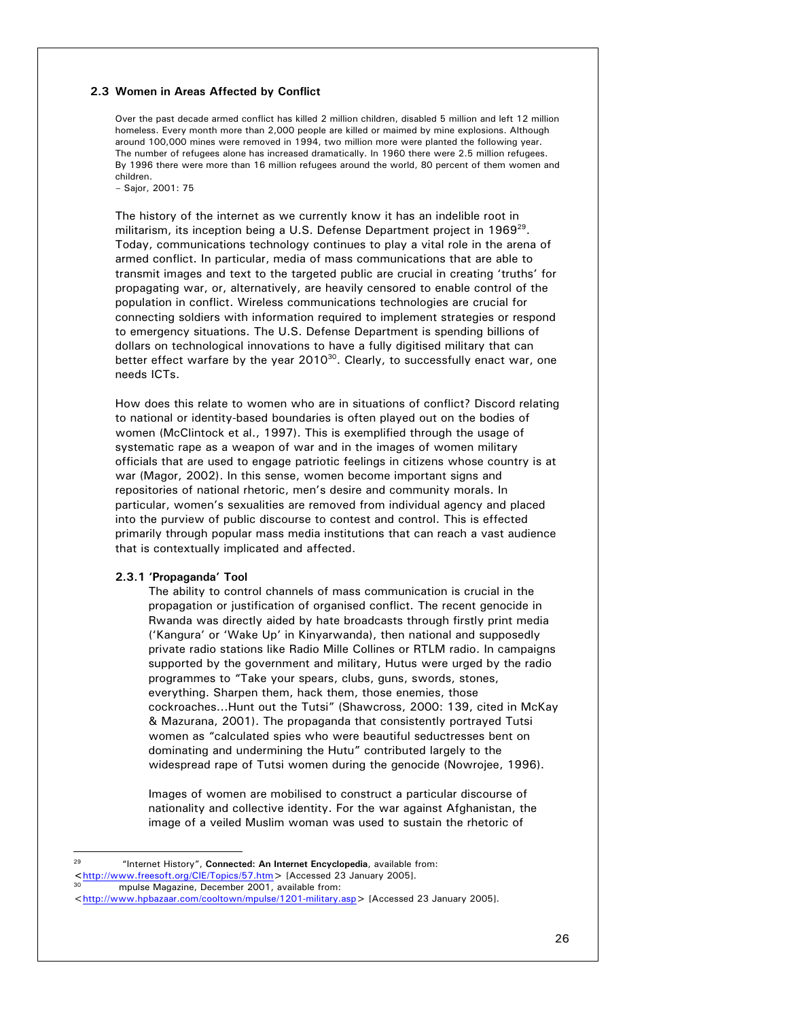## **2.3 Women in Areas Affected by Conflict**

Over the past decade armed conflict has killed 2 million children, disabled 5 million and left 12 million homeless. Every month more than 2,000 people are killed or maimed by mine explosions. Although around 100,000 mines were removed in 1994, two million more were planted the following year. The number of refugees alone has increased dramatically. In 1960 there were 2.5 million refugees. By 1996 there were more than 16 million refugees around the world, 80 percent of them women and children.

– Sajor, 2001: 75

The history of the internet as we currently know it has an indelible root in militarism, its inception being a U.S. Defense Department project in 1969<sup>29</sup>. Today, communications technology continues to play a vital role in the arena of armed conflict. In particular, media of mass communications that are able to transmit images and text to the targeted public are crucial in creating 'truths' for propagating war, or, alternatively, are heavily censored to enable control of the population in conflict. Wireless communications technologies are crucial for connecting soldiers with information required to implement strategies or respond to emergency situations. The U.S. Defense Department is spending billions of dollars on technological innovations to have a fully digitised military that can better effect warfare by the year  $2010^{30}$ . Clearly, to successfully enact war, one needs ICTs.

How does this relate to women who are in situations of conflict? Discord relating to national or identity-based boundaries is often played out on the bodies of women (McClintock et al., 1997). This is exemplified through the usage of systematic rape as a weapon of war and in the images of women military officials that are used to engage patriotic feelings in citizens whose country is at war (Magor, 2002). In this sense, women become important signs and repositories of national rhetoric, men's desire and community morals. In particular, women's sexualities are removed from individual agency and placed into the purview of public discourse to contest and control. This is effected primarily through popular mass media institutions that can reach a vast audience that is contextually implicated and affected.

### **2.3.1 'Propaganda' Tool**

The ability to control channels of mass communication is crucial in the propagation or justification of organised conflict. The recent genocide in Rwanda was directly aided by hate broadcasts through firstly print media ('Kangura' or 'Wake Up' in Kinyarwanda), then national and supposedly private radio stations like Radio Mille Collines or RTLM radio. In campaigns supported by the government and military, Hutus were urged by the radio programmes to "Take your spears, clubs, guns, swords, stones, everything. Sharpen them, hack them, those enemies, those cockroaches...Hunt out the Tutsi" (Shawcross, 2000: 139, cited in McKay & Mazurana, 2001). The propaganda that consistently portrayed Tutsi women as "calculated spies who were beautiful seductresses bent on dominating and undermining the Hutu" contributed largely to the widespread rape of Tutsi women during the genocide (Nowrojee, 1996).

Images of women are mobilised to construct a particular discourse of nationality and collective identity. For the war against Afghanistan, the image of a veiled Muslim woman was used to sustain the rhetoric of

 $29$ 29 "Internet History", **Connected: An Internet Encyclopedia**, available from: **<sup>&</sup>lt;**http://www.freesoft.org/CIE/Topics/57.htm> [Accessed 23 January 2005]. 30 mpulse Magazine, December 2001, available from:

<sup>&</sup>lt;http://www.hpbazaar.com/cooltown/mpulse/1201-military.asp> [Accessed 23 January 2005].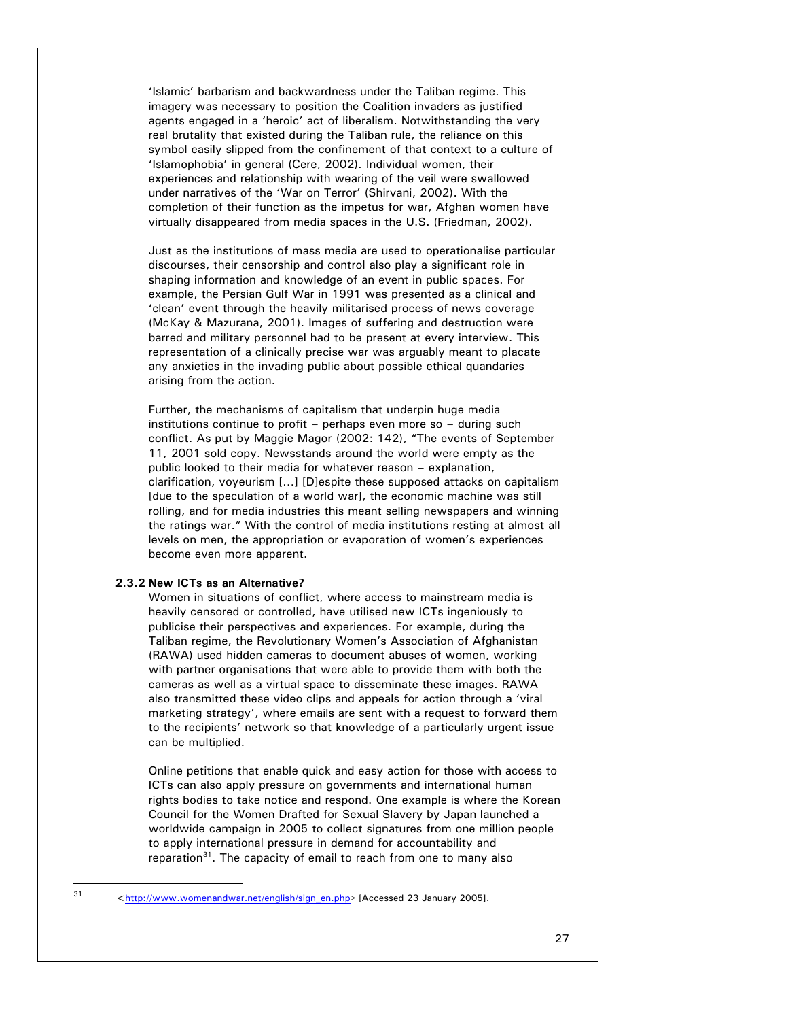'Islamic' barbarism and backwardness under the Taliban regime. This imagery was necessary to position the Coalition invaders as justified agents engaged in a 'heroic' act of liberalism. Notwithstanding the very real brutality that existed during the Taliban rule, the reliance on this symbol easily slipped from the confinement of that context to a culture of 'Islamophobia' in general (Cere, 2002). Individual women, their experiences and relationship with wearing of the veil were swallowed under narratives of the 'War on Terror' (Shirvani, 2002). With the completion of their function as the impetus for war, Afghan women have virtually disappeared from media spaces in the U.S. (Friedman, 2002).

Just as the institutions of mass media are used to operationalise particular discourses, their censorship and control also play a significant role in shaping information and knowledge of an event in public spaces. For example, the Persian Gulf War in 1991 was presented as a clinical and 'clean' event through the heavily militarised process of news coverage (McKay & Mazurana, 2001). Images of suffering and destruction were barred and military personnel had to be present at every interview. This representation of a clinically precise war was arguably meant to placate any anxieties in the invading public about possible ethical quandaries arising from the action.

Further, the mechanisms of capitalism that underpin huge media institutions continue to profit – perhaps even more so – during such conflict. As put by Maggie Magor (2002: 142), "The events of September 11, 2001 sold copy. Newsstands around the world were empty as the public looked to their media for whatever reason – explanation, clarification, voyeurism […] [D]espite these supposed attacks on capitalism [due to the speculation of a world war], the economic machine was still rolling, and for media industries this meant selling newspapers and winning the ratings war." With the control of media institutions resting at almost all levels on men, the appropriation or evaporation of women's experiences become even more apparent.

# **2.3.2 New ICTs as an Alternative?**

l

Women in situations of conflict, where access to mainstream media is heavily censored or controlled, have utilised new ICTs ingeniously to publicise their perspectives and experiences. For example, during the Taliban regime, the Revolutionary Women's Association of Afghanistan (RAWA) used hidden cameras to document abuses of women, working with partner organisations that were able to provide them with both the cameras as well as a virtual space to disseminate these images. RAWA also transmitted these video clips and appeals for action through a 'viral marketing strategy', where emails are sent with a request to forward them to the recipients' network so that knowledge of a particularly urgent issue can be multiplied.

Online petitions that enable quick and easy action for those with access to ICTs can also apply pressure on governments and international human rights bodies to take notice and respond. One example is where the Korean Council for the Women Drafted for Sexual Slavery by Japan launched a worldwide campaign in 2005 to collect signatures from one million people to apply international pressure in demand for accountability and reparation $31$ . The capacity of email to reach from one to many also

<sup>31 &</sup>lt;http://www.womenandwar.net/english/sign\_en.php> [Accessed 23 January 2005].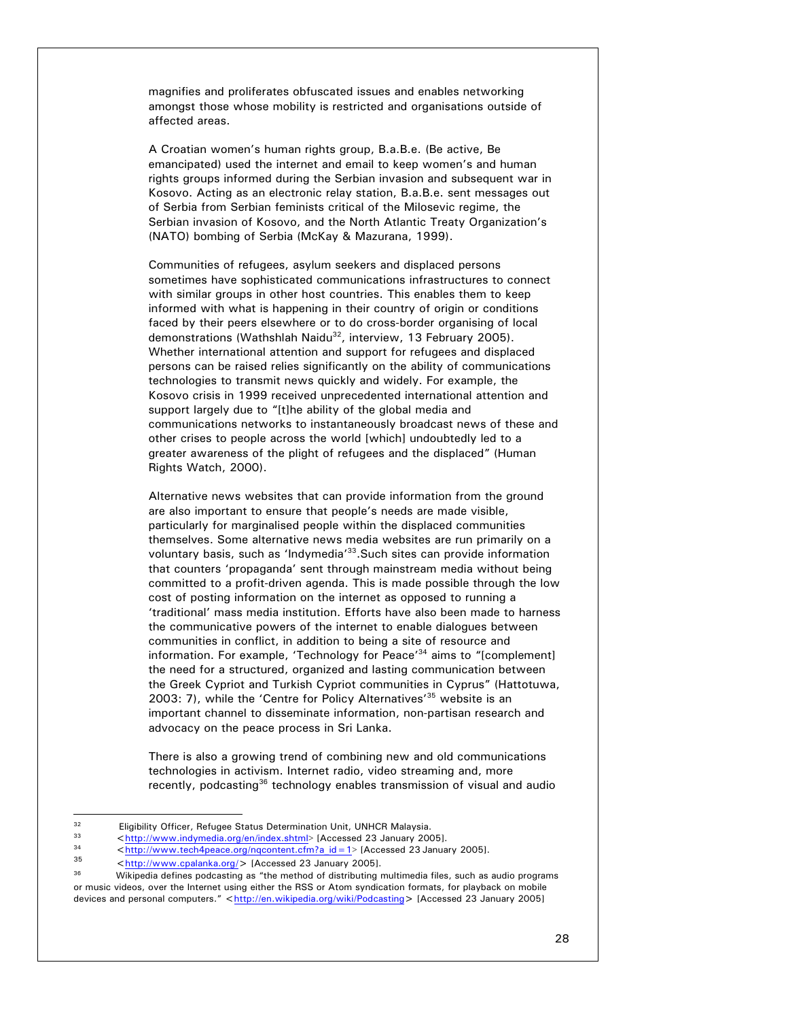magnifies and proliferates obfuscated issues and enables networking amongst those whose mobility is restricted and organisations outside of affected areas.

A Croatian women's human rights group, B.a.B.e. (Be active, Be emancipated) used the internet and email to keep women's and human rights groups informed during the Serbian invasion and subsequent war in Kosovo. Acting as an electronic relay station, B.a.B.e. sent messages out of Serbia from Serbian feminists critical of the Milosevic regime, the Serbian invasion of Kosovo, and the North Atlantic Treaty Organization's (NATO) bombing of Serbia (McKay & Mazurana, 1999).

Communities of refugees, asylum seekers and displaced persons sometimes have sophisticated communications infrastructures to connect with similar groups in other host countries. This enables them to keep informed with what is happening in their country of origin or conditions faced by their peers elsewhere or to do cross-border organising of local demonstrations (Wathshlah Naidu<sup>32</sup>, interview, 13 February 2005). Whether international attention and support for refugees and displaced persons can be raised relies significantly on the ability of communications technologies to transmit news quickly and widely. For example, the Kosovo crisis in 1999 received unprecedented international attention and support largely due to "[t]he ability of the global media and communications networks to instantaneously broadcast news of these and other crises to people across the world [which] undoubtedly led to a greater awareness of the plight of refugees and the displaced" (Human Rights Watch, 2000).

Alternative news websites that can provide information from the ground are also important to ensure that people's needs are made visible, particularly for marginalised people within the displaced communities themselves. Some alternative news media websites are run primarily on a voluntary basis, such as 'Indymedia'33.Such sites can provide information that counters 'propaganda' sent through mainstream media without being committed to a profit-driven agenda. This is made possible through the low cost of posting information on the internet as opposed to running a 'traditional' mass media institution. Efforts have also been made to harness the communicative powers of the internet to enable dialogues between communities in conflict, in addition to being a site of resource and information. For example, 'Technology for Peace'<sup>34</sup> aims to "[complement] the need for a structured, organized and lasting communication between the Greek Cypriot and Turkish Cypriot communities in Cyprus" (Hattotuwa, 2003: 7), while the 'Centre for Policy Alternatives<sup>'35</sup> website is an important channel to disseminate information, non-partisan research and advocacy on the peace process in Sri Lanka.

There is also a growing trend of combining new and old communications technologies in activism. Internet radio, video streaming and, more recently, podcasting<sup>36</sup> technology enables transmission of visual and audio

 $\overline{a}$ 

<sup>&</sup>lt;sup>32</sup> Eligibility Officer, Refugee Status Determination Unit, UNHCR Malaysia.<br>  $\frac{33}{2}$  http://www.indymodia.org/on/index.chtml> [Accessed 23, January 2004]

<sup>&</sup>lt;sup>33</sup><br>
<http://www.indymedia.org/en/index.shtml> [Accessed 23 January 2005].<br>
<http://www.tech4peace.org/nqcontent.cfm?a id=1> [Accessed 23 January 2005].<br>
<http://www.cpalanka.org/> [Accessed 23 January 2005].<br>
Wikipedia or music videos, over the Internet using either the RSS or Atom syndication formats, for playback on mobile devices and personal computers." <http://en.wikipedia.org/wiki/Podcasting> [Accessed 23 January 2005]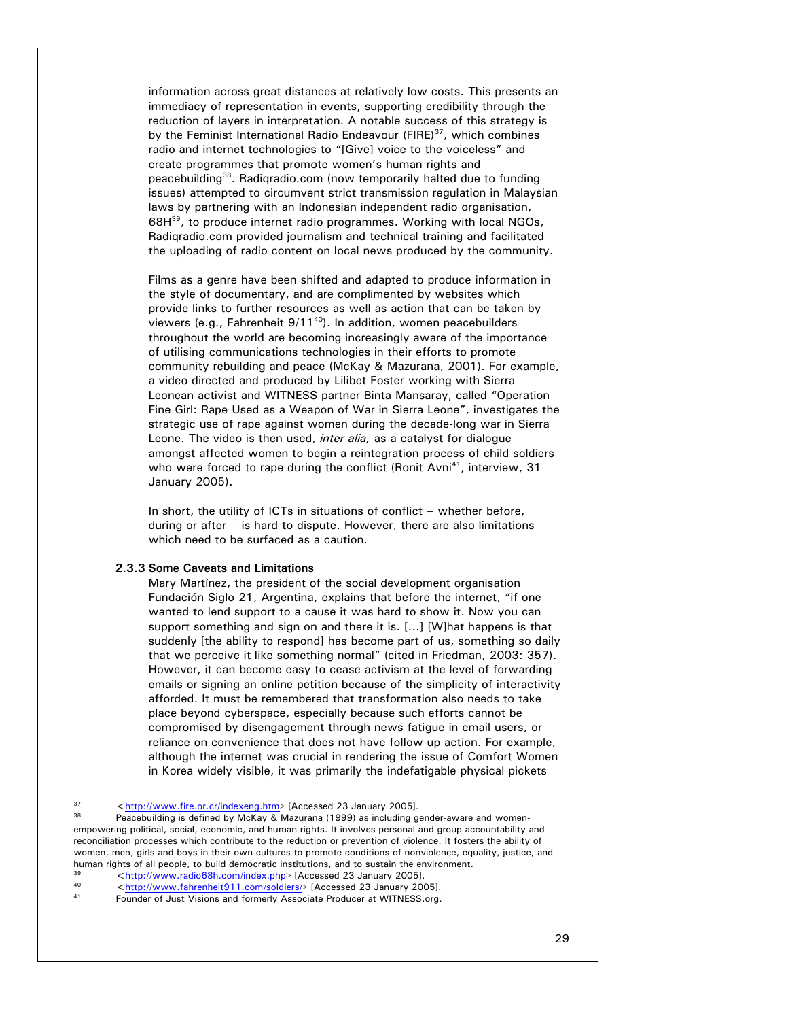information across great distances at relatively low costs. This presents an immediacy of representation in events, supporting credibility through the reduction of layers in interpretation. A notable success of this strategy is by the Feminist International Radio Endeavour (FIRE)<sup>37</sup>, which combines radio and internet technologies to "[Give] voice to the voiceless" and create programmes that promote women's human rights and peacebuilding38. Radiqradio.com (now temporarily halted due to funding issues) attempted to circumvent strict transmission regulation in Malaysian laws by partnering with an Indonesian independent radio organisation, 68H<sup>39</sup>, to produce internet radio programmes. Working with local NGOs, Radiqradio.com provided journalism and technical training and facilitated the uploading of radio content on local news produced by the community.

Films as a genre have been shifted and adapted to produce information in the style of documentary, and are complimented by websites which provide links to further resources as well as action that can be taken by viewers (e.g., Fahrenheit  $9/11^{40}$ ). In addition, women peacebuilders throughout the world are becoming increasingly aware of the importance of utilising communications technologies in their efforts to promote community rebuilding and peace (McKay & Mazurana, 2001). For example, a video directed and produced by Lilibet Foster working with Sierra Leonean activist and WITNESS partner Binta Mansaray, called "Operation Fine Girl: Rape Used as a Weapon of War in Sierra Leone", investigates the strategic use of rape against women during the decade-long war in Sierra Leone. The video is then used, *inter alia,* as a catalyst for dialogue amongst affected women to begin a reintegration process of child soldiers who were forced to rape during the conflict (Ronit Avni<sup>41</sup>, interview, 31 January 2005).

In short, the utility of ICTs in situations of conflict – whether before, during or after – is hard to dispute. However, there are also limitations which need to be surfaced as a caution.

# **2.3.3 Some Caveats and Limitations**

Mary Martínez, the president of the social development organisation Fundación Siglo 21, Argentina, explains that before the internet, "if one wanted to lend support to a cause it was hard to show it. Now you can support something and sign on and there it is. [...] [W]hat happens is that suddenly [the ability to respond] has become part of us, something so daily that we perceive it like something normal" (cited in Friedman, 2003: 357). However, it can become easy to cease activism at the level of forwarding emails or signing an online petition because of the simplicity of interactivity afforded. It must be remembered that transformation also needs to take place beyond cyberspace, especially because such efforts cannot be compromised by disengagement through news fatigue in email users, or reliance on convenience that does not have follow-up action. For example, although the internet was crucial in rendering the issue of Comfort Women in Korea widely visible, it was primarily the indefatigable physical pickets

 $37$ 

<sup>&</sup>lt;sup>37</sup> <http://www.fire.or.cr/indexeng.htm> [Accessed 23 January 2005].<br><sup>38</sup> Peacebuilding is defined by McKay & Mazurana (1999) as including gender-aware and womenempowering political, social, economic, and human rights. It involves personal and group accountability and reconciliation processes which contribute to the reduction or prevention of violence. It fosters the ability of women, men, girls and boys in their own cultures to promote conditions of nonviolence, equality, justice, and human rights of all people, to build democratic institutions, and to sustain the environment.<br>
Shows that the environment of the environment of the environment of the environment of the environment of the environment of th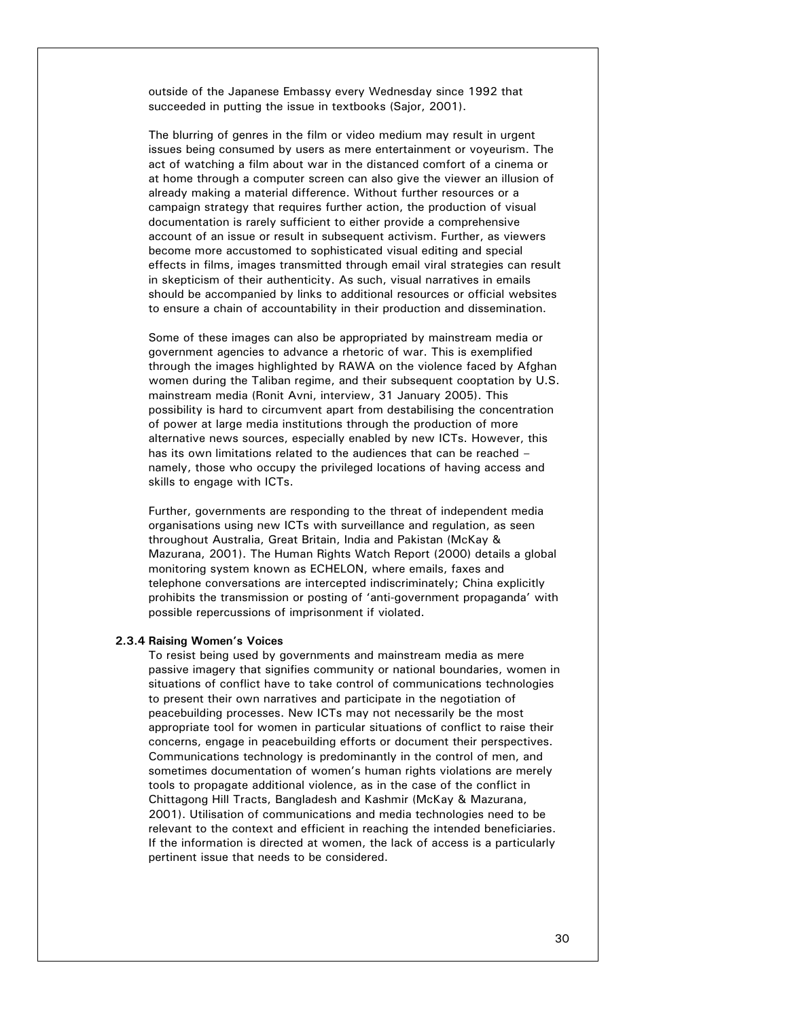outside of the Japanese Embassy every Wednesday since 1992 that succeeded in putting the issue in textbooks (Sajor, 2001).

The blurring of genres in the film or video medium may result in urgent issues being consumed by users as mere entertainment or voyeurism. The act of watching a film about war in the distanced comfort of a cinema or at home through a computer screen can also give the viewer an illusion of already making a material difference. Without further resources or a campaign strategy that requires further action, the production of visual documentation is rarely sufficient to either provide a comprehensive account of an issue or result in subsequent activism. Further, as viewers become more accustomed to sophisticated visual editing and special effects in films, images transmitted through email viral strategies can result in skepticism of their authenticity. As such, visual narratives in emails should be accompanied by links to additional resources or official websites to ensure a chain of accountability in their production and dissemination.

Some of these images can also be appropriated by mainstream media or government agencies to advance a rhetoric of war. This is exemplified through the images highlighted by RAWA on the violence faced by Afghan women during the Taliban regime, and their subsequent cooptation by U.S. mainstream media (Ronit Avni, interview, 31 January 2005). This possibility is hard to circumvent apart from destabilising the concentration of power at large media institutions through the production of more alternative news sources, especially enabled by new ICTs. However, this has its own limitations related to the audiences that can be reached – namely, those who occupy the privileged locations of having access and skills to engage with ICTs.

Further, governments are responding to the threat of independent media organisations using new ICTs with surveillance and regulation, as seen throughout Australia, Great Britain, India and Pakistan (McKay & Mazurana, 2001). The Human Rights Watch Report (2000) details a global monitoring system known as ECHELON, where emails, faxes and telephone conversations are intercepted indiscriminately; China explicitly prohibits the transmission or posting of 'anti-government propaganda' with possible repercussions of imprisonment if violated.

#### **2.3.4 Raising Women's Voices**

To resist being used by governments and mainstream media as mere passive imagery that signifies community or national boundaries, women in situations of conflict have to take control of communications technologies to present their own narratives and participate in the negotiation of peacebuilding processes. New ICTs may not necessarily be the most appropriate tool for women in particular situations of conflict to raise their concerns, engage in peacebuilding efforts or document their perspectives. Communications technology is predominantly in the control of men, and sometimes documentation of women's human rights violations are merely tools to propagate additional violence, as in the case of the conflict in Chittagong Hill Tracts, Bangladesh and Kashmir (McKay & Mazurana, 2001). Utilisation of communications and media technologies need to be relevant to the context and efficient in reaching the intended beneficiaries. If the information is directed at women, the lack of access is a particularly pertinent issue that needs to be considered.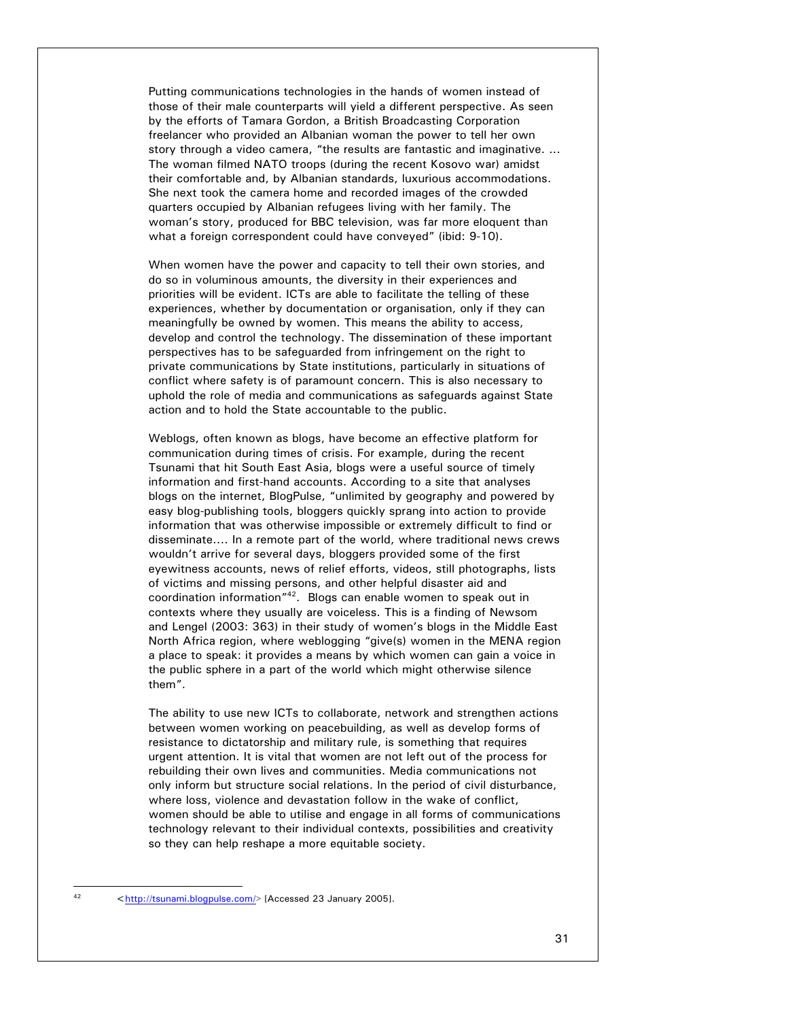Putting communications technologies in the hands of women instead of those of their male counterparts will yield a different perspective. As seen by the efforts of Tamara Gordon, a British Broadcasting Corporation freelancer who provided an Albanian woman the power to tell her own story through a video camera, "the results are fantastic and imaginative. ... The woman filmed NATO troops (during the recent Kosovo war) amidst their comfortable and, by Albanian standards, luxurious accommodations. She next took the camera home and recorded images of the crowded quarters occupied by Albanian refugees living with her family. The woman's story, produced for BBC television, was far more eloquent than what a foreign correspondent could have conveyed" (ibid: 9-10).

When women have the power and capacity to tell their own stories, and do so in voluminous amounts, the diversity in their experiences and priorities will be evident. ICTs are able to facilitate the telling of these experiences, whether by documentation or organisation, only if they can meaningfully be owned by women. This means the ability to access, develop and control the technology. The dissemination of these important perspectives has to be safeguarded from infringement on the right to private communications by State institutions, particularly in situations of conflict where safety is of paramount concern. This is also necessary to uphold the role of media and communications as safeguards against State action and to hold the State accountable to the public.

Weblogs, often known as blogs, have become an effective platform for communication during times of crisis. For example, during the recent Tsunami that hit South East Asia, blogs were a useful source of timely information and first-hand accounts. According to a site that analyses blogs on the internet, BlogPulse, "unlimited by geography and powered by easy blog-publishing tools, bloggers quickly sprang into action to provide information that was otherwise impossible or extremely difficult to find or disseminate.... In a remote part of the world, where traditional news crews wouldn't arrive for several days, bloggers provided some of the first eyewitness accounts, news of relief efforts, videos, still photographs, lists of victims and missing persons, and other helpful disaster aid and coordination information"42. Blogs can enable women to speak out in contexts where they usually are voiceless. This is a finding of Newsom and Lengel (2003: 363) in their study of women's blogs in the Middle East North Africa region, where weblogging "give(s) women in the MENA region a place to speak: it provides a means by which women can gain a voice in the public sphere in a part of the world which might otherwise silence them".

The ability to use new ICTs to collaborate, network and strengthen actions between women working on peacebuilding, as well as develop forms of resistance to dictatorship and military rule, is something that requires urgent attention. It is vital that women are not left out of the process for rebuilding their own lives and communities. Media communications not only inform but structure social relations. In the period of civil disturbance, where loss, violence and devastation follow in the wake of conflict, women should be able to utilise and engage in all forms of communications technology relevant to their individual contexts, possibilities and creativity so they can help reshape a more equitable society.

l

<sup>42 &</sup>lt;http://tsunami.blogpulse.com/> [Accessed 23 January 2005].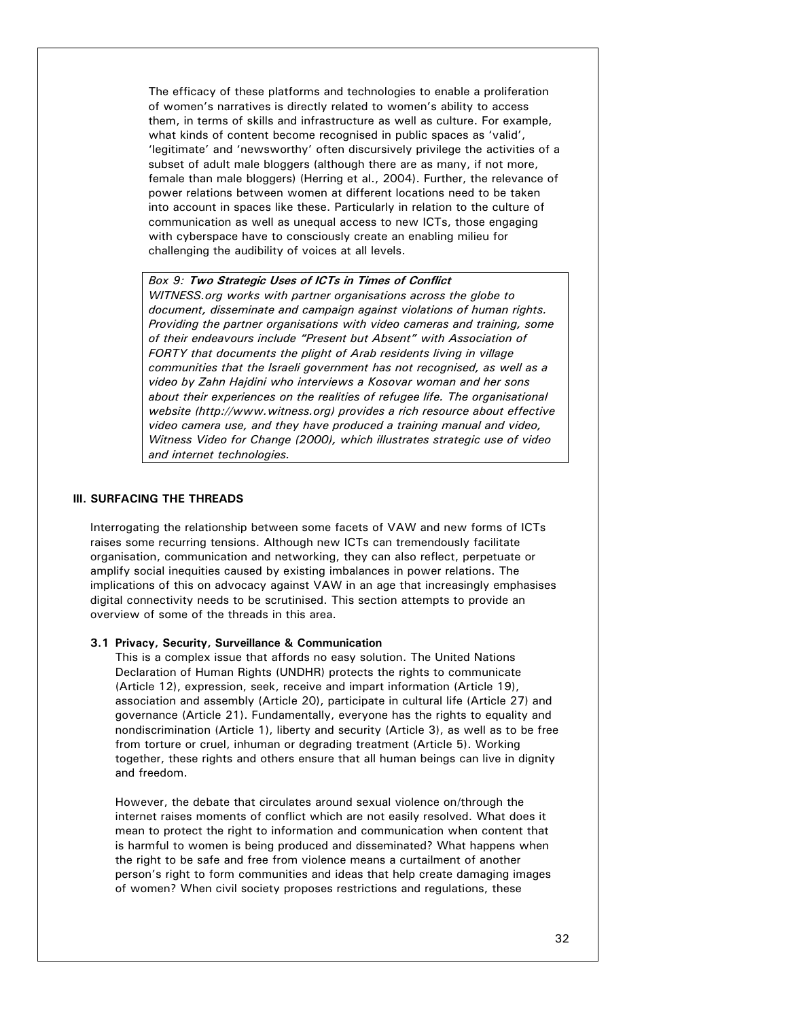The efficacy of these platforms and technologies to enable a proliferation of women's narratives is directly related to women's ability to access them, in terms of skills and infrastructure as well as culture. For example, what kinds of content become recognised in public spaces as 'valid', 'legitimate' and 'newsworthy' often discursively privilege the activities of a subset of adult male bloggers (although there are as many, if not more, female than male bloggers) (Herring et al., 2004). Further, the relevance of power relations between women at different locations need to be taken into account in spaces like these. Particularly in relation to the culture of communication as well as unequal access to new ICTs, those engaging with cyberspace have to consciously create an enabling milieu for challenging the audibility of voices at all levels.

*Box 9:* **Two Strategic Uses of ICTs in Times of Conflict**  *WITNESS.org works with partner organisations across the globe to document, disseminate and campaign against violations of human rights. Providing the partner organisations with video cameras and training, some of their endeavours include "Present but Absent" with Association of FORTY that documents the plight of Arab residents living in village communities that the Israeli government has not recognised, as well as a video by Zahn Hajdini who interviews a Kosovar woman and her sons about their experiences on the realities of refugee life. The organisational website (http://www.witness.org) provides a rich resource about effective video camera use, and they have produced a training manual and video, Witness Video for Change (2000), which illustrates strategic use of video and internet technologies.* 

### **III. SURFACING THE THREADS**

Interrogating the relationship between some facets of VAW and new forms of ICTs raises some recurring tensions. Although new ICTs can tremendously facilitate organisation, communication and networking, they can also reflect, perpetuate or amplify social inequities caused by existing imbalances in power relations. The implications of this on advocacy against VAW in an age that increasingly emphasises digital connectivity needs to be scrutinised. This section attempts to provide an overview of some of the threads in this area.

### **3.1 Privacy, Security, Surveillance & Communication**

This is a complex issue that affords no easy solution. The United Nations Declaration of Human Rights (UNDHR) protects the rights to communicate (Article 12), expression, seek, receive and impart information (Article 19), association and assembly (Article 20), participate in cultural life (Article 27) and governance (Article 21). Fundamentally, everyone has the rights to equality and nondiscrimination (Article 1), liberty and security (Article 3), as well as to be free from torture or cruel, inhuman or degrading treatment (Article 5). Working together, these rights and others ensure that all human beings can live in dignity and freedom.

However, the debate that circulates around sexual violence on/through the internet raises moments of conflict which are not easily resolved. What does it mean to protect the right to information and communication when content that is harmful to women is being produced and disseminated? What happens when the right to be safe and free from violence means a curtailment of another person's right to form communities and ideas that help create damaging images of women? When civil society proposes restrictions and regulations, these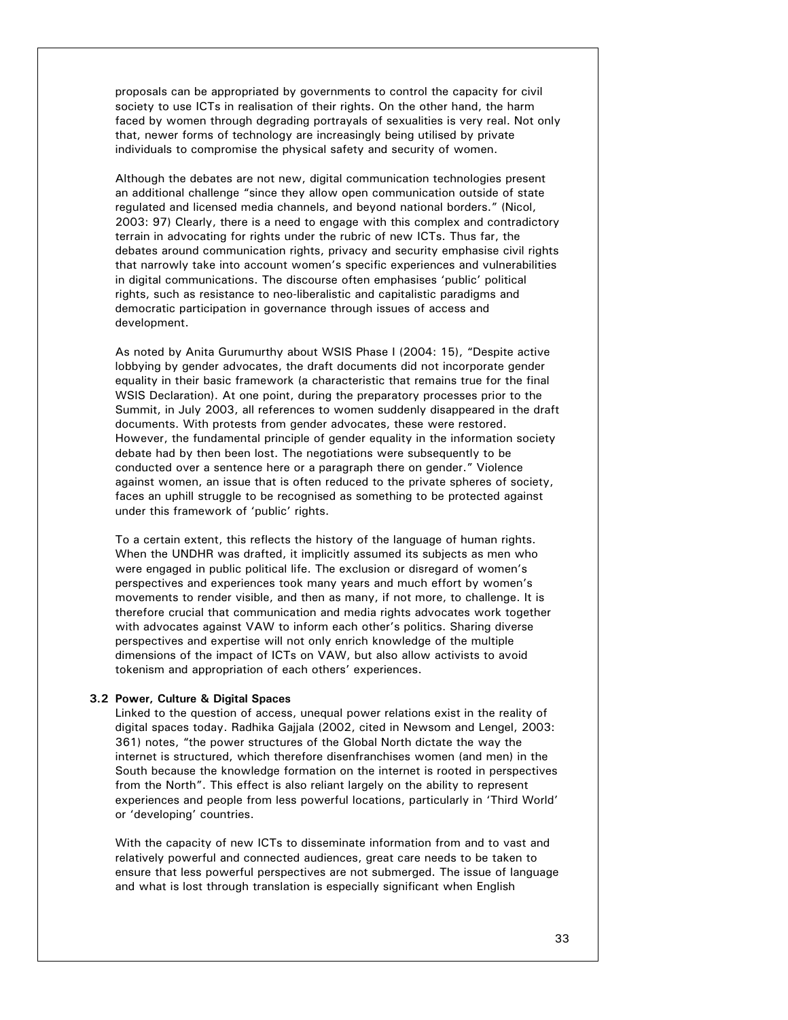proposals can be appropriated by governments to control the capacity for civil society to use ICTs in realisation of their rights. On the other hand, the harm faced by women through degrading portrayals of sexualities is very real. Not only that, newer forms of technology are increasingly being utilised by private individuals to compromise the physical safety and security of women.

Although the debates are not new, digital communication technologies present an additional challenge "since they allow open communication outside of state regulated and licensed media channels, and beyond national borders." (Nicol, 2003: 97) Clearly, there is a need to engage with this complex and contradictory terrain in advocating for rights under the rubric of new ICTs. Thus far, the debates around communication rights, privacy and security emphasise civil rights that narrowly take into account women's specific experiences and vulnerabilities in digital communications. The discourse often emphasises 'public' political rights, such as resistance to neo-liberalistic and capitalistic paradigms and democratic participation in governance through issues of access and development.

As noted by Anita Gurumurthy about WSIS Phase I (2004: 15), "Despite active lobbying by gender advocates, the draft documents did not incorporate gender equality in their basic framework (a characteristic that remains true for the final WSIS Declaration). At one point, during the preparatory processes prior to the Summit, in July 2003, all references to women suddenly disappeared in the draft documents. With protests from gender advocates, these were restored. However, the fundamental principle of gender equality in the information society debate had by then been lost. The negotiations were subsequently to be conducted over a sentence here or a paragraph there on gender." Violence against women, an issue that is often reduced to the private spheres of society, faces an uphill struggle to be recognised as something to be protected against under this framework of 'public' rights.

To a certain extent, this reflects the history of the language of human rights. When the UNDHR was drafted, it implicitly assumed its subjects as men who were engaged in public political life. The exclusion or disregard of women's perspectives and experiences took many years and much effort by women's movements to render visible, and then as many, if not more, to challenge. It is therefore crucial that communication and media rights advocates work together with advocates against VAW to inform each other's politics. Sharing diverse perspectives and expertise will not only enrich knowledge of the multiple dimensions of the impact of ICTs on VAW, but also allow activists to avoid tokenism and appropriation of each others' experiences.

## **3.2 Power, Culture & Digital Spaces**

Linked to the question of access, unequal power relations exist in the reality of digital spaces today. Radhika Gajjala (2002, cited in Newsom and Lengel, 2003: 361) notes, "the power structures of the Global North dictate the way the internet is structured, which therefore disenfranchises women (and men) in the South because the knowledge formation on the internet is rooted in perspectives from the North". This effect is also reliant largely on the ability to represent experiences and people from less powerful locations, particularly in 'Third World' or 'developing' countries.

With the capacity of new ICTs to disseminate information from and to vast and relatively powerful and connected audiences, great care needs to be taken to ensure that less powerful perspectives are not submerged. The issue of language and what is lost through translation is especially significant when English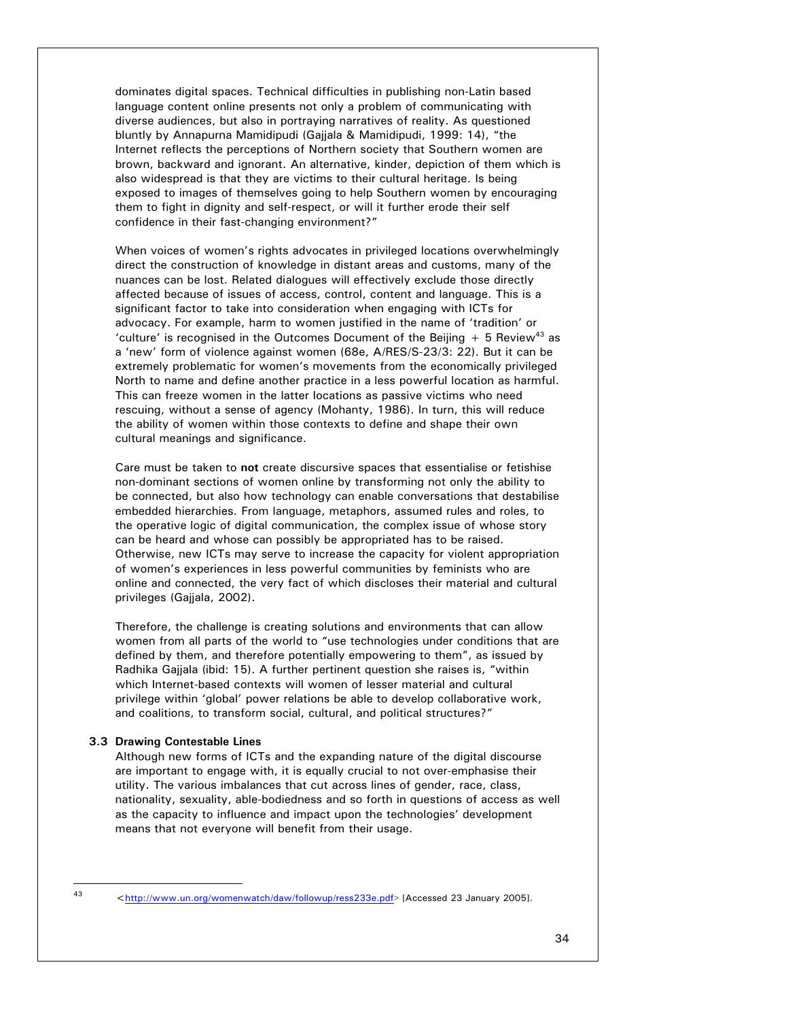dominates digital spaces. Technical difficulties in publishing non-Latin based language content online presents not only a problem of communicating with diverse audiences, but also in portraying narratives of reality. As questioned bluntly by Annapurna Mamidipudi (Gajjala & Mamidipudi, 1999: 14), "the Internet reflects the perceptions of Northern society that Southern women are brown, backward and ignorant. An alternative, kinder, depiction of them which is also widespread is that they are victims to their cultural heritage. Is being exposed to images of themselves going to help Southern women by encouraging them to fight in dignity and self-respect, or will it further erode their self confidence in their fast-changing environment?"

When voices of women's rights advocates in privileged locations overwhelmingly direct the construction of knowledge in distant areas and customs, many of the nuances can be lost. Related dialogues will effectively exclude those directly affected because of issues of access, control, content and language. This is a significant factor to take into consideration when engaging with ICTs for advocacy. For example, harm to women justified in the name of 'tradition' or 'culture' is recognised in the Outcomes Document of the Beijing  $+5$  Review<sup>43</sup> as a 'new' form of violence against women (68e, A/RES/S-23/3: 22). But it can be extremely problematic for women's movements from the economically privileged North to name and define another practice in a less powerful location as harmful. This can freeze women in the latter locations as passive victims who need rescuing, without a sense of agency (Mohanty, 1986). In turn, this will reduce the ability of women within those contexts to define and shape their own cultural meanings and significance.

Care must be taken to **not** create discursive spaces that essentialise or fetishise non-dominant sections of women online by transforming not only the ability to be connected, but also how technology can enable conversations that destabilise embedded hierarchies. From language, metaphors, assumed rules and roles, to the operative logic of digital communication, the complex issue of whose story can be heard and whose can possibly be appropriated has to be raised. Otherwise, new ICTs may serve to increase the capacity for violent appropriation of women's experiences in less powerful communities by feminists who are online and connected, the very fact of which discloses their material and cultural privileges (Gajjala, 2002).

Therefore, the challenge is creating solutions and environments that can allow women from all parts of the world to "use technologies under conditions that are defined by them, and therefore potentially empowering to them", as issued by Radhika Gajjala (ibid: 15). A further pertinent question she raises is, "within which Internet-based contexts will women of lesser material and cultural privilege within 'global' power relations be able to develop collaborative work, and coalitions, to transform social, cultural, and political structures?"

## **3.3 Drawing Contestable Lines**

Although new forms of ICTs and the expanding nature of the digital discourse are important to engage with, it is equally crucial to not over-emphasise their utility. The various imbalances that cut across lines of gender, race, class, nationality, sexuality, able-bodiedness and so forth in questions of access as well as the capacity to influence and impact upon the technologies' development means that not everyone will benefit from their usage.

l

<sup>43 &</sup>lt;http://www.un.org/womenwatch/daw/followup/ress233e.pdf> [Accessed 23 January 2005].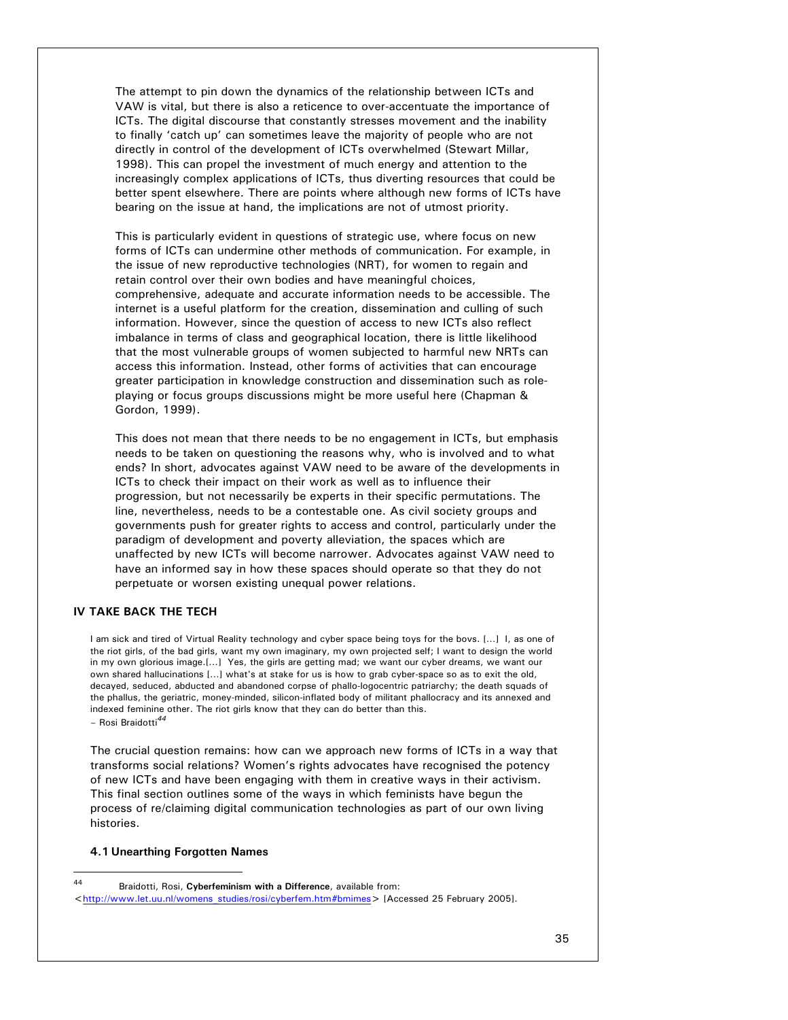The attempt to pin down the dynamics of the relationship between ICTs and VAW is vital, but there is also a reticence to over-accentuate the importance of ICTs. The digital discourse that constantly stresses movement and the inability to finally 'catch up' can sometimes leave the majority of people who are not directly in control of the development of ICTs overwhelmed (Stewart Millar, 1998). This can propel the investment of much energy and attention to the increasingly complex applications of ICTs, thus diverting resources that could be better spent elsewhere. There are points where although new forms of ICTs have bearing on the issue at hand, the implications are not of utmost priority.

This is particularly evident in questions of strategic use, where focus on new forms of ICTs can undermine other methods of communication. For example, in the issue of new reproductive technologies (NRT), for women to regain and retain control over their own bodies and have meaningful choices, comprehensive, adequate and accurate information needs to be accessible. The internet is a useful platform for the creation, dissemination and culling of such information. However, since the question of access to new ICTs also reflect imbalance in terms of class and geographical location, there is little likelihood that the most vulnerable groups of women subjected to harmful new NRTs can access this information. Instead, other forms of activities that can encourage greater participation in knowledge construction and dissemination such as roleplaying or focus groups discussions might be more useful here (Chapman & Gordon, 1999).

This does not mean that there needs to be no engagement in ICTs, but emphasis needs to be taken on questioning the reasons why, who is involved and to what ends? In short, advocates against VAW need to be aware of the developments in ICTs to check their impact on their work as well as to influence their progression, but not necessarily be experts in their specific permutations. The line, nevertheless, needs to be a contestable one. As civil society groups and governments push for greater rights to access and control, particularly under the paradigm of development and poverty alleviation, the spaces which are unaffected by new ICTs will become narrower. Advocates against VAW need to have an informed say in how these spaces should operate so that they do not perpetuate or worsen existing unequal power relations.

## **IV TAKE BACK THE TECH**

I am sick and tired of Virtual Reality technology and cyber space being toys for the bovs. […] I, as one of the riot girls, of the bad girls, want my own imaginary, my own projected self; I want to design the world in my own glorious image.[…] Yes, the girls are getting mad; we want our cyber dreams, we want our own shared hallucinations […] what's at stake for us is how to grab cyber-space so as to exit the old, decayed, seduced, abducted and abandoned corpse of phallo-logocentric patriarchy; the death squads of the phallus, the geriatric, money-minded, silicon-inflated body of militant phallocracy and its annexed and indexed feminine other. The riot girls know that they can do better than this. – Rosi Braidotti*<sup>44</sup>*

l

The crucial question remains: how can we approach new forms of ICTs in a way that transforms social relations? Women's rights advocates have recognised the potency of new ICTs and have been engaging with them in creative ways in their activism. This final section outlines some of the ways in which feminists have begun the process of re/claiming digital communication technologies as part of our own living histories.

#### **4.1 Unearthing Forgotten Names**

<sup>44</sup> Braidotti, Rosi, **Cyberfeminism with a Difference**, available from: <http://www.let.uu.nl/womens\_studies/rosi/cyberfem.htm#bmimes> [Accessed 25 February 2005].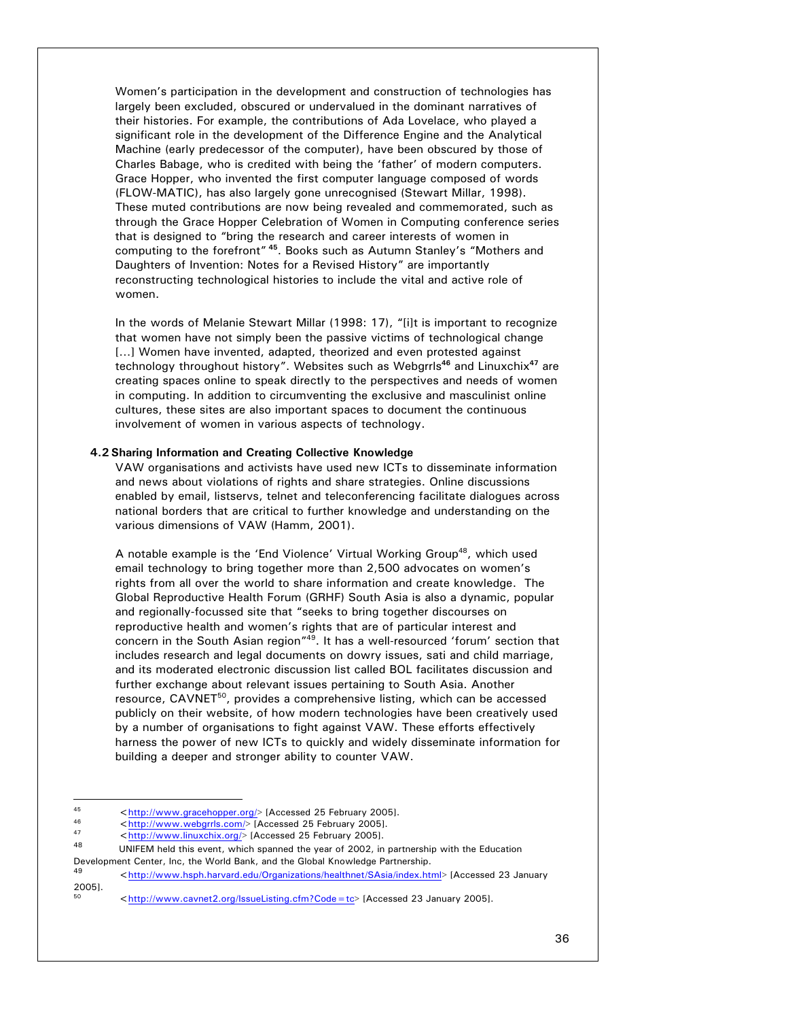Women's participation in the development and construction of technologies has largely been excluded, obscured or undervalued in the dominant narratives of their histories. For example, the contributions of Ada Lovelace, who played a significant role in the development of the Difference Engine and the Analytical Machine (early predecessor of the computer), have been obscured by those of Charles Babage, who is credited with being the 'father' of modern computers. Grace Hopper, who invented the first computer language composed of words (FLOW-MATIC), has also largely gone unrecognised (Stewart Millar, 1998). These muted contributions are now being revealed and commemorated, such as through the Grace Hopper Celebration of Women in Computing conference series that is designed to "bring the research and career interests of women in computing to the forefront"**<sup>45</sup>**. Books such as Autumn Stanley's "Mothers and Daughters of Invention: Notes for a Revised History" are importantly reconstructing technological histories to include the vital and active role of women.

In the words of Melanie Stewart Millar (1998: 17), "[i]t is important to recognize that women have not simply been the passive victims of technological change [...] Women have invented, adapted, theorized and even protested against technology throughout history". Websites such as Webgrrls**<sup>46</sup>** and Linuxchix**<sup>47</sup>** are creating spaces online to speak directly to the perspectives and needs of women in computing. In addition to circumventing the exclusive and masculinist online cultures, these sites are also important spaces to document the continuous involvement of women in various aspects of technology.

# **4.2 Sharing Information and Creating Collective Knowledge**

VAW organisations and activists have used new ICTs to disseminate information and news about violations of rights and share strategies. Online discussions enabled by email, listservs, telnet and teleconferencing facilitate dialogues across national borders that are critical to further knowledge and understanding on the various dimensions of VAW (Hamm, 2001).

A notable example is the 'End Violence' Virtual Working Group<sup>48</sup>, which used email technology to bring together more than 2,500 advocates on women's rights from all over the world to share information and create knowledge. The Global Reproductive Health Forum (GRHF) South Asia is also a dynamic, popular and regionally-focussed site that "seeks to bring together discourses on reproductive health and women's rights that are of particular interest and concern in the South Asian region<sup>"49</sup>. It has a well-resourced 'forum' section that includes research and legal documents on dowry issues, sati and child marriage, and its moderated electronic discussion list called BOL facilitates discussion and further exchange about relevant issues pertaining to South Asia. Another resource, CAVNET<sup>50</sup>, provides a comprehensive listing, which can be accessed publicly on their website, of how modern technologies have been creatively used by a number of organisations to fight against VAW. These efforts effectively harness the power of new ICTs to quickly and widely disseminate information for building a deeper and stronger ability to counter VAW.

<sup>45</sup> 

<sup>45</sup>  $\langle \frac{http://www.gracehopper.org/}{http://www.gracehopper.org/}{$  [Accessed 25 February 2005].  
\n
$$
\langle \frac{http://www.webgrls.com/}{http://www.webgrls.com/}{
$$
 [Accessed 25 February 2005].  
\n47  
\n48 UNIFEM held this event, which spanned the year of 2002, in partnership with the Education

Development Center, Inc, the World Bank, and the Global Knowledge Partnership.<br>49 <http://www.hsph.harvard.edu/Organizations/healthnet/SAsia/index.html> [Accessed 23 January

<sup>2005].</sup> 

<sup>&</sup>lt;http://www.cavnet2.org/IssueListing.cfm?Code=tc> [Accessed 23 January 2005].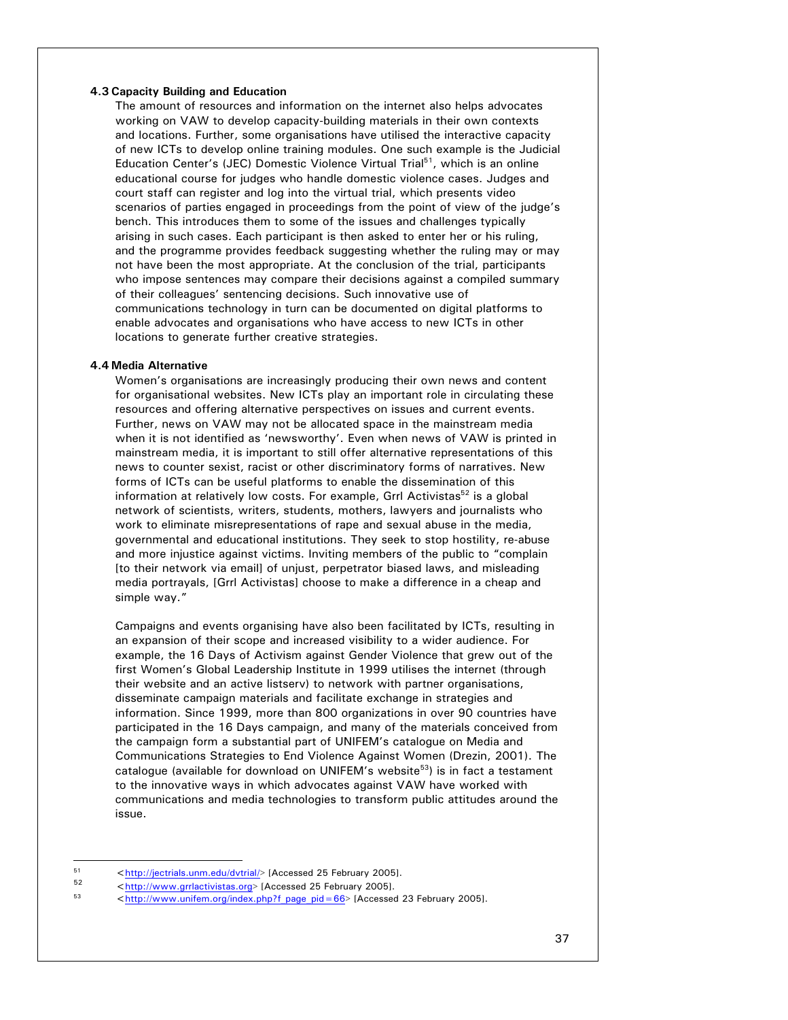# **4.3 Capacity Building and Education**

The amount of resources and information on the internet also helps advocates working on VAW to develop capacity-building materials in their own contexts and locations. Further, some organisations have utilised the interactive capacity of new ICTs to develop online training modules. One such example is the Judicial Education Center's (JEC) Domestic Violence Virtual Trial<sup>51</sup>, which is an online educational course for judges who handle domestic violence cases. Judges and court staff can register and log into the virtual trial, which presents video scenarios of parties engaged in proceedings from the point of view of the judge's bench. This introduces them to some of the issues and challenges typically arising in such cases. Each participant is then asked to enter her or his ruling, and the programme provides feedback suggesting whether the ruling may or may not have been the most appropriate. At the conclusion of the trial, participants who impose sentences may compare their decisions against a compiled summary of their colleagues' sentencing decisions. Such innovative use of communications technology in turn can be documented on digital platforms to enable advocates and organisations who have access to new ICTs in other locations to generate further creative strategies.

### **4.4 Media Alternative**

Women's organisations are increasingly producing their own news and content for organisational websites. New ICTs play an important role in circulating these resources and offering alternative perspectives on issues and current events. Further, news on VAW may not be allocated space in the mainstream media when it is not identified as 'newsworthy'. Even when news of VAW is printed in mainstream media, it is important to still offer alternative representations of this news to counter sexist, racist or other discriminatory forms of narratives. New forms of ICTs can be useful platforms to enable the dissemination of this information at relatively low costs. For example, Grrl Activistas<sup>52</sup> is a global network of scientists, writers, students, mothers, lawyers and journalists who work to eliminate misrepresentations of rape and sexual abuse in the media, governmental and educational institutions. They seek to stop hostility, re-abuse and more injustice against victims. Inviting members of the public to "complain [to their network via email] of unjust, perpetrator biased laws, and misleading media portrayals, [Grrl Activistas] choose to make a difference in a cheap and simple way."

Campaigns and events organising have also been facilitated by ICTs, resulting in an expansion of their scope and increased visibility to a wider audience. For example, the 16 Days of Activism against Gender Violence that grew out of the first Women's Global Leadership Institute in 1999 utilises the internet (through their website and an active listserv) to network with partner organisations, disseminate campaign materials and facilitate exchange in strategies and information. Since 1999, more than 800 organizations in over 90 countries have participated in the 16 Days campaign, and many of the materials conceived from the campaign form a substantial part of UNIFEM's catalogue on Media and Communications Strategies to End Violence Against Women (Drezin, 2001). The catalogue (available for download on UNIFEM's website $53$ ) is in fact a testament to the innovative ways in which advocates against VAW have worked with communications and media technologies to transform public attitudes around the issue.

 $51$ 

<sup>51</sup>  $\leftarrow$  http://jectrials.unm.edu/dvtrial/> [Accessed 25 February 2005].<br>  $\leftarrow$  52  $\leftarrow$  http://www.grrlactivistas.org> [Accessed 25 February 2005].<br>  $\leftarrow$  53  $\leftarrow$  http://www.unifem.org/index.php?f\_page\_pid=66> [Accessed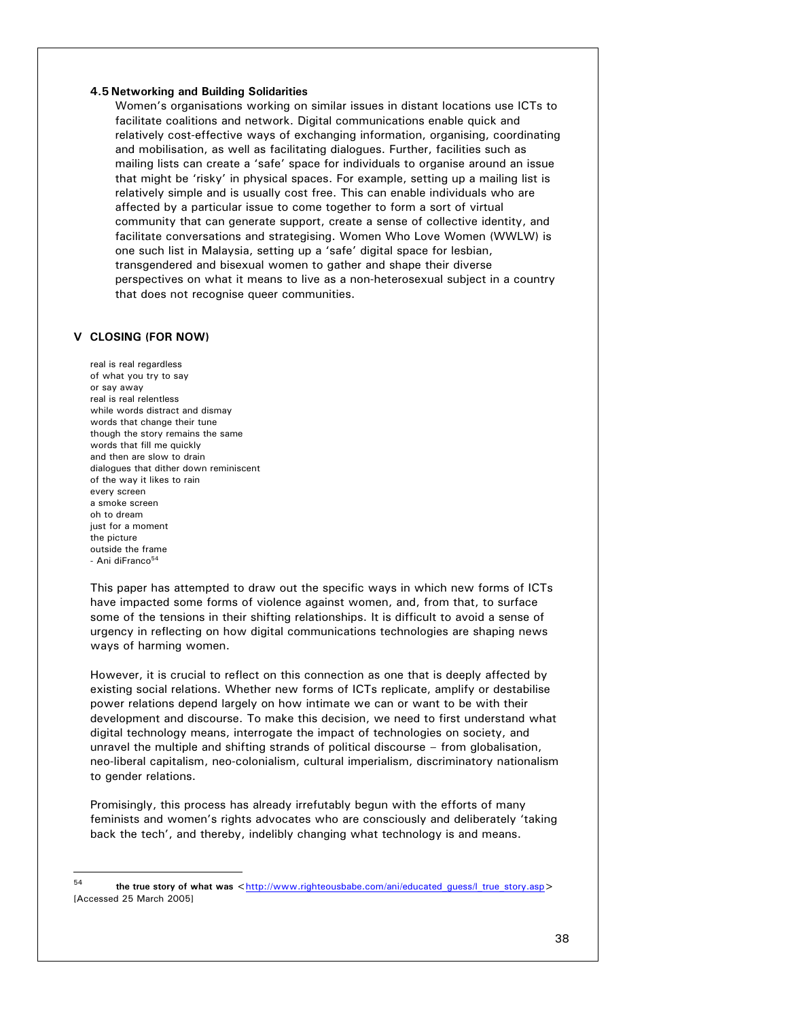## **4.5 Networking and Building Solidarities**

Women's organisations working on similar issues in distant locations use ICTs to facilitate coalitions and network. Digital communications enable quick and relatively cost-effective ways of exchanging information, organising, coordinating and mobilisation, as well as facilitating dialogues. Further, facilities such as mailing lists can create a 'safe' space for individuals to organise around an issue that might be 'risky' in physical spaces. For example, setting up a mailing list is relatively simple and is usually cost free. This can enable individuals who are affected by a particular issue to come together to form a sort of virtual community that can generate support, create a sense of collective identity, and facilitate conversations and strategising. Women Who Love Women (WWLW) is one such list in Malaysia, setting up a 'safe' digital space for lesbian, transgendered and bisexual women to gather and shape their diverse perspectives on what it means to live as a non-heterosexual subject in a country that does not recognise queer communities.

## **V CLOSING (FOR NOW)**

l

real is real regardless of what you try to say or say away real is real relentless while words distract and dismay words that change their tune though the story remains the same words that fill me quickly and then are slow to drain dialogues that dither down reminiscent of the way it likes to rain every screen a smoke screen oh to dream just for a moment the picture outside the frame - Ani diFranco<sup>54</sup>

This paper has attempted to draw out the specific ways in which new forms of ICTs have impacted some forms of violence against women, and, from that, to surface some of the tensions in their shifting relationships. It is difficult to avoid a sense of urgency in reflecting on how digital communications technologies are shaping news ways of harming women.

However, it is crucial to reflect on this connection as one that is deeply affected by existing social relations. Whether new forms of ICTs replicate, amplify or destabilise power relations depend largely on how intimate we can or want to be with their development and discourse. To make this decision, we need to first understand what digital technology means, interrogate the impact of technologies on society, and unravel the multiple and shifting strands of political discourse – from globalisation, neo-liberal capitalism, neo-colonialism, cultural imperialism, discriminatory nationalism to gender relations.

Promisingly, this process has already irrefutably begun with the efforts of many feminists and women's rights advocates who are consciously and deliberately 'taking back the tech', and thereby, indelibly changing what technology is and means.

54 **the true story of what was** <http://www.righteousbabe.com/ani/educated\_guess/l\_true\_story.asp> [Accessed 25 March 2005]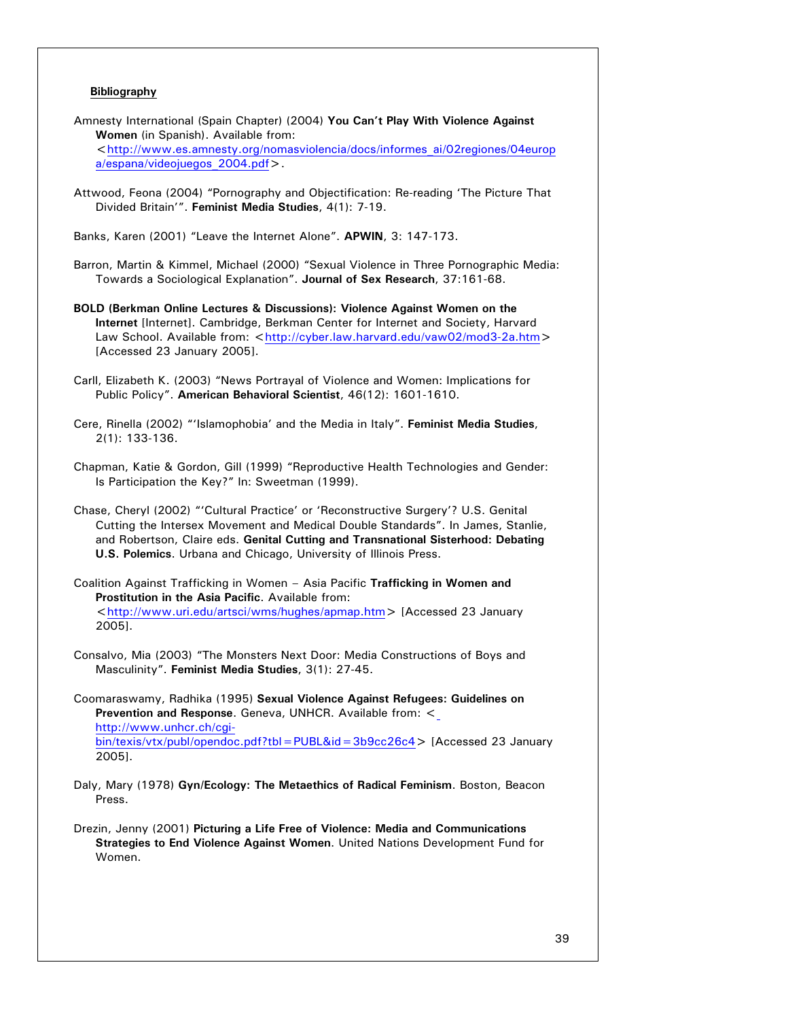# **Bibliography**

- Amnesty International (Spain Chapter) (2004) **You Can't Play With Violence Against Women** (in Spanish). Available from: <http://www.es.amnesty.org/nomasviolencia/docs/informes\_ai/02regiones/04europ a/espana/videojuegos\_2004.pdf>.
- Attwood, Feona (2004) "Pornography and Objectification: Re-reading 'The Picture That Divided Britain'". **Feminist Media Studies**, 4(1): 7-19.

Banks, Karen (2001) "Leave the Internet Alone". **APWIN**, 3: 147-173.

- Barron, Martin & Kimmel, Michael (2000) "Sexual Violence in Three Pornographic Media: Towards a Sociological Explanation". **Journal of Sex Research**, 37:161-68.
- **BOLD (Berkman Online Lectures & Discussions): Violence Against Women on the Internet** [Internet]. Cambridge, Berkman Center for Internet and Society, Harvard Law School. Available from: <http://cyber.law.harvard.edu/vaw02/mod3-2a.htm> [Accessed 23 January 2005].
- Carll, Elizabeth K. (2003) "News Portrayal of Violence and Women: Implications for Public Policy". **American Behavioral Scientist**, 46(12): 1601-1610.
- Cere, Rinella (2002) "'Islamophobia' and the Media in Italy". **Feminist Media Studies**, 2(1): 133-136.
- Chapman, Katie & Gordon, Gill (1999) "Reproductive Health Technologies and Gender: Is Participation the Key?" In: Sweetman (1999).
- Chase, Cheryl (2002) "'Cultural Practice' or 'Reconstructive Surgery'? U.S. Genital Cutting the Intersex Movement and Medical Double Standards". In James, Stanlie, and Robertson, Claire eds. **Genital Cutting and Transnational Sisterhood: Debating U.S. Polemics**. Urbana and Chicago, University of Illinois Press.
- Coalition Against Trafficking in Women Asia Pacific **Trafficking in Women and Prostitution in the Asia Pacific**. Available from: <http://www.uri.edu/artsci/wms/hughes/apmap.htm> [Accessed 23 January 2005].
- Consalvo, Mia (2003) "The Monsters Next Door: Media Constructions of Boys and Masculinity". **Feminist Media Studies**, 3(1): 27-45.
- Coomaraswamy, Radhika (1995) **Sexual Violence Against Refugees: Guidelines on Prevention and Response**. Geneva, UNHCR. Available from: < http://www.unhcr.ch/cgibin/texis/vtx/publ/opendoc.pdf?tbl=PUBL&id=3b9cc26c4> [Accessed 23 January 2005].
- Daly, Mary (1978) **Gyn/Ecology: The Metaethics of Radical Feminism**. Boston, Beacon Press.
- Drezin, Jenny (2001) **Picturing a Life Free of Violence: Media and Communications Strategies to End Violence Against Women**. United Nations Development Fund for Women.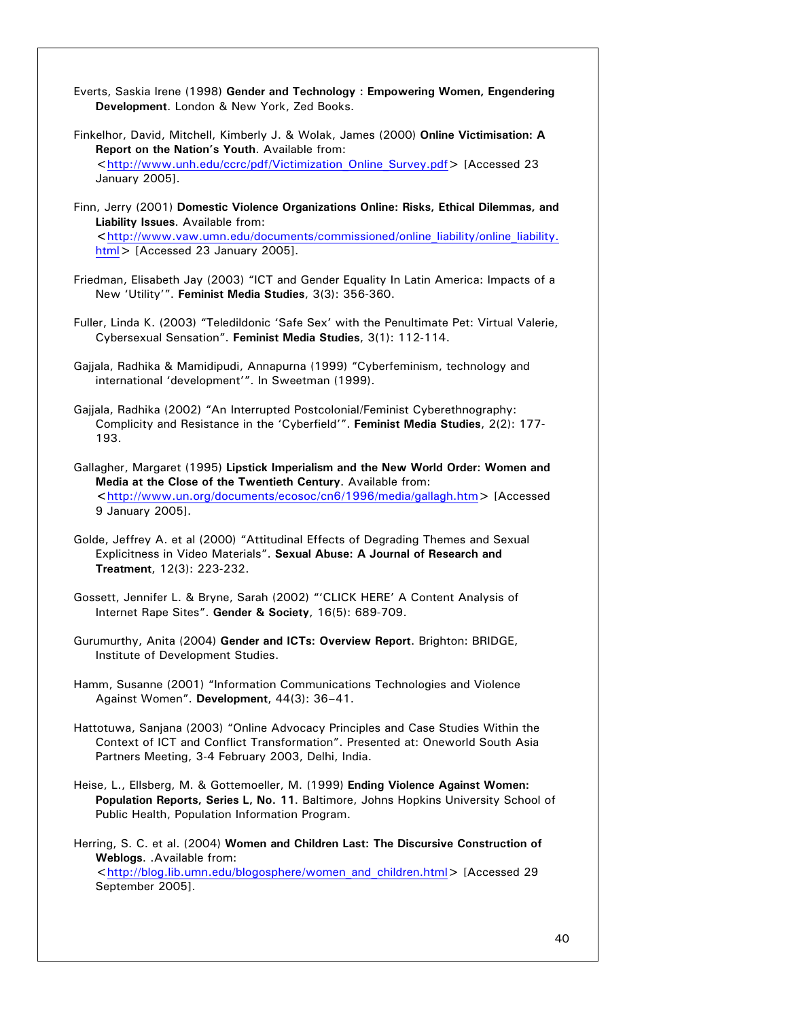- Everts, Saskia Irene (1998) **Gender and Technology : Empowering Women, Engendering Development**. London & New York, Zed Books.
- Finkelhor, David, Mitchell, Kimberly J. & Wolak, James (2000) **Online Victimisation: A Report on the Nation's Youth**. Available from: <http://www.unh.edu/ccrc/pdf/Victimization\_Online\_Survey.pdf> [Accessed 23 January 2005].
- Finn, Jerry (2001) **Domestic Violence Organizations Online: Risks, Ethical Dilemmas, and Liability Issues**. Available from: **<**http://www.vaw.umn.edu/documents/commissioned/online\_liability/online\_liability. html> [Accessed 23 January 2005].
- Friedman, Elisabeth Jay (2003) "ICT and Gender Equality In Latin America: Impacts of a New 'Utility'". **Feminist Media Studies**, 3(3): 356-360.
- Fuller, Linda K. (2003) "Teledildonic 'Safe Sex' with the Penultimate Pet: Virtual Valerie, Cybersexual Sensation". **Feminist Media Studies**, 3(1): 112-114.
- Gajjala, Radhika & Mamidipudi, Annapurna (1999) "Cyberfeminism, technology and international 'development'". In Sweetman (1999).
- Gajjala, Radhika (2002) "An Interrupted Postcolonial/Feminist Cyberethnography: Complicity and Resistance in the 'Cyberfield'". **Feminist Media Studies**, 2(2): 177- 193.
- Gallagher, Margaret (1995) **Lipstick Imperialism and the New World Order: Women and Media at the Close of the Twentieth Century**. Available from: **<**http://www.un.org/documents/ecosoc/cn6/1996/media/gallagh.htm> [Accessed 9 January 2005].
- Golde, Jeffrey A. et al (2000) "Attitudinal Effects of Degrading Themes and Sexual Explicitness in Video Materials". **Sexual Abuse: A Journal of Research and Treatment**, 12(3): 223-232.
- Gossett, Jennifer L. & Bryne, Sarah (2002) "'CLICK HERE' A Content Analysis of Internet Rape Sites". **Gender & Society**, 16(5): 689-709.
- Gurumurthy, Anita (2004) **Gender and ICTs: Overview Report**. Brighton: BRIDGE, Institute of Development Studies.
- Hamm, Susanne (2001) "Information Communications Technologies and Violence Against Women". **Development**, 44(3): 36–41.
- Hattotuwa, Sanjana (2003) "Online Advocacy Principles and Case Studies Within the Context of ICT and Conflict Transformation". Presented at: Oneworld South Asia Partners Meeting, 3-4 February 2003, Delhi, India.
- Heise, L., Ellsberg, M. & Gottemoeller, M. (1999) **Ending Violence Against Women: Population Reports, Series L, No. 11**. Baltimore, Johns Hopkins University School of Public Health, Population Information Program.

Herring, S. C. et al. (2004) **Women and Children Last: The Discursive Construction of Weblogs**. .Available from: <http://blog.lib.umn.edu/blogosphere/women\_and\_children.html> [Accessed 29 September 2005].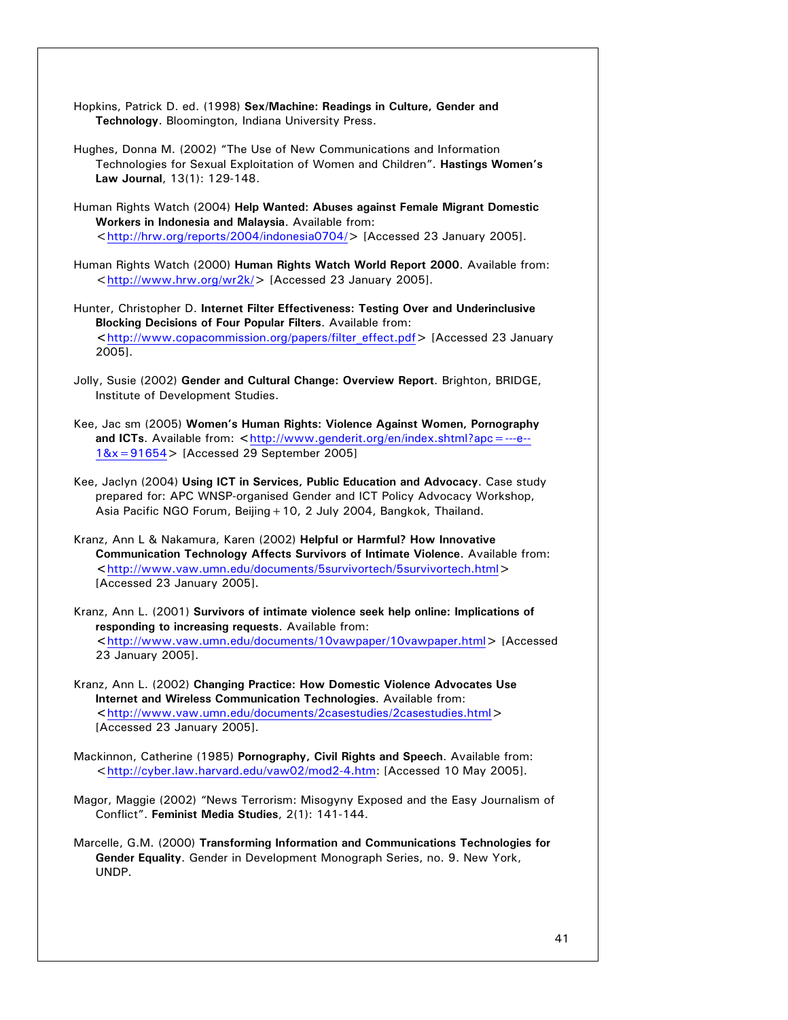- Hopkins, Patrick D. ed. (1998) **Sex/Machine: Readings in Culture, Gender and Technology**. Bloomington, Indiana University Press.
- Hughes, Donna M. (2002) "The Use of New Communications and Information Technologies for Sexual Exploitation of Women and Children". **Hastings Women's Law Journal**, 13(1): 129-148.
- Human Rights Watch (2004) **Help Wanted: Abuses against Female Migrant Domestic Workers in Indonesia and Malaysia**. Available from: <http://hrw.org/reports/2004/indonesia0704/> [Accessed 23 January 2005].
- Human Rights Watch (2000) **Human Rights Watch World Report 2000**. Available from: <http://www.hrw.org/wr2k/> [Accessed 23 January 2005].
- Hunter, Christopher D. **Internet Filter Effectiveness: Testing Over and Underinclusive Blocking Decisions of Four Popular Filters**. Available from: **<**http://www.copacommission.org/papers/filter\_effect.pdf> [Accessed 23 January 2005].
- Jolly, Susie (2002) **Gender and Cultural Change: Overview Report**. Brighton, BRIDGE, Institute of Development Studies.
- Kee, Jac sm (2005) **Women's Human Rights: Violence Against Women, Pornography and ICTs**. Available from: **<**http://www.genderit.org/en/index.shtml?apc=---e-- 1&x=91654> [Accessed 29 September 2005]
- Kee, Jaclyn (2004) **Using ICT in Services, Public Education and Advocacy**. Case study prepared for: APC WNSP-organised Gender and ICT Policy Advocacy Workshop, Asia Pacific NGO Forum, Beijing + 10, 2 July 2004, Bangkok, Thailand.
- Kranz, Ann L & Nakamura, Karen (2002) **Helpful or Harmful? How Innovative Communication Technology Affects Survivors of Intimate Violence**. Available from: **<**http://www.vaw.umn.edu/documents/5survivortech/5survivortech.html> [Accessed 23 January 2005].
- Kranz, Ann L. (2001) **Survivors of intimate violence seek help online: Implications of responding to increasing requests**. Available from: **<**http://www.vaw.umn.edu/documents/10vawpaper/10vawpaper.html> [Accessed 23 January 2005].
- Kranz, Ann L. (2002) **Changing Practice: How Domestic Violence Advocates Use Internet and Wireless Communication Technologies**. Available from: **<**http://www.vaw.umn.edu/documents/2casestudies/2casestudies.html> [Accessed 23 January 2005].
- Mackinnon, Catherine (1985) **Pornography, Civil Rights and Speech**. Available from: <http://cyber.law.harvard.edu/vaw02/mod2-4.htm: [Accessed 10 May 2005].
- Magor, Maggie (2002) "News Terrorism: Misogyny Exposed and the Easy Journalism of Conflict". **Feminist Media Studies**, 2(1): 141-144.
- Marcelle, G.M. (2000) **Transforming Information and Communications Technologies for Gender Equality**. Gender in Development Monograph Series, no. 9. New York, UNDP.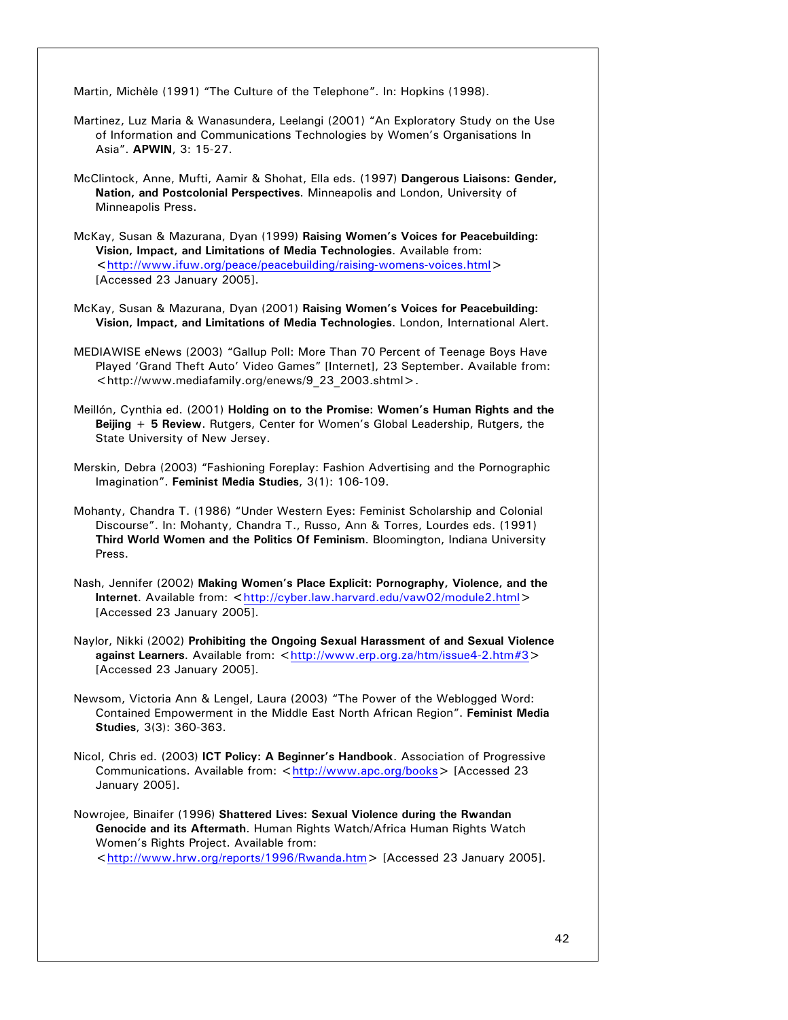Martin, Michèle (1991) "The Culture of the Telephone". In: Hopkins (1998).

- Martinez, Luz Maria & Wanasundera, Leelangi (2001) "An Exploratory Study on the Use of Information and Communications Technologies by Women's Organisations In Asia". **APWIN**, 3: 15-27.
- McClintock, Anne, Mufti, Aamir & Shohat, Ella eds. (1997) **Dangerous Liaisons: Gender, Nation, and Postcolonial Perspectives**. Minneapolis and London, University of Minneapolis Press.
- McKay, Susan & Mazurana, Dyan (1999) **Raising Women's Voices for Peacebuilding: Vision, Impact, and Limitations of Media Technologies**. Available from: **<**http://www.ifuw.org/peace/peacebuilding/raising-womens-voices.html> [Accessed 23 January 2005].
- McKay, Susan & Mazurana, Dyan (2001) **Raising Women's Voices for Peacebuilding: Vision, Impact, and Limitations of Media Technologies**. London, International Alert.
- MEDIAWISE eNews (2003) "Gallup Poll: More Than 70 Percent of Teenage Boys Have Played 'Grand Theft Auto' Video Games" [Internet], 23 September. Available from: <http://www.mediafamily.org/enews/9\_23\_2003.shtml>.
- Meillón, Cynthia ed. (2001) **Holding on to the Promise: Women's Human Rights and the Beijing + 5 Review**. Rutgers, Center for Women's Global Leadership, Rutgers, the State University of New Jersey.
- Merskin, Debra (2003) "Fashioning Foreplay: Fashion Advertising and the Pornographic Imagination". **Feminist Media Studies**, 3(1): 106-109.
- Mohanty, Chandra T. (1986) "Under Western Eyes: Feminist Scholarship and Colonial Discourse". In: Mohanty, Chandra T., Russo, Ann & Torres, Lourdes eds. (1991) **Third World Women and the Politics Of Feminism**. Bloomington, Indiana University Press.
- Nash, Jennifer (2002) **Making Women's Place Explicit: Pornography, Violence, and the Internet**. Available from: **<**http://cyber.law.harvard.edu/vaw02/module2.html> [Accessed 23 January 2005].
- Naylor, Nikki (2002) **Prohibiting the Ongoing Sexual Harassment of and Sexual Violence against Learners**. Available from: <http://www.erp.org.za/htm/issue4-2.htm#3> [Accessed 23 January 2005].
- Newsom, Victoria Ann & Lengel, Laura (2003) "The Power of the Weblogged Word: Contained Empowerment in the Middle East North African Region". **Feminist Media Studies**, 3(3): 360-363.
- Nicol, Chris ed. (2003) **ICT Policy: A Beginner's Handbook**. Association of Progressive Communications. Available from: <http://www.apc.org/books> [Accessed 23 January 2005].
- Nowrojee, Binaifer (1996) **Shattered Lives: Sexual Violence during the Rwandan Genocide and its Aftermath**. Human Rights Watch/Africa Human Rights Watch Women's Rights Project. Available from: <http://www.hrw.org/reports/1996/Rwanda.htm> [Accessed 23 January 2005].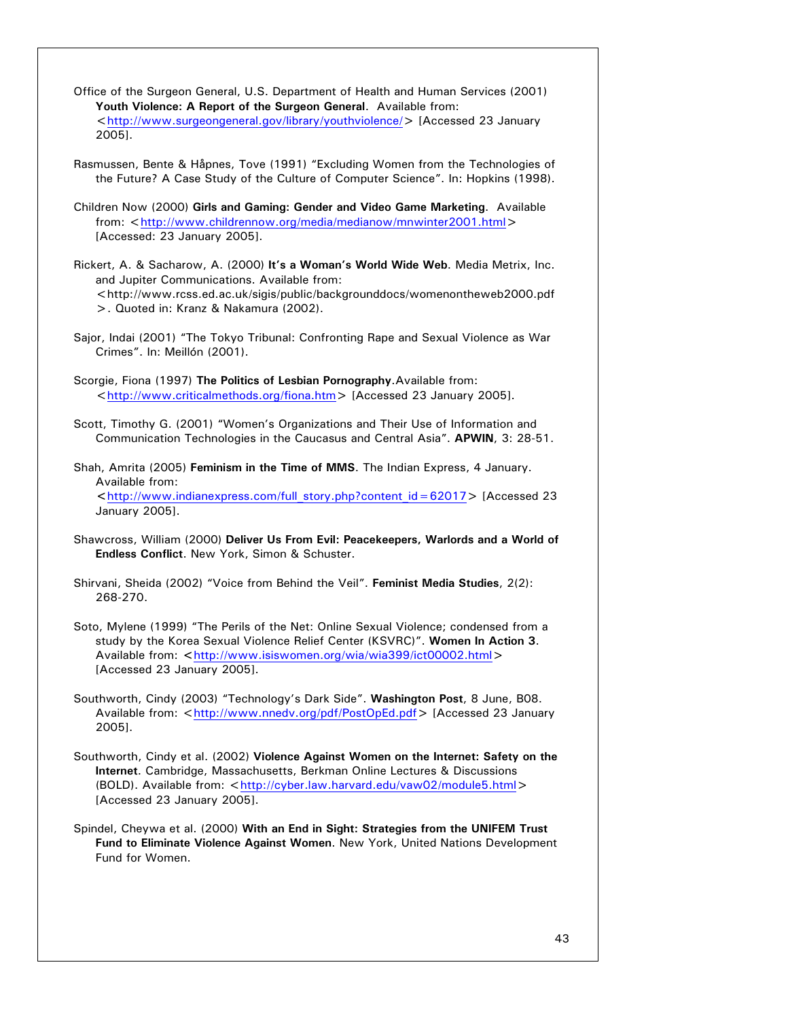Office of the Surgeon General, U.S. Department of Health and Human Services (2001) **Youth Violence: A Report of the Surgeon General**. Available from: <http://www.surgeongeneral.gov/library/youthviolence/> [Accessed 23 January 2005].

Rasmussen, Bente & Håpnes, Tove (1991) "Excluding Women from the Technologies of the Future? A Case Study of the Culture of Computer Science". In: Hopkins (1998).

Children Now (2000) **Girls and Gaming: Gender and Video Game Marketing**. Available from: <http://www.childrennow.org/media/medianow/mnwinter2001.html> [Accessed: 23 January 2005].

Rickert, A. & Sacharow, A. (2000) **It's a Woman's World Wide Web**. Media Metrix, Inc. and Jupiter Communications. Available from: <http://www.rcss.ed.ac.uk/sigis/public/backgrounddocs/womenontheweb2000.pdf >. Quoted in: Kranz & Nakamura (2002).

Sajor, Indai (2001) "The Tokyo Tribunal: Confronting Rape and Sexual Violence as War Crimes". In: Meillón (2001).

Scorgie, Fiona (1997) **The Politics of Lesbian Pornography**.Available from: <http://www.criticalmethods.org/fiona.htm> [Accessed 23 January 2005].

Scott, Timothy G. (2001) "Women's Organizations and Their Use of Information and Communication Technologies in the Caucasus and Central Asia". **APWIN**, 3: 28-51.

Shah, Amrita (2005) **Feminism in the Time of MMS**. The Indian Express, 4 January. Available from: **<**http://www.indianexpress.com/full\_story.php?content\_id=62017> [Accessed 23 January 2005].

Shawcross, William (2000) **Deliver Us From Evil: Peacekeepers, Warlords and a World of Endless Conflict**. New York, Simon & Schuster.

Shirvani, Sheida (2002) "Voice from Behind the Veil". **Feminist Media Studies**, 2(2): 268-270.

Soto, Mylene (1999) "The Perils of the Net: Online Sexual Violence; condensed from a study by the Korea Sexual Violence Relief Center (KSVRC)". **Women In Action 3**. Available from: **<**http://www.isiswomen.org/wia/wia399/ict00002.html> [Accessed 23 January 2005].

Southworth, Cindy (2003) "Technology's Dark Side". **Washington Post**, 8 June, B08. Available from: <http://www.nnedv.org/pdf/PostOpEd.pdf> [Accessed 23 January 2005].

Southworth, Cindy et al. (2002) **Violence Against Women on the Internet: Safety on the Internet**. Cambridge, Massachusetts, Berkman Online Lectures & Discussions (BOLD). Available from: <http://cyber.law.harvard.edu/vaw02/module5.html> [Accessed 23 January 2005].

Spindel, Cheywa et al. (2000) **With an End in Sight: Strategies from the UNIFEM Trust Fund to Eliminate Violence Against Women**. New York, United Nations Development Fund for Women.